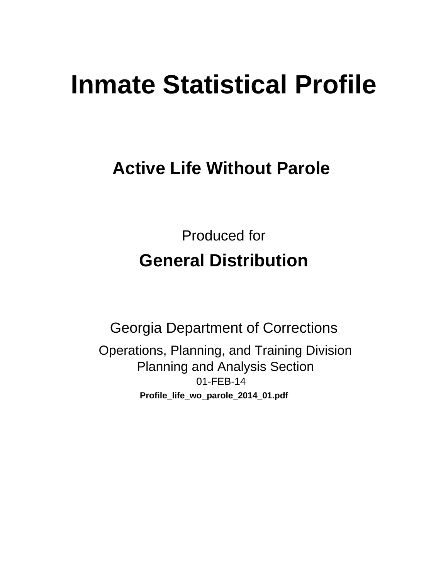# **Inmate Statistical Profile**

## **Active Life Without Parole**

**Produced for General Distribution** 

**Georgia Department of Corrections** Operations, Planning, and Training Division **Planning and Analysis Section** 01-FEB-14 Profile\_life\_wo\_parole\_2014\_01.pdf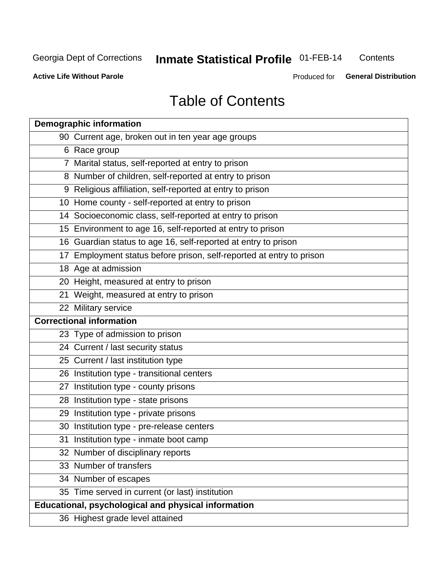## **Inmate Statistical Profile 01-FEB-14**

Contents

**Active Life Without Parole** 

Produced for General Distribution

## **Table of Contents**

| <b>Demographic information</b>                                       |
|----------------------------------------------------------------------|
| 90 Current age, broken out in ten year age groups                    |
| 6 Race group                                                         |
| 7 Marital status, self-reported at entry to prison                   |
| 8 Number of children, self-reported at entry to prison               |
| 9 Religious affiliation, self-reported at entry to prison            |
| 10 Home county - self-reported at entry to prison                    |
| 14 Socioeconomic class, self-reported at entry to prison             |
| 15 Environment to age 16, self-reported at entry to prison           |
| 16 Guardian status to age 16, self-reported at entry to prison       |
| 17 Employment status before prison, self-reported at entry to prison |
| 18 Age at admission                                                  |
| 20 Height, measured at entry to prison                               |
| 21 Weight, measured at entry to prison                               |
| 22 Military service                                                  |
| <b>Correctional information</b>                                      |
| 23 Type of admission to prison                                       |
| 24 Current / last security status                                    |
| 25 Current / last institution type                                   |
| 26 Institution type - transitional centers                           |
| 27 Institution type - county prisons                                 |
| 28 Institution type - state prisons                                  |
| 29 Institution type - private prisons                                |
| 30 Institution type - pre-release centers                            |
| 31 Institution type - inmate boot camp                               |
| 32 Number of disciplinary reports                                    |
| 33 Number of transfers                                               |
| 34 Number of escapes                                                 |
| 35 Time served in current (or last) institution                      |
| Educational, psychological and physical information                  |
| 36 Highest grade level attained                                      |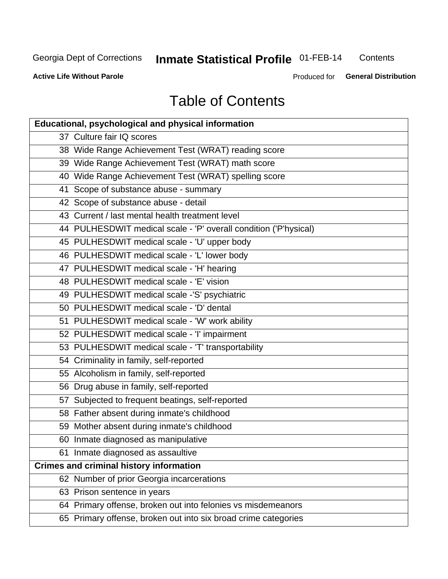## **Inmate Statistical Profile 01-FEB-14**

Contents

**Active Life Without Parole** 

Produced for General Distribution

## **Table of Contents**

| <b>Educational, psychological and physical information</b>       |
|------------------------------------------------------------------|
| 37 Culture fair IQ scores                                        |
| 38 Wide Range Achievement Test (WRAT) reading score              |
| 39 Wide Range Achievement Test (WRAT) math score                 |
| 40 Wide Range Achievement Test (WRAT) spelling score             |
| 41 Scope of substance abuse - summary                            |
| 42 Scope of substance abuse - detail                             |
| 43 Current / last mental health treatment level                  |
| 44 PULHESDWIT medical scale - 'P' overall condition ('P'hysical) |
| 45 PULHESDWIT medical scale - 'U' upper body                     |
| 46 PULHESDWIT medical scale - 'L' lower body                     |
| 47 PULHESDWIT medical scale - 'H' hearing                        |
| 48 PULHESDWIT medical scale - 'E' vision                         |
| 49 PULHESDWIT medical scale -'S' psychiatric                     |
| 50 PULHESDWIT medical scale - 'D' dental                         |
| 51 PULHESDWIT medical scale - 'W' work ability                   |
| 52 PULHESDWIT medical scale - 'I' impairment                     |
| 53 PULHESDWIT medical scale - 'T' transportability               |
| 54 Criminality in family, self-reported                          |
| 55 Alcoholism in family, self-reported                           |
| 56 Drug abuse in family, self-reported                           |
| 57 Subjected to frequent beatings, self-reported                 |
| 58 Father absent during inmate's childhood                       |
| 59 Mother absent during inmate's childhood                       |
| 60 Inmate diagnosed as manipulative                              |
| 61 Inmate diagnosed as assaultive                                |
| <b>Crimes and criminal history information</b>                   |
| 62 Number of prior Georgia incarcerations                        |
| 63 Prison sentence in years                                      |
| 64 Primary offense, broken out into felonies vs misdemeanors     |
| 65 Primary offense, broken out into six broad crime categories   |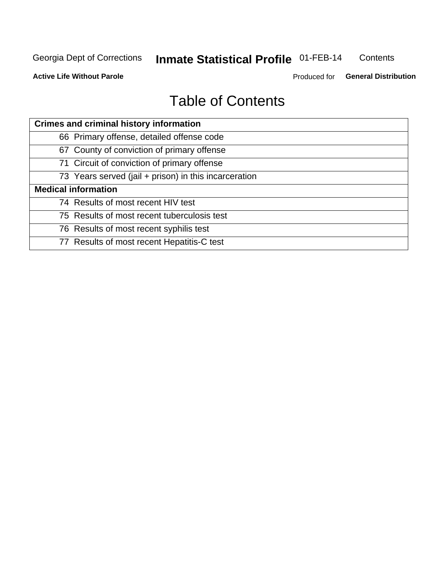## **Inmate Statistical Profile 01-FEB-14**

Contents

**Active Life Without Parole** 

Produced for General Distribution

## **Table of Contents**

| <b>Crimes and criminal history information</b>        |
|-------------------------------------------------------|
| 66 Primary offense, detailed offense code             |
| 67 County of conviction of primary offense            |
| 71 Circuit of conviction of primary offense           |
| 73 Years served (jail + prison) in this incarceration |
| <b>Medical information</b>                            |
| 74 Results of most recent HIV test                    |
| 75 Results of most recent tuberculosis test           |
| 76 Results of most recent syphilis test               |
| 77 Results of most recent Hepatitis-C test            |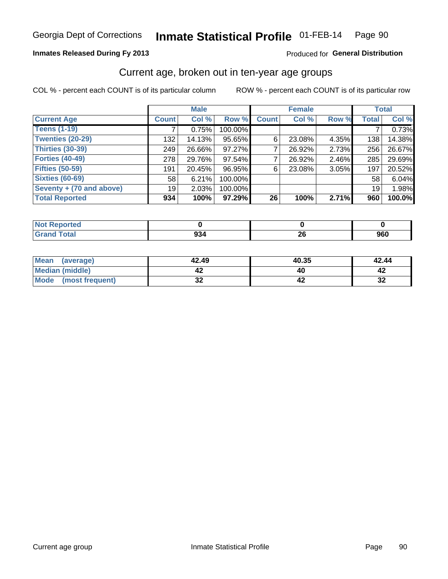#### Inmate Statistical Profile 01-FEB-14 Page 90

## **Inmates Released During Fy 2013**

## Produced for General Distribution

## Current age, broken out in ten-year age groups

COL % - percent each COUNT is of its particular column

|                          |              | <b>Male</b> |         |              | <b>Female</b> |       |              | <b>Total</b> |
|--------------------------|--------------|-------------|---------|--------------|---------------|-------|--------------|--------------|
| <b>Current Age</b>       | <b>Count</b> | Col %       | Row %   | <b>Count</b> | Col %         | Row % | <b>Total</b> | Col %        |
| <b>Teens (1-19)</b>      |              | 0.75%       | 100.00% |              |               |       |              | 0.73%        |
| <b>Twenties (20-29)</b>  | 132          | 14.13%      | 95.65%  | 6            | 23.08%        | 4.35% | 138          | 14.38%       |
| Thirties (30-39)         | 249          | 26.66%      | 97.27%  |              | 26.92%        | 2.73% | 256          | 26.67%       |
| <b>Forties (40-49)</b>   | 278          | 29.76%      | 97.54%  |              | 26.92%        | 2.46% | 285          | 29.69%       |
| <b>Fifties (50-59)</b>   | 191          | 20.45%      | 96.95%  | 6            | 23.08%        | 3.05% | 197          | 20.52%       |
| <b>Sixties (60-69)</b>   | 58           | 6.21%       | 100.00% |              |               |       | 58           | 6.04%        |
| Seventy + (70 and above) | 19           | 2.03%       | 100.00% |              |               |       | 19           | 1.98%        |
| <b>Total Reported</b>    | 934          | 100%        | 97.29%  | 26           | 100%          | 2.71% | 960          | 100.0%       |

| _____ | ^^<br>ອວ∙<br>$ -$ | oc.<br>ΔU | 960 |
|-------|-------------------|-----------|-----|

| Mean<br>(average)    | 42.49    | 40.35 | 42.44    |
|----------------------|----------|-------|----------|
| Median (middle)      |          |       |          |
| Mode (most frequent) | ^^<br>◡▴ |       | …<br>-94 |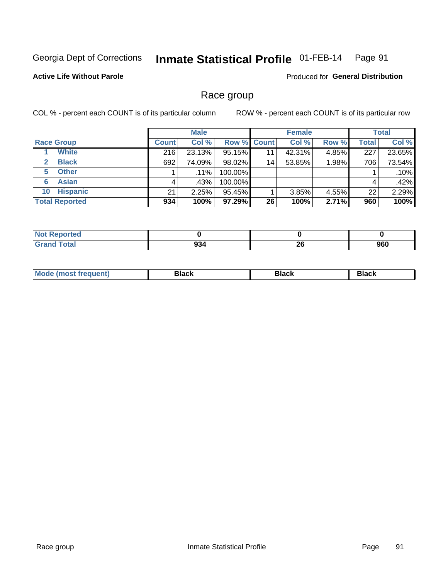### Inmate Statistical Profile 01-FEB-14 Page 91

## **Active Life Without Parole**

**Produced for General Distribution** 

## Race group

COL % - percent each COUNT is of its particular column

|                              |              | <b>Male</b> |                    |    | <b>Female</b> |       |              | <b>Total</b> |
|------------------------------|--------------|-------------|--------------------|----|---------------|-------|--------------|--------------|
| <b>Race Group</b>            | <b>Count</b> | Col %       | <b>Row % Count</b> |    | Col %         | Row % | <b>Total</b> | Col %        |
| <b>White</b>                 | 216          | 23.13%      | 95.15%             | 11 | 42.31%        | 4.85% | 227          | 23.65%       |
| <b>Black</b><br>$\mathbf{2}$ | 692          | 74.09%      | 98.02%             | 14 | 53.85%        | 1.98% | 706          | 73.54%       |
| <b>Other</b><br>5.           |              | $.11\%$     | 100.00%            |    |               |       |              | .10%         |
| <b>Asian</b><br>6            | 4            | ا %43.      | 100.00%            |    |               |       | 4            | .42%         |
| <b>Hispanic</b><br>10        | 21           | 2.25%       | 95.45%             |    | 3.85%         | 4.55% | 22           | 2.29%        |
| <b>Total Reported</b>        | 934          | 100%        | 97.29%             | 26 | 100%          | 2.71% | 960          | 100%         |

| <b>rted</b> |                   |          |     |
|-------------|-------------------|----------|-----|
| $T0+2'$     | ~~<br>934<br>$ -$ | ኅሮ<br>ZU | 960 |

| M | - - - | Piavn |
|---|-------|-------|
|   |       |       |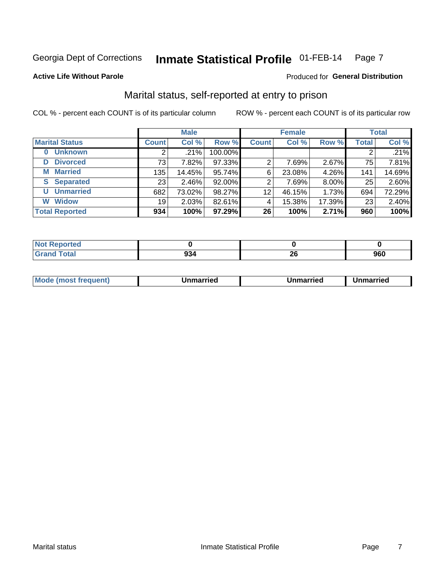### Inmate Statistical Profile 01-FEB-14 Page 7

## **Active Life Without Parole**

### Produced for General Distribution

## Marital status, self-reported at entry to prison

COL % - percent each COUNT is of its particular column

|                            | <b>Male</b>  |        |         | <b>Female</b> |        |        | <b>Total</b> |        |
|----------------------------|--------------|--------|---------|---------------|--------|--------|--------------|--------|
| <b>Marital Status</b>      | <b>Count</b> | Col %  | Row %   | <b>Count</b>  | Col %  | Row %  | <b>Total</b> | Col %  |
| <b>Unknown</b><br>$\bf{0}$ |              | .21%   | 100.00% |               |        |        | 2            | .21%   |
| <b>Divorced</b><br>D       | 73           | 7.82%  | 97.33%  | 2             | 7.69%  | 2.67%  | 75           | 7.81%  |
| <b>Married</b><br>М        | 135          | 14.45% | 95.74%  | 6             | 23.08% | 4.26%  | 141          | 14.69% |
| <b>Separated</b><br>S      | 231          | 2.46%  | 92.00%  | 2             | 7.69%  | 8.00%  | 25           | 2.60%  |
| <b>Unmarried</b><br>U      | 682          | 73.02% | 98.27%  | 12            | 46.15% | 1.73%  | 694          | 72.29% |
| <b>Widow</b><br>W          | 19           | 2.03%  | 82.61%  | 4             | 15.38% | 17.39% | 23           | 2.40%  |
| <b>Total Reported</b>      | 934          | 100%   | 97.29%  | 26            | 100%   | 2.71%  | 960          | 100%   |

| orted<br><b>NOT REDO</b> |                |                                               |            |
|--------------------------|----------------|-----------------------------------------------|------------|
|                          | $\sim$<br>JJ-. | n,<br>ZV<br>and the control of the control of | ner<br>ฮบบ |

|  | M | . | Unmarried | າmarried<br>_____ |
|--|---|---|-----------|-------------------|
|--|---|---|-----------|-------------------|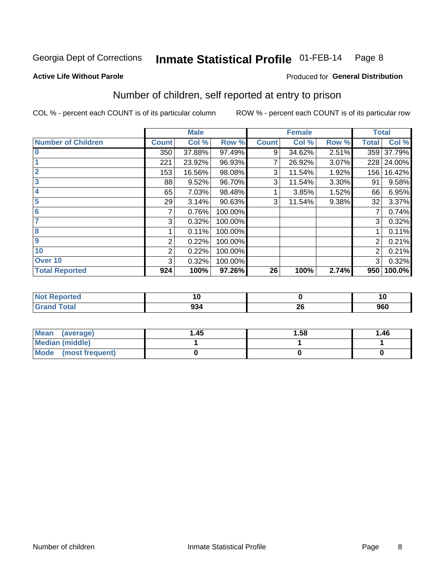### Inmate Statistical Profile 01-FEB-14 Page 8

### **Active Life Without Parole**

## **Produced for General Distribution**

## Number of children, self reported at entry to prison

COL % - percent each COUNT is of its particular column

|                           |                | <b>Male</b> |         |              | <b>Female</b> |       | <b>Total</b> |        |
|---------------------------|----------------|-------------|---------|--------------|---------------|-------|--------------|--------|
| <b>Number of Children</b> | <b>Count</b>   | Col %       | Row %   | <b>Count</b> | Col %         | Row % | <b>Total</b> | Col %  |
| $\bf{0}$                  | 350            | 37.88%      | 97.49%  | 9            | 34.62%        | 2.51% | 359          | 37.79% |
|                           | 221            | 23.92%      | 96.93%  | 7            | 26.92%        | 3.07% | 228          | 24.00% |
| $\overline{2}$            | 153            | 16.56%      | 98.08%  | 3            | 11.54%        | 1.92% | 156          | 16.42% |
| 3                         | 88             | 9.52%       | 96.70%  | 3            | 11.54%        | 3.30% | 91           | 9.58%  |
| 4                         | 65             | 7.03%       | 98.48%  |              | 3.85%         | 1.52% | 66           | 6.95%  |
| 5                         | 29             | 3.14%       | 90.63%  | 3            | 11.54%        | 9.38% | 32           | 3.37%  |
| 6                         | 7              | 0.76%       | 100.00% |              |               |       | 7            | 0.74%  |
| 7                         | 3              | 0.32%       | 100.00% |              |               |       | 3            | 0.32%  |
| 8                         |                | 0.11%       | 100.00% |              |               |       |              | 0.11%  |
| $\boldsymbol{9}$          | 2              | 0.22%       | 100.00% |              |               |       | 2            | 0.21%  |
| 10                        | $\overline{2}$ | 0.22%       | 100.00% |              |               |       | 2            | 0.21%  |
| Over 10                   | 3              | 0.32%       | 100.00% |              |               |       | 3            | 0.32%  |
| <b>Total Reported</b>     | 924            | 100%        | 97.26%  | 26           | 100%          | 2.74% | 950          | 100.0% |

| neo    | ΙU  |     |     |
|--------|-----|-----|-----|
| $\sim$ |     | oc. | nen |
|        | JJ' | Δv  | ฮบบ |

| <b>Mean</b><br>(average) | 1.45 | 1.58 | 1.46 |
|--------------------------|------|------|------|
| <b>Median (middle)</b>   |      |      |      |
| Mode (most frequent)     |      |      |      |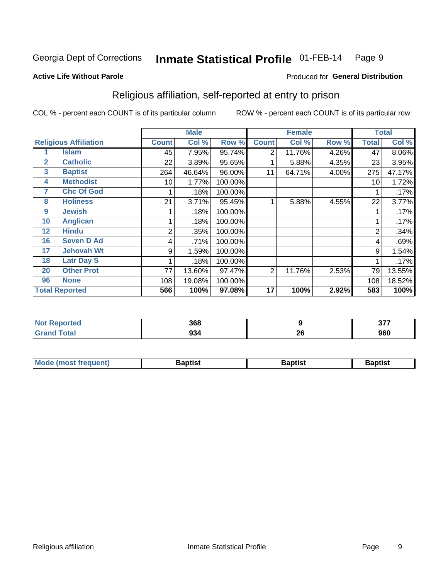### Inmate Statistical Profile 01-FEB-14 Page 9

Produced for General Distribution

## **Active Life Without Parole**

## Religious affiliation, self-reported at entry to prison

COL % - percent each COUNT is of its particular column

|              |                              |              | <b>Male</b> |         |              | <b>Female</b> |       |                | <b>Total</b> |
|--------------|------------------------------|--------------|-------------|---------|--------------|---------------|-------|----------------|--------------|
|              | <b>Religious Affiliation</b> | <b>Count</b> | Col %       | Row %   | <b>Count</b> | Col %         | Row % | <b>Total</b>   | Col %        |
|              | <b>Islam</b>                 | 45           | 7.95%       | 95.74%  | 2            | 11.76%        | 4.26% | 47             | 8.06%        |
| $\mathbf{2}$ | <b>Catholic</b>              | 22           | 3.89%       | 95.65%  |              | 5.88%         | 4.35% | 23             | 3.95%        |
| 3            | <b>Baptist</b>               | 264          | 46.64%      | 96.00%  | 11           | 64.71%        | 4.00% | 275            | 47.17%       |
| 4            | <b>Methodist</b>             | 10           | 1.77%       | 100.00% |              |               |       | 10             | 1.72%        |
| 7            | <b>Chc Of God</b>            |              | .18%        | 100.00% |              |               |       |                | .17%         |
| 8            | <b>Holiness</b>              | 21           | 3.71%       | 95.45%  |              | 5.88%         | 4.55% | 22             | 3.77%        |
| 9            | <b>Jewish</b>                |              | .18%        | 100.00% |              |               |       |                | .17%         |
| 10           | <b>Anglican</b>              |              | .18%        | 100.00% |              |               |       |                | .17%         |
| 12           | <b>Hindu</b>                 | 2            | .35%        | 100.00% |              |               |       | $\overline{2}$ | .34%         |
| 16           | <b>Seven D Ad</b>            | 4            | .71%        | 100.00% |              |               |       | 4              | .69%         |
| 17           | <b>Jehovah Wt</b>            | 9            | 1.59%       | 100.00% |              |               |       | 9              | 1.54%        |
| 18           | <b>Latr Day S</b>            |              | .18%        | 100.00% |              |               |       |                | .17%         |
| 20           | <b>Other Prot</b>            | 77           | 13.60%      | 97.47%  | 2            | 11.76%        | 2.53% | 79             | 13.55%       |
| 96           | <b>None</b>                  | 108          | 19.08%      | 100.00% |              |               |       | 108            | 18.52%       |
|              | <b>Total Reported</b>        | 566          | 100%        | 97.08%  | 17           | 100%          | 2.92% | 583            | 100%         |

| ı leu<br>. | 368 |    | $\sim$ $\sim$ $\sim$<br>. |
|------------|-----|----|---------------------------|
| _____      | 34  | ZU | 960                       |

| <b>Mode (most frequent)</b> | եaptist | 3aptisเ | aptist |
|-----------------------------|---------|---------|--------|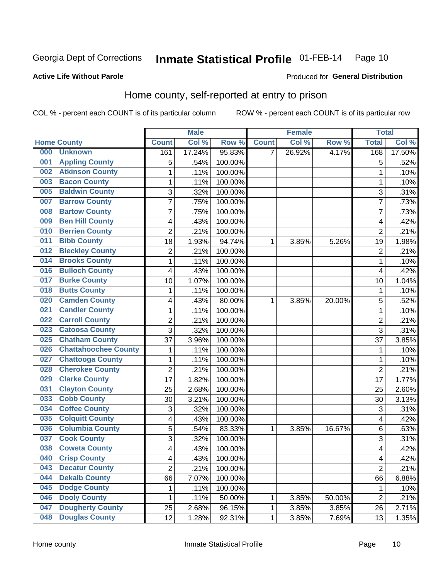### Inmate Statistical Profile 01-FEB-14 Page 10

## **Active Life Without Parole**

### Produced for General Distribution

## Home county, self-reported at entry to prison

COL % - percent each COUNT is of its particular column

|     |                             |                         | <b>Male</b> |         |              | <b>Female</b> |        | <b>Total</b>   |        |
|-----|-----------------------------|-------------------------|-------------|---------|--------------|---------------|--------|----------------|--------|
|     | <b>Home County</b>          | <b>Count</b>            | Col %       | Row %   | <b>Count</b> | Col %         | Row %  | <b>Total</b>   | Col %  |
| 000 | <b>Unknown</b>              | 161                     | 17.24%      | 95.83%  | 7            | 26.92%        | 4.17%  | 168            | 17.50% |
| 001 | <b>Appling County</b>       | 5                       | .54%        | 100.00% |              |               |        | 5              | .52%   |
| 002 | <b>Atkinson County</b>      | $\mathbf 1$             | .11%        | 100.00% |              |               |        | 1              | .10%   |
| 003 | <b>Bacon County</b>         | $\mathbf 1$             | .11%        | 100.00% |              |               |        | 1              | .10%   |
| 005 | <b>Baldwin County</b>       | 3                       | .32%        | 100.00% |              |               |        | 3              | .31%   |
| 007 | <b>Barrow County</b>        | $\overline{7}$          | .75%        | 100.00% |              |               |        | 7              | .73%   |
| 008 | <b>Bartow County</b>        | $\overline{7}$          | .75%        | 100.00% |              |               |        | 7              | .73%   |
| 009 | <b>Ben Hill County</b>      | 4                       | .43%        | 100.00% |              |               |        | 4              | .42%   |
| 010 | <b>Berrien County</b>       | $\overline{2}$          | .21%        | 100.00% |              |               |        | $\overline{2}$ | .21%   |
| 011 | <b>Bibb County</b>          | 18                      | 1.93%       | 94.74%  | 1            | 3.85%         | 5.26%  | 19             | 1.98%  |
| 012 | <b>Bleckley County</b>      | $\overline{c}$          | .21%        | 100.00% |              |               |        | $\overline{2}$ | .21%   |
| 014 | <b>Brooks County</b>        | 1                       | .11%        | 100.00% |              |               |        | 1              | .10%   |
| 016 | <b>Bulloch County</b>       | 4                       | .43%        | 100.00% |              |               |        | 4              | .42%   |
| 017 | <b>Burke County</b>         | 10                      | 1.07%       | 100.00% |              |               |        | 10             | 1.04%  |
| 018 | <b>Butts County</b>         | $\mathbf 1$             | .11%        | 100.00% |              |               |        | $\mathbf 1$    | .10%   |
| 020 | <b>Camden County</b>        | 4                       | .43%        | 80.00%  | 1            | 3.85%         | 20.00% | 5              | .52%   |
| 021 | <b>Candler County</b>       | $\mathbf 1$             | .11%        | 100.00% |              |               |        | 1              | .10%   |
| 022 | <b>Carroll County</b>       | $\overline{\mathbf{c}}$ | .21%        | 100.00% |              |               |        | $\overline{2}$ | .21%   |
| 023 | <b>Catoosa County</b>       | 3                       | .32%        | 100.00% |              |               |        | 3              | .31%   |
| 025 | <b>Chatham County</b>       | 37                      | 3.96%       | 100.00% |              |               |        | 37             | 3.85%  |
| 026 | <b>Chattahoochee County</b> | $\mathbf 1$             | .11%        | 100.00% |              |               |        | 1              | .10%   |
| 027 | <b>Chattooga County</b>     | $\mathbf 1$             | .11%        | 100.00% |              |               |        | 1              | .10%   |
| 028 | <b>Cherokee County</b>      | $\overline{2}$          | .21%        | 100.00% |              |               |        | $\overline{2}$ | .21%   |
| 029 | <b>Clarke County</b>        | 17                      | 1.82%       | 100.00% |              |               |        | 17             | 1.77%  |
| 031 | <b>Clayton County</b>       | 25                      | 2.68%       | 100.00% |              |               |        | 25             | 2.60%  |
| 033 | <b>Cobb County</b>          | 30                      | 3.21%       | 100.00% |              |               |        | 30             | 3.13%  |
| 034 | <b>Coffee County</b>        | 3                       | .32%        | 100.00% |              |               |        | 3              | .31%   |
| 035 | <b>Colquitt County</b>      | 4                       | .43%        | 100.00% |              |               |        | 4              | .42%   |
| 036 | <b>Columbia County</b>      | 5                       | .54%        | 83.33%  | 1            | 3.85%         | 16.67% | 6              | .63%   |
| 037 | <b>Cook County</b>          | 3                       | .32%        | 100.00% |              |               |        | 3              | .31%   |
| 038 | <b>Coweta County</b>        | $\overline{\mathbf{4}}$ | .43%        | 100.00% |              |               |        | 4              | .42%   |
| 040 | <b>Crisp County</b>         | 4                       | .43%        | 100.00% |              |               |        | 4              | .42%   |
| 043 | <b>Decatur County</b>       | $\overline{2}$          | .21%        | 100.00% |              |               |        | $\overline{2}$ | .21%   |
| 044 | <b>Dekalb County</b>        | 66                      | 7.07%       | 100.00% |              |               |        | 66             | 6.88%  |
| 045 | <b>Dodge County</b>         | 1                       | .11%        | 100.00% |              |               |        | 1              | .10%   |
| 046 | <b>Dooly County</b>         | 1                       | .11%        | 50.00%  | 1            | 3.85%         | 50.00% | $\overline{2}$ | .21%   |
| 047 | <b>Dougherty County</b>     | 25                      | 2.68%       | 96.15%  | 1            | 3.85%         | 3.85%  | 26             | 2.71%  |
| 048 | <b>Douglas County</b>       | 12                      | 1.28%       | 92.31%  | 1            | 3.85%         | 7.69%  | 13             | 1.35%  |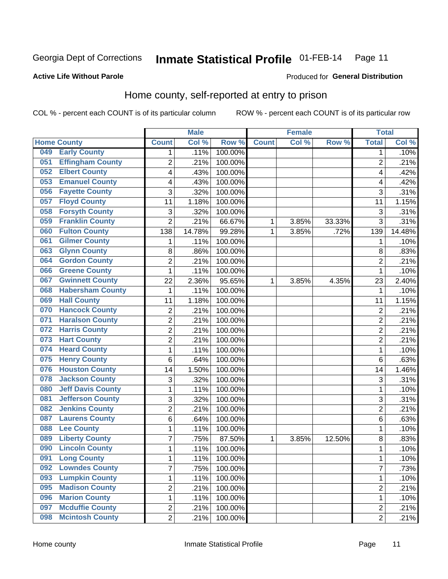### Inmate Statistical Profile 01-FEB-14 Page 11

## **Active Life Without Parole**

## Produced for General Distribution

## Home county, self-reported at entry to prison

COL % - percent each COUNT is of its particular column

|     |                          |                         | <b>Male</b> |                  |              | <b>Female</b> |        | <b>Total</b>   |        |
|-----|--------------------------|-------------------------|-------------|------------------|--------------|---------------|--------|----------------|--------|
|     | <b>Home County</b>       | <b>Count</b>            | Col %       | Row <sup>%</sup> | <b>Count</b> | Col %         | Row %  | <b>Total</b>   | Col %  |
| 049 | <b>Early County</b>      | 1                       | .11%        | 100.00%          |              |               |        | 1              | .10%   |
| 051 | <b>Effingham County</b>  | $\overline{2}$          | .21%        | 100.00%          |              |               |        | $\overline{2}$ | .21%   |
| 052 | <b>Elbert County</b>     | $\overline{\mathbf{4}}$ | .43%        | 100.00%          |              |               |        | 4              | .42%   |
| 053 | <b>Emanuel County</b>    | 4                       | .43%        | 100.00%          |              |               |        | 4              | .42%   |
| 056 | <b>Fayette County</b>    | 3                       | .32%        | 100.00%          |              |               |        | 3              | .31%   |
| 057 | <b>Floyd County</b>      | 11                      | 1.18%       | 100.00%          |              |               |        | 11             | 1.15%  |
| 058 | <b>Forsyth County</b>    | 3                       | .32%        | 100.00%          |              |               |        | 3              | .31%   |
| 059 | <b>Franklin County</b>   | $\overline{2}$          | .21%        | 66.67%           | 1            | 3.85%         | 33.33% | 3              | .31%   |
| 060 | <b>Fulton County</b>     | 138                     | 14.78%      | 99.28%           | 1            | 3.85%         | .72%   | 139            | 14.48% |
| 061 | <b>Gilmer County</b>     | 1                       | .11%        | 100.00%          |              |               |        | 1              | .10%   |
| 063 | <b>Glynn County</b>      | 8                       | .86%        | 100.00%          |              |               |        | 8              | .83%   |
| 064 | <b>Gordon County</b>     | $\overline{2}$          | .21%        | 100.00%          |              |               |        | $\overline{2}$ | .21%   |
| 066 | <b>Greene County</b>     | $\mathbf{1}$            | .11%        | 100.00%          |              |               |        | 1              | .10%   |
| 067 | <b>Gwinnett County</b>   | 22                      | 2.36%       | 95.65%           | 1            | 3.85%         | 4.35%  | 23             | 2.40%  |
| 068 | <b>Habersham County</b>  | 1                       | .11%        | 100.00%          |              |               |        | 1              | .10%   |
| 069 | <b>Hall County</b>       | 11                      | 1.18%       | 100.00%          |              |               |        | 11             | 1.15%  |
| 070 | <b>Hancock County</b>    | $\boldsymbol{2}$        | .21%        | 100.00%          |              |               |        | $\overline{2}$ | .21%   |
| 071 | <b>Haralson County</b>   | $\overline{2}$          | .21%        | 100.00%          |              |               |        | $\overline{2}$ | .21%   |
| 072 | <b>Harris County</b>     | $\overline{2}$          | .21%        | 100.00%          |              |               |        | $\overline{c}$ | .21%   |
| 073 | <b>Hart County</b>       | $\overline{2}$          | .21%        | 100.00%          |              |               |        | $\overline{2}$ | .21%   |
| 074 | <b>Heard County</b>      | 1                       | .11%        | 100.00%          |              |               |        | 1              | .10%   |
| 075 | <b>Henry County</b>      | 6                       | .64%        | 100.00%          |              |               |        | 6              | .63%   |
| 076 | <b>Houston County</b>    | 14                      | 1.50%       | 100.00%          |              |               |        | 14             | 1.46%  |
| 078 | <b>Jackson County</b>    | 3                       | .32%        | 100.00%          |              |               |        | 3              | .31%   |
| 080 | <b>Jeff Davis County</b> | 1                       | .11%        | 100.00%          |              |               |        | 1              | .10%   |
| 081 | <b>Jefferson County</b>  | 3                       | .32%        | 100.00%          |              |               |        | 3              | .31%   |
| 082 | <b>Jenkins County</b>    | $\overline{2}$          | .21%        | 100.00%          |              |               |        | $\overline{c}$ | .21%   |
| 087 | <b>Laurens County</b>    | 6                       | .64%        | 100.00%          |              |               |        | 6              | .63%   |
| 088 | <b>Lee County</b>        | 1                       | .11%        | 100.00%          |              |               |        | 1              | .10%   |
| 089 | <b>Liberty County</b>    | $\overline{7}$          | .75%        | 87.50%           | 1            | 3.85%         | 12.50% | 8              | .83%   |
| 090 | <b>Lincoln County</b>    | $\mathbf{1}$            | .11%        | 100.00%          |              |               |        | 1              | .10%   |
| 091 | <b>Long County</b>       | 1                       | .11%        | 100.00%          |              |               |        | 1              | .10%   |
| 092 | <b>Lowndes County</b>    | $\overline{7}$          | .75%        | 100.00%          |              |               |        | $\overline{7}$ | .73%   |
| 093 | <b>Lumpkin County</b>    | $\mathbf 1$             | .11%        | 100.00%          |              |               |        | 1              | .10%   |
| 095 | <b>Madison County</b>    | $\overline{2}$          | .21%        | 100.00%          |              |               |        | 2              | .21%   |
| 096 | <b>Marion County</b>     | 1                       | .11%        | 100.00%          |              |               |        | 1              | .10%   |
| 097 | <b>Mcduffie County</b>   | $\overline{2}$          | .21%        | 100.00%          |              |               |        | 2              | .21%   |
| 098 | <b>Mcintosh County</b>   | $\overline{2}$          | .21%        | 100.00%          |              |               |        | $\overline{2}$ | .21%   |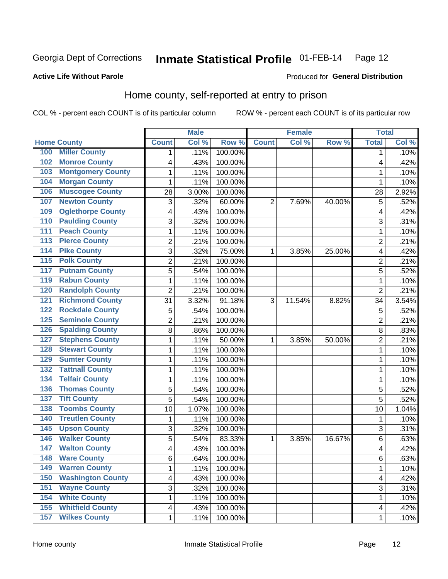### Inmate Statistical Profile 01-FEB-14 Page 12

## **Active Life Without Parole**

### Produced for General Distribution

## Home county, self-reported at entry to prison

COL % - percent each COUNT is of its particular column

|                  |                          |                          | <b>Male</b> |         |                | <b>Female</b> |        | <b>Total</b>   |       |
|------------------|--------------------------|--------------------------|-------------|---------|----------------|---------------|--------|----------------|-------|
|                  | <b>Home County</b>       | <b>Count</b>             | Col %       | Row %   | <b>Count</b>   | Col %         | Row %  | <b>Total</b>   | Col % |
| 100              | <b>Miller County</b>     | 1                        | .11%        | 100.00% |                |               |        | 1              | .10%  |
| 102              | <b>Monroe County</b>     | $\overline{\mathcal{A}}$ | .43%        | 100.00% |                |               |        | 4              | .42%  |
| 103              | <b>Montgomery County</b> | 1                        | .11%        | 100.00% |                |               |        | 1              | .10%  |
| 104              | <b>Morgan County</b>     | 1                        | .11%        | 100.00% |                |               |        | 1              | .10%  |
| 106              | <b>Muscogee County</b>   | 28                       | 3.00%       | 100.00% |                |               |        | 28             | 2.92% |
| 107              | <b>Newton County</b>     | 3                        | .32%        | 60.00%  | $\overline{2}$ | 7.69%         | 40.00% | 5              | .52%  |
| 109              | <b>Oglethorpe County</b> | 4                        | .43%        | 100.00% |                |               |        | 4              | .42%  |
| 110              | <b>Paulding County</b>   | 3                        | .32%        | 100.00% |                |               |        | 3              | .31%  |
| 111              | <b>Peach County</b>      | $\mathbf{1}$             | .11%        | 100.00% |                |               |        | 1              | .10%  |
| $\overline{113}$ | <b>Pierce County</b>     | $\overline{2}$           | .21%        | 100.00% |                |               |        | $\overline{2}$ | .21%  |
| 114              | <b>Pike County</b>       | $\overline{3}$           | .32%        | 75.00%  | 1              | 3.85%         | 25.00% | 4              | .42%  |
| $\overline{115}$ | <b>Polk County</b>       | $\overline{2}$           | .21%        | 100.00% |                |               |        | $\overline{2}$ | .21%  |
| 117              | <b>Putnam County</b>     | 5                        | .54%        | 100.00% |                |               |        | 5              | .52%  |
| 119              | <b>Rabun County</b>      | $\mathbf{1}$             | .11%        | 100.00% |                |               |        | 1              | .10%  |
| 120              | <b>Randolph County</b>   | $\overline{2}$           | .21%        | 100.00% |                |               |        | $\overline{2}$ | .21%  |
| 121              | <b>Richmond County</b>   | 31                       | 3.32%       | 91.18%  | 3              | 11.54%        | 8.82%  | 34             | 3.54% |
| 122              | <b>Rockdale County</b>   | 5                        | .54%        | 100.00% |                |               |        | 5              | .52%  |
| 125              | <b>Seminole County</b>   | $\overline{2}$           | .21%        | 100.00% |                |               |        | $\overline{2}$ | .21%  |
| 126              | <b>Spalding County</b>   | 8                        | .86%        | 100.00% |                |               |        | 8              | .83%  |
| 127              | <b>Stephens County</b>   | 1                        | .11%        | 50.00%  | 1              | 3.85%         | 50.00% | $\overline{2}$ | .21%  |
| 128              | <b>Stewart County</b>    | 1                        | .11%        | 100.00% |                |               |        | 1              | .10%  |
| 129              | <b>Sumter County</b>     | $\mathbf{1}$             | .11%        | 100.00% |                |               |        | 1              | .10%  |
| 132              | <b>Tattnall County</b>   | $\mathbf{1}$             | .11%        | 100.00% |                |               |        | 1              | .10%  |
| 134              | <b>Telfair County</b>    | 1                        | .11%        | 100.00% |                |               |        | 1              | .10%  |
| 136              | <b>Thomas County</b>     | 5                        | .54%        | 100.00% |                |               |        | 5              | .52%  |
| 137              | <b>Tift County</b>       | 5                        | .54%        | 100.00% |                |               |        | 5              | .52%  |
| 138              | <b>Toombs County</b>     | 10                       | 1.07%       | 100.00% |                |               |        | 10             | 1.04% |
| 140              | <b>Treutlen County</b>   | 1                        | .11%        | 100.00% |                |               |        | 1              | .10%  |
| 145              | <b>Upson County</b>      | 3                        | .32%        | 100.00% |                |               |        | 3              | .31%  |
| 146              | <b>Walker County</b>     | 5                        | .54%        | 83.33%  | 1              | 3.85%         | 16.67% | 6              | .63%  |
| 147              | <b>Walton County</b>     | $\overline{\mathbf{4}}$  | .43%        | 100.00% |                |               |        | 4              | .42%  |
| 148              | <b>Ware County</b>       | 6                        | .64%        | 100.00% |                |               |        | 6              | .63%  |
| 149              | <b>Warren County</b>     | $\mathbf{1}$             | .11%        | 100.00% |                |               |        | 1              | .10%  |
| 150              | <b>Washington County</b> | $\overline{\mathcal{A}}$ | .43%        | 100.00% |                |               |        | 4              | .42%  |
| 151              | <b>Wayne County</b>      | 3                        | .32%        | 100.00% |                |               |        | 3              | .31%  |
| 154              | <b>White County</b>      | 1                        | .11%        | 100.00% |                |               |        | 1              | .10%  |
| 155              | <b>Whitfield County</b>  | $\overline{4}$           | .43%        | 100.00% |                |               |        | 4              | .42%  |
| 157              | <b>Wilkes County</b>     | 1                        | .11%        | 100.00% |                |               |        | 1              | .10%  |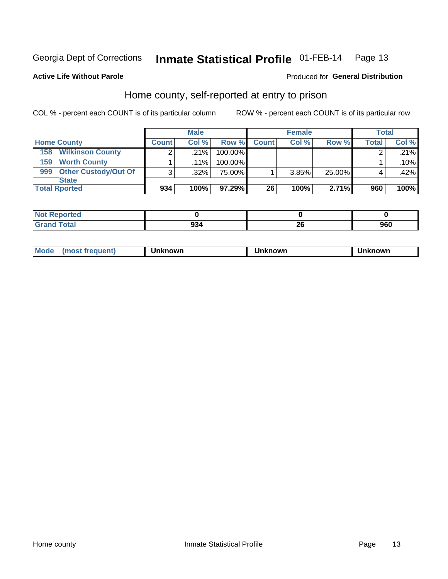#### Inmate Statistical Profile 01-FEB-14 Page 13

## **Active Life Without Parole**

## Produced for General Distribution

## Home county, self-reported at entry to prison

COL % - percent each COUNT is of its particular column

|                                    |              | <b>Male</b> |         |              | <b>Female</b> |        | <b>Total</b> |       |
|------------------------------------|--------------|-------------|---------|--------------|---------------|--------|--------------|-------|
| <b>Home County</b>                 | <b>Count</b> | Col%        | Row %   | <b>Count</b> | Col %         | Row %  | <b>Total</b> | Col % |
| <b>Wilkinson County</b><br>158     | ◠            | $.21\%$     | 100.00% |              |               |        |              | .21%  |
| <b>Worth County</b><br>159         |              | $.11\%$     | 100.00% |              |               |        |              | .10%  |
| <b>Other Custody/Out Of</b><br>999 | 3            | $.32\%$     | 75.00%  |              | 3.85%         | 25.00% |              | .42%  |
| <b>State</b>                       |              |             |         |              |               |        |              |       |
| <b>Total Rported</b>               | 934          | 100%        | 97.29%  | 26           | 100%          | 2.71%  | 960          | 100%  |

| tea                |     |        |     |
|--------------------|-----|--------|-----|
| <u>i</u> Utal<br>- | 934 | $\sim$ | 960 |

| Mode<br>known<br>nown<br>nowr<br>reguent)<br>os<br>. |
|------------------------------------------------------|
|------------------------------------------------------|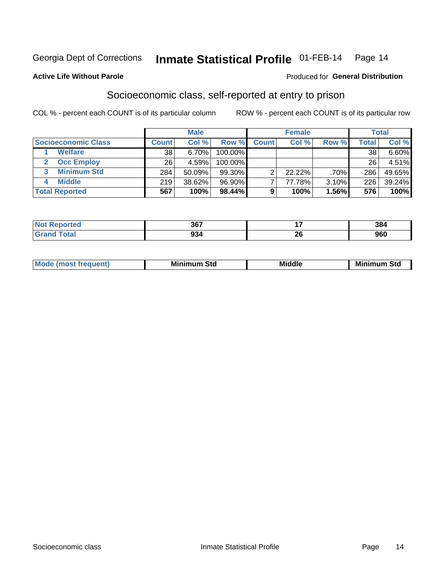#### Inmate Statistical Profile 01-FEB-14 Page 14

### **Active Life Without Parole**

## **Produced for General Distribution**

## Socioeconomic class, self-reported at entry to prison

COL % - percent each COUNT is of its particular column

|                       |              | <b>Male</b> |            |              | <b>Female</b> |       |       | <b>Total</b> |
|-----------------------|--------------|-------------|------------|--------------|---------------|-------|-------|--------------|
| Socioeconomic Class   | <b>Count</b> | Col %       | Row %      | <b>Count</b> | Col %         | Row % | Total | Col %        |
| <b>Welfare</b>        | 38           | 6.70%       | 100.00%    |              |               |       | 38    | $6.60\%$     |
| <b>Occ Employ</b>     | 26           | 4.59%       | $100.00\%$ |              |               |       | 26    | $4.51\%$     |
| <b>Minimum Std</b>    | 284          | 50.09%      | $99.30\%$  |              | $22.22\%$     | .70%  | 286   | 49.65%       |
| <b>Middle</b>         | 219          | 38.62%      | 96.90%     |              | 77.78%        | 3.10% | 226   | 39.24%       |
| <b>Total Reported</b> | 567          | 100%        | 98.44%     |              | 100%          | 1.56% | 576   | 100%         |

|        | 367 | --<br>$ -$     | 201<br>904 |
|--------|-----|----------------|------------|
| ______ | ົ   | nr.            | ncn        |
|        | JJ  | $\overline{ }$ | <b>JUU</b> |

|--|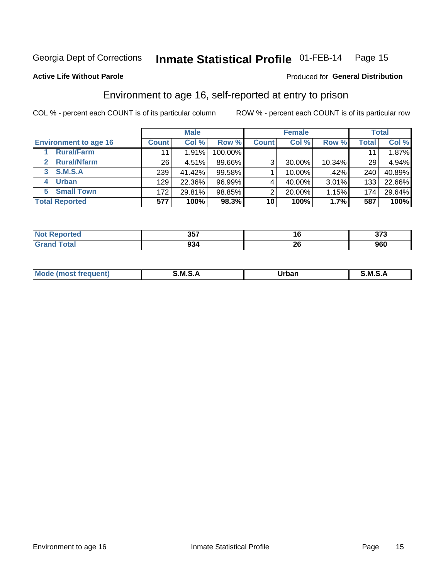## Inmate Statistical Profile 01-FEB-14 Page 15

**Active Life Without Parole** 

## Produced for General Distribution

## Environment to age 16, self-reported at entry to prison

COL % - percent each COUNT is of its particular column

|                                    |                 | <b>Male</b> |         |              | <b>Female</b> |        |       | <b>Total</b> |
|------------------------------------|-----------------|-------------|---------|--------------|---------------|--------|-------|--------------|
| <b>Environment to age 16</b>       | <b>Count</b>    | Col %       | Row %   | <b>Count</b> | Col %         | Row %  | Total | Col %        |
| <b>Rural/Farm</b>                  | 11              | 1.91%       | 100.00% |              |               |        |       | 1.87%        |
| <b>Rural/Nfarm</b><br>$\mathbf{2}$ | 26 <sub>1</sub> | 4.51%       | 89.66%  | 3            | 30.00%        | 10.34% | 29    | 4.94%        |
| 3 S.M.S.A                          | 239             | 41.42%      | 99.58%  |              | 10.00%        | .42%   | 240   | 40.89%       |
| <b>Urban</b><br>4                  | 129             | 22.36%      | 96.99%  |              | 40.00%        | 3.01%  | 133   | 22.66%       |
| <b>Small Town</b><br>5             | 172             | 29.81%      | 98.85%  | 2            | 20.00%        | 1.15%  | 174   | 29.64%       |
| <b>Total Reported</b>              | 577             | 100%        | 98.3%   | 10           | 100%          | 1.7%   | 587   | 100%         |

| N<br>teu<br>$\sim$ | $257$<br>JJ. | 10 | ~-~<br>. |
|--------------------|--------------|----|----------|
|                    | .<br>934     | ZU | 7UU      |

| $Mc$ | M | <b>Jrhan</b> | M.     |
|------|---|--------------|--------|
|      |   | _____        | ______ |
|      |   |              |        |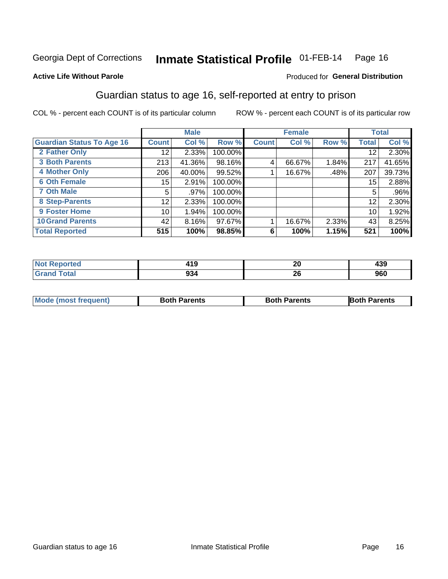### Inmate Statistical Profile 01-FEB-14 Page 16

## **Active Life Without Parole**

## Produced for General Distribution

## Guardian status to age 16, self-reported at entry to prison

COL % - percent each COUNT is of its particular column

|                                  |              | <b>Male</b> |         |              | <b>Female</b> |       |              | <b>Total</b> |
|----------------------------------|--------------|-------------|---------|--------------|---------------|-------|--------------|--------------|
| <b>Guardian Status To Age 16</b> | <b>Count</b> | Col %       | Row %   | <b>Count</b> | Col %         | Row % | <b>Total</b> | Col %        |
| 2 Father Only                    | 12           | 2.33%       | 100.00% |              |               |       | 12           | 2.30%        |
| <b>3 Both Parents</b>            | 213          | 41.36%      | 98.16%  | 4            | 66.67%        | 1.84% | 217          | 41.65%       |
| <b>4 Mother Only</b>             | 206          | 40.00%      | 99.52%  |              | 16.67%        | .48%  | 207          | 39.73%       |
| <b>6 Oth Female</b>              | 15           | 2.91%       | 100.00% |              |               |       | 15           | 2.88%        |
| <b>7 Oth Male</b>                | 5            | .97%        | 100.00% |              |               |       | 5            | $.96\%$      |
| 8 Step-Parents                   | 12           | 2.33%       | 100.00% |              |               |       | 12           | 2.30%        |
| 9 Foster Home                    | 10           | 1.94%       | 100.00% |              |               |       | 10           | 1.92%        |
| <b>10 Grand Parents</b>          | 42           | 8.16%       | 97.67%  |              | 16.67%        | 2.33% | 43           | 8.25%        |
| <b>Total Reported</b>            | 515          | 100%        | 98.85%  | 6            | 100%          | 1.15% | 521          | 100%         |

| Reported   | 10         | nr.              | 10 N |
|------------|------------|------------------|------|
| <b>NOT</b> | 41 J       | ZU               | 499  |
| Total      | nn.<br>934 | oc.<br>ZU<br>___ | 960  |

| <b>Mode (most frequent)</b> | <b>Both Parents</b> | <b>Both Parents</b> | <b>Both Parents</b> |
|-----------------------------|---------------------|---------------------|---------------------|
|                             |                     |                     |                     |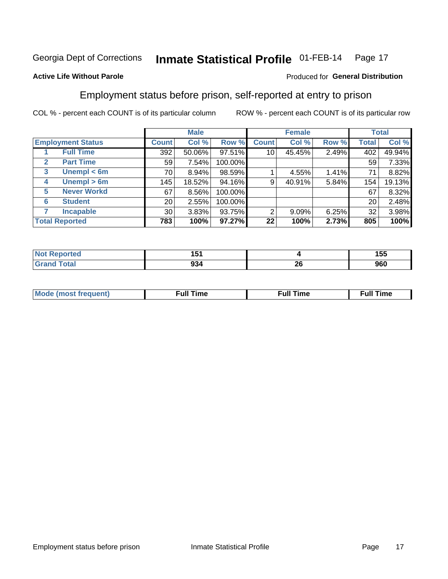#### Inmate Statistical Profile 01-FEB-14 Page 17

## **Active Life Without Parole**

## Produced for General Distribution

## Employment status before prison, self-reported at entry to prison

COL % - percent each COUNT is of its particular column

|                                  |                 | <b>Male</b> |         |                | <b>Female</b> |       |       | <b>Total</b> |
|----------------------------------|-----------------|-------------|---------|----------------|---------------|-------|-------|--------------|
| <b>Employment Status</b>         | Count l         | Col %       | Row %   | <b>Count</b>   | Col %         | Row % | Total | Col %        |
| <b>Full Time</b>                 | 392             | 50.06%      | 97.51%  | 10             | 45.45%        | 2.49% | 402   | 49.94%       |
| <b>Part Time</b><br>$\mathbf{2}$ | 59              | 7.54%       | 100.00% |                |               |       | 59    | 7.33%        |
| Unempl $<$ 6m<br>$\mathbf{3}$    | 70              | 8.94%       | 98.59%  |                | 4.55%         | 1.41% | 71    | 8.82%        |
| Unempl $> 6m$<br>4               | 145             | 18.52%      | 94.16%  | 9              | 40.91%        | 5.84% | 154   | 19.13%       |
| <b>Never Workd</b><br>5          | 67              | 8.56%       | 100.00% |                |               |       | 67    | 8.32%        |
| <b>Student</b><br>6              | 20              | 2.55%       | 100.00% |                |               |       | 20    | 2.48%        |
| <b>Incapable</b>                 | 30 <sup>1</sup> | 3.83%       | 93.75%  | $\overline{2}$ | $9.09\%$      | 6.25% | 32    | 3.98%        |
| <b>Total Reported</b>            | 783             | 100%        | 97.27%  | 22             | 100%          | 2.73% | 805   | 100%         |

| тес. | ו שו<br>$\sim$ $\sim$ $\sim$ |         | 155 |
|------|------------------------------|---------|-----|
|      | no,<br>YJ4                   | ີ<br>ZU | 960 |

| Mc | ∴ull | ----<br>ıme<br>w |
|----|------|------------------|
|    |      |                  |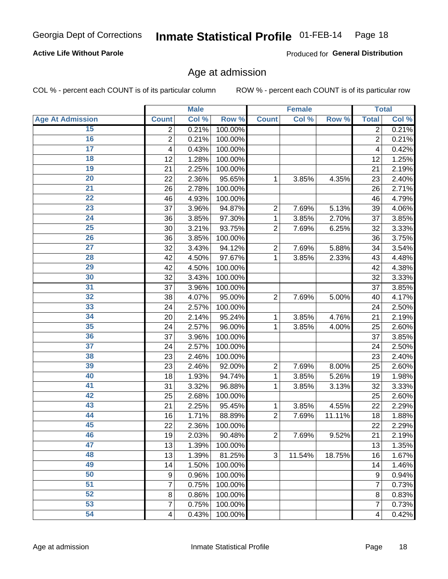### Inmate Statistical Profile 01-FEB-14 Page 18

## **Active Life Without Parole**

Produced for General Distribution

## Age at admission

COL % - percent each COUNT is of its particular column

|                         |                | <b>Male</b> |         |                | <b>Female</b> |        |                | <b>Total</b> |
|-------------------------|----------------|-------------|---------|----------------|---------------|--------|----------------|--------------|
| <b>Age At Admission</b> | <b>Count</b>   | Col %       | Row %   | <b>Count</b>   | Col %         | Row %  | <b>Total</b>   | Col %        |
| 15                      | 2              | 0.21%       | 100.00% |                |               |        | $\overline{2}$ | 0.21%        |
| 16                      | $\overline{2}$ | 0.21%       | 100.00% |                |               |        | $\overline{2}$ | 0.21%        |
| $\overline{17}$         | 4              | 0.43%       | 100.00% |                |               |        | 4              | 0.42%        |
| 18                      | 12             | 1.28%       | 100.00% |                |               |        | 12             | 1.25%        |
| 19                      | 21             | 2.25%       | 100.00% |                |               |        | 21             | 2.19%        |
| $\overline{20}$         | 22             | 2.36%       | 95.65%  | 1              | 3.85%         | 4.35%  | 23             | 2.40%        |
| 21                      | 26             | 2.78%       | 100.00% |                |               |        | 26             | 2.71%        |
| 22                      | 46             | 4.93%       | 100.00% |                |               |        | 46             | 4.79%        |
| 23                      | 37             | 3.96%       | 94.87%  | $\overline{2}$ | 7.69%         | 5.13%  | 39             | 4.06%        |
| 24                      | 36             | 3.85%       | 97.30%  | 1              | 3.85%         | 2.70%  | 37             | 3.85%        |
| $\overline{25}$         | 30             | 3.21%       | 93.75%  | $\overline{2}$ | 7.69%         | 6.25%  | 32             | 3.33%        |
| 26                      | 36             | 3.85%       | 100.00% |                |               |        | 36             | 3.75%        |
| $\overline{27}$         | 32             | 3.43%       | 94.12%  | $\overline{2}$ | 7.69%         | 5.88%  | 34             | 3.54%        |
| 28                      | 42             | 4.50%       | 97.67%  | 1              | 3.85%         | 2.33%  | 43             | 4.48%        |
| 29                      | 42             | 4.50%       | 100.00% |                |               |        | 42             | 4.38%        |
| 30                      | 32             | 3.43%       | 100.00% |                |               |        | 32             | 3.33%        |
| 31                      | 37             | 3.96%       | 100.00% |                |               |        | 37             | 3.85%        |
| 32                      | 38             | 4.07%       | 95.00%  | $\overline{2}$ | 7.69%         | 5.00%  | 40             | 4.17%        |
| 33                      | 24             | 2.57%       | 100.00% |                |               |        | 24             | 2.50%        |
| 34                      | 20             | 2.14%       | 95.24%  | 1              | 3.85%         | 4.76%  | 21             | 2.19%        |
| 35                      | 24             | 2.57%       | 96.00%  | 1              | 3.85%         | 4.00%  | 25             | 2.60%        |
| 36                      | 37             | 3.96%       | 100.00% |                |               |        | 37             | 3.85%        |
| $\overline{37}$         | 24             | 2.57%       | 100.00% |                |               |        | 24             | 2.50%        |
| 38                      | 23             | 2.46%       | 100.00% |                |               |        | 23             | 2.40%        |
| 39                      | 23             | 2.46%       | 92.00%  | $\overline{2}$ | 7.69%         | 8.00%  | 25             | 2.60%        |
| 40                      | 18             | 1.93%       | 94.74%  | 1              | 3.85%         | 5.26%  | 19             | 1.98%        |
| 41                      | 31             | 3.32%       | 96.88%  | 1              | 3.85%         | 3.13%  | 32             | 3.33%        |
| 42                      | 25             | 2.68%       | 100.00% |                |               |        | 25             | 2.60%        |
| 43                      | 21             | 2.25%       | 95.45%  | 1              | 3.85%         | 4.55%  | 22             | 2.29%        |
| 44                      | 16             | 1.71%       | 88.89%  | $\overline{2}$ | 7.69%         | 11.11% | 18             | 1.88%        |
| 45                      | 22             | 2.36%       | 100.00% |                |               |        | 22             | 2.29%        |
| 46                      | 19             | 2.03%       | 90.48%  | $\overline{2}$ | 7.69%         | 9.52%  | 21             | 2.19%        |
| 47                      | 13             | 1.39%       | 100.00% |                |               |        | 13             | 1.35%        |
| 48                      | 13             | 1.39%       | 81.25%  | 3              | 11.54%        | 18.75% | 16             | 1.67%        |
| 49                      | 14             | 1.50%       | 100.00% |                |               |        | 14             | 1.46%        |
| 50                      | 9              | 0.96%       | 100.00% |                |               |        | 9              | 0.94%        |
| $\overline{51}$         | $\overline{7}$ | 0.75%       | 100.00% |                |               |        | 7              | 0.73%        |
| 52                      | 8              | 0.86%       | 100.00% |                |               |        | 8              | 0.83%        |
| 53                      | 7              | 0.75%       | 100.00% |                |               |        | 7              | 0.73%        |
| 54                      | 4              | 0.43%       | 100.00% |                |               |        | 4              | 0.42%        |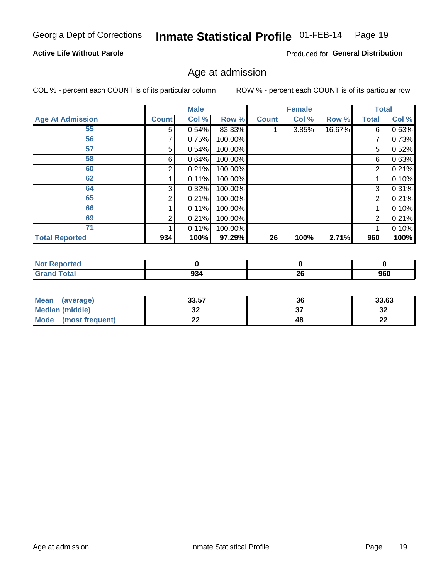## Inmate Statistical Profile 01-FEB-14 Page 19

## **Active Life Without Parole**

Produced for General Distribution

## Age at admission

COL % - percent each COUNT is of its particular column

|                         |              | <b>Male</b> |         |              | <b>Female</b> |        |                | <b>Total</b> |
|-------------------------|--------------|-------------|---------|--------------|---------------|--------|----------------|--------------|
| <b>Age At Admission</b> | <b>Count</b> | Col %       | Row %   | <b>Count</b> | Col %         | Row %  | Total          | Col %        |
| 55                      | 5            | 0.54%       | 83.33%  |              | 3.85%         | 16.67% | 6              | 0.63%        |
| 56                      | 7            | 0.75%       | 100.00% |              |               |        | 7              | 0.73%        |
| 57                      | 5            | 0.54%       | 100.00% |              |               |        | 5              | 0.52%        |
| 58                      | 6            | 0.64%       | 100.00% |              |               |        | 6              | 0.63%        |
| 60                      | 2            | 0.21%       | 100.00% |              |               |        | 2              | 0.21%        |
| 62                      |              | 0.11%       | 100.00% |              |               |        |                | 0.10%        |
| 64                      | 3            | 0.32%       | 100.00% |              |               |        | 3              | 0.31%        |
| 65                      | 2            | 0.21%       | 100.00% |              |               |        | $\overline{2}$ | 0.21%        |
| 66                      |              | 0.11%       | 100.00% |              |               |        |                | 0.10%        |
| 69                      | 2            | 0.21%       | 100.00% |              |               |        | 2              | 0.21%        |
| 71                      |              | 0.11%       | 100.00% |              |               |        |                | 0.10%        |
| <b>Total Reported</b>   | 934          | 100%        | 97.29%  | 26           | 100%          | 2.71%  | 960            | 100%         |

| Reported<br><b>NOT F</b> |      |     |     |
|--------------------------|------|-----|-----|
| <b>Total</b>             | nn i | nc. | 960 |
| Cro                      | 934  | ZU  |     |

| <b>Mean</b><br>(average)       | 33.57   | 36 | 33.63    |
|--------------------------------|---------|----|----------|
| <b>Median (middle)</b>         | ົ<br>JŁ |    | ົາ<br>⊾ت |
| <b>Mode</b><br>(most frequent) | - -     | 48 | n.<br>44 |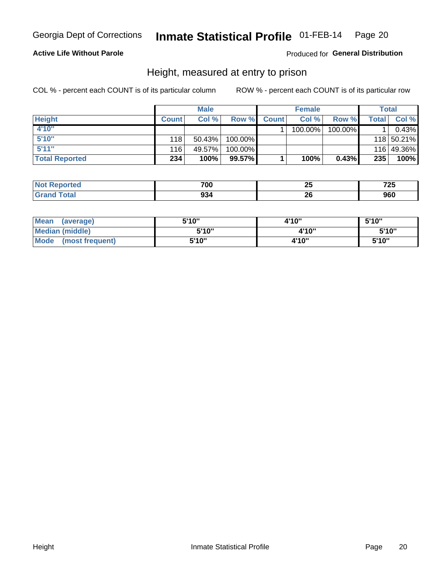## Inmate Statistical Profile 01-FEB-14 Page 20

## **Active Life Without Parole**

## Produced for General Distribution

## Height, measured at entry to prison

COL % - percent each COUNT is of its particular column

|                       |              | <b>Male</b> |         |              | <b>Female</b> |         |              | Total      |
|-----------------------|--------------|-------------|---------|--------------|---------------|---------|--------------|------------|
| <b>Height</b>         | <b>Count</b> | Col %       | Row %   | <b>Count</b> | Col %         | Row %   | <b>Total</b> | Col %      |
| 4'10"                 |              |             |         |              | 100.00%       | 100.00% |              | 0.43%      |
| 5'10"                 | 118          | 50.43%      | 100.00% |              |               |         |              | 118 50.21% |
| 5'11''                | 116          | 49.57%      | 100.00% |              |               |         |              | 116 49.36% |
| <b>Total Reported</b> | 234          | 100%        | 99.57%  |              | 100%          | 0.43%   | 235          | 100%       |

| <b>Not</b>   | 700 | . .    | フヘビ    |
|--------------|-----|--------|--------|
| orted        |     | ~      | ∼      |
| ем           |     | $\sim$ | $\sim$ |
| <b>Total</b> | 934 | oc     | nen    |
| ' Grano      |     | 44     | JOU    |

| <b>Mean</b><br>(average)       | 5'10"  | 4'10" | 5'10"  |
|--------------------------------|--------|-------|--------|
| <b>Median (middle)</b>         | 5'10"  | 4'10" | 5'10"  |
| <b>Mode</b><br>(most frequent) | 5'10'' | 4'10" | 5'10'' |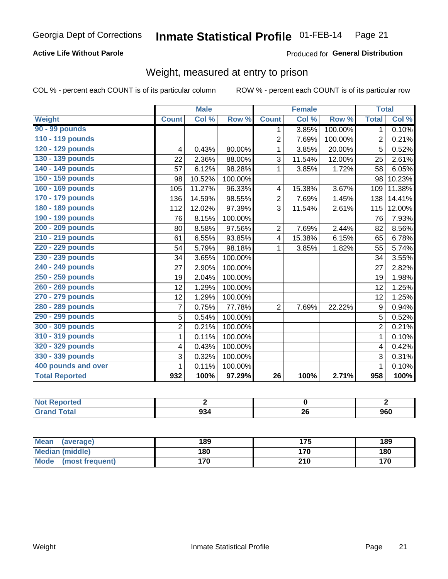#### Inmate Statistical Profile 01-FEB-14 Page 21

## **Active Life Without Parole**

Produced for General Distribution

## Weight, measured at entry to prison

COL % - percent each COUNT is of its particular column

|                       |                | <b>Male</b> |         |                | <b>Female</b> |         | <b>Total</b>   |        |
|-----------------------|----------------|-------------|---------|----------------|---------------|---------|----------------|--------|
| <b>Weight</b>         | <b>Count</b>   | Col %       | Row %   | <b>Count</b>   | Col %         | Row %   | <b>Total</b>   | Col %  |
| 90 - 99 pounds        |                |             |         | 1.             | 3.85%         | 100.00% | 1              | 0.10%  |
| 110 - 119 pounds      |                |             |         | $\overline{2}$ | 7.69%         | 100.00% | $\overline{2}$ | 0.21%  |
| 120 - 129 pounds      | 4              | 0.43%       | 80.00%  | 1              | 3.85%         | 20.00%  | 5              | 0.52%  |
| 130 - 139 pounds      | 22             | 2.36%       | 88.00%  | 3              | 11.54%        | 12.00%  | 25             | 2.61%  |
| 140 - 149 pounds      | 57             | 6.12%       | 98.28%  | 1              | 3.85%         | 1.72%   | 58             | 6.05%  |
| 150 - 159 pounds      | 98             | 10.52%      | 100.00% |                |               |         | 98             | 10.23% |
| 160 - 169 pounds      | 105            | 11.27%      | 96.33%  | 4              | 15.38%        | 3.67%   | 109            | 11.38% |
| 170 - 179 pounds      | 136            | 14.59%      | 98.55%  | $\overline{2}$ | 7.69%         | 1.45%   | 138            | 14.41% |
| 180 - 189 pounds      | 112            | 12.02%      | 97.39%  | 3              | 11.54%        | 2.61%   | 115            | 12.00% |
| 190 - 199 pounds      | 76             | 8.15%       | 100.00% |                |               |         | 76             | 7.93%  |
| 200 - 209 pounds      | 80             | 8.58%       | 97.56%  | $\overline{2}$ | 7.69%         | 2.44%   | 82             | 8.56%  |
| 210 - 219 pounds      | 61             | 6.55%       | 93.85%  | 4              | 15.38%        | 6.15%   | 65             | 6.78%  |
| 220 - 229 pounds      | 54             | 5.79%       | 98.18%  | 1              | 3.85%         | 1.82%   | 55             | 5.74%  |
| 230 - 239 pounds      | 34             | 3.65%       | 100.00% |                |               |         | 34             | 3.55%  |
| 240 - 249 pounds      | 27             | 2.90%       | 100.00% |                |               |         | 27             | 2.82%  |
| 250 - 259 pounds      | 19             | 2.04%       | 100.00% |                |               |         | 19             | 1.98%  |
| 260 - 269 pounds      | 12             | 1.29%       | 100.00% |                |               |         | 12             | 1.25%  |
| 270 - 279 pounds      | 12             | 1.29%       | 100.00% |                |               |         | 12             | 1.25%  |
| 280 - 289 pounds      | $\overline{7}$ | 0.75%       | 77.78%  | $\overline{2}$ | 7.69%         | 22.22%  | 9              | 0.94%  |
| 290 - 299 pounds      | 5              | 0.54%       | 100.00% |                |               |         | 5              | 0.52%  |
| 300 - 309 pounds      | $\overline{c}$ | 0.21%       | 100.00% |                |               |         | $\overline{2}$ | 0.21%  |
| 310 - 319 pounds      | $\mathbf{1}$   | 0.11%       | 100.00% |                |               |         | $\mathbf{1}$   | 0.10%  |
| 320 - 329 pounds      | 4              | 0.43%       | 100.00% |                |               |         | 4              | 0.42%  |
| 330 - 339 pounds      | 3              | 0.32%       | 100.00% |                |               |         | 3              | 0.31%  |
| 400 pounds and over   | $\mathbf{1}$   | 0.11%       | 100.00% |                |               |         | 1              | 0.10%  |
| <b>Total Reported</b> | 932            | 100%        | 97.29%  | 26             | 100%          | 2.71%   | 958            | 100%   |

| : Reported<br>NOT.<br> |     |    |     |
|------------------------|-----|----|-----|
| <b>c</b> otal          | 934 | ZV | 960 |

| Mean (average)                 | 189 | 175 | 189 |
|--------------------------------|-----|-----|-----|
| <b>Median (middle)</b>         | 180 | 170 | 180 |
| <b>Mode</b><br>(most frequent) | 170 | 210 | 170 |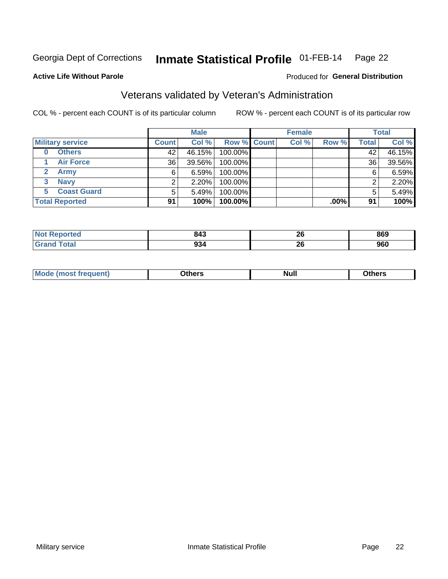#### Inmate Statistical Profile 01-FEB-14 Page 22

### **Active Life Without Parole**

## Produced for General Distribution

## Veterans validated by Veteran's Administration

COL % - percent each COUNT is of its particular column

|                         |              | <b>Male</b> |                    | <b>Female</b> |         |              | <b>Total</b> |
|-------------------------|--------------|-------------|--------------------|---------------|---------|--------------|--------------|
| <b>Military service</b> | <b>Count</b> | Col %       | <b>Row % Count</b> | Col %         | Row %   | <b>Total</b> | Col %        |
| <b>Others</b><br>0      | 42           | 46.15%      | 100.00%            |               |         | 42           | 46.15%       |
| <b>Air Force</b>        | 36           | 39.56%      | 100.00%            |               |         | 36           | 39.56%       |
| <b>Army</b>             | 6            | 6.59%       | 100.00%            |               |         | 6            | 6.59%        |
| <b>Navy</b><br>3        |              | 2.20%       | 100.00%            |               |         | ⌒            | 2.20%        |
| <b>Coast Guard</b><br>5 |              | 5.49%       | 100.00%            |               |         | 5            | 5.49%        |
| <b>Total Reported</b>   | 91           | 100%        | 100.00%            |               | $.00\%$ | 91           | 100%         |

| rreo<br>N.             | 843         | ጎር<br>ZU           | 869 |
|------------------------|-------------|--------------------|-----|
| $f \wedge f \wedge f'$ | 934<br>$ -$ | ኅር<br>ZV<br>$\sim$ | 960 |

| Mo<br><b>Null</b><br>วthers<br>______<br>_____<br>____ |
|--------------------------------------------------------|
|--------------------------------------------------------|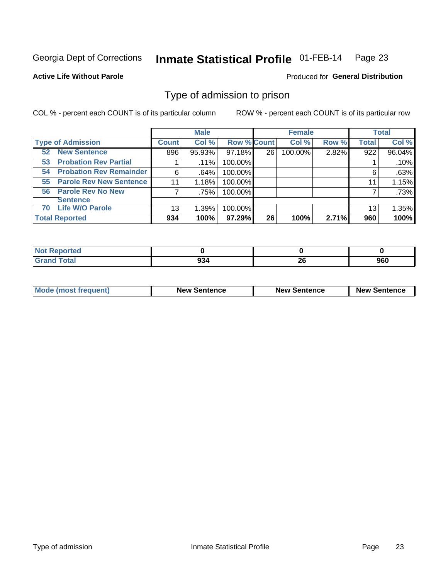### Inmate Statistical Profile 01-FEB-14 Page 23

**Active Life Without Parole** 

**Produced for General Distribution** 

## Type of admission to prison

COL % - percent each COUNT is of its particular column

|                                      |              | <b>Male</b> |                    |    | <b>Female</b> |       |              | <b>Total</b> |
|--------------------------------------|--------------|-------------|--------------------|----|---------------|-------|--------------|--------------|
| <b>Type of Admission</b>             | <b>Count</b> | Col %       | <b>Row % Count</b> |    | Col %         | Row % | <b>Total</b> | Col %        |
| <b>52 New Sentence</b>               | 896          | 95.93%      | 97.18%             | 26 | 100.00%       | 2.82% | 922          | 96.04%       |
| <b>Probation Rev Partial</b><br>53   |              | $.11\%$     | 100.00%            |    |               |       |              | .10%         |
| <b>Probation Rev Remainder</b><br>54 | 6            | .64%        | 100.00%            |    |               |       | 6            | .63%         |
| 55 Parole Rev New Sentence           | 11           | 1.18%       | 100.00%            |    |               |       | 11           | 1.15%        |
| 56 Parole Rev No New                 |              | .75%        | 100.00%            |    |               |       |              | .73%         |
| <b>Sentence</b>                      |              |             |                    |    |               |       |              |              |
| <b>Life W/O Parole</b><br>70         | 13           | 1.39%       | 100.00%            |    |               |       | 13           | 1.35%        |
| <b>Total Reported</b>                | 934          | 100%        | $97.29\%$          | 26 | 100%          | 2.71% | 960          | 100%         |

| Reported<br>Nt |            |    |     |
|----------------|------------|----|-----|
| <b>Total</b>   | nn.<br>YJ4 | 26 | 960 |

| <b>Mode (most frequent)</b> | <b>New Sentence</b> | <b>New Sentence</b> | <b>New Sentence</b> |
|-----------------------------|---------------------|---------------------|---------------------|
|                             |                     |                     |                     |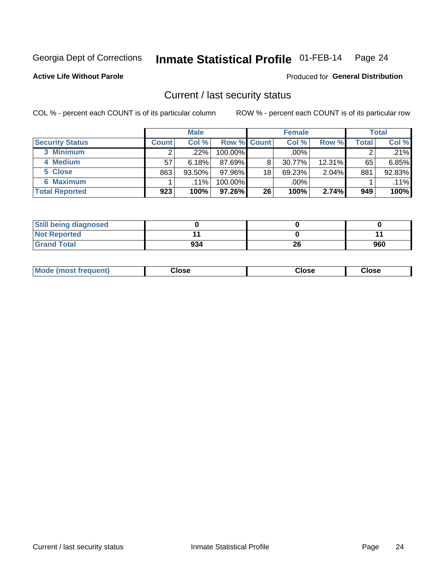## Inmate Statistical Profile 01-FEB-14 Page 24

**Active Life Without Parole** 

Produced for General Distribution

## Current / last security status

COL % - percent each COUNT is of its particular column

|                        |              | <b>Male</b> |                    |    | <b>Female</b> |           |       | <b>Total</b> |
|------------------------|--------------|-------------|--------------------|----|---------------|-----------|-------|--------------|
| <b>Security Status</b> | <b>Count</b> | Col%        | <b>Row % Count</b> |    | Col %         | Row %     | Total | Col %        |
| 3 Minimum              |              | .22%        | 100.00%            |    | .00%          |           |       | .21%         |
| 4 Medium               | 57           | 6.18%       | 87.69%             | 8  | 30.77%        | $12.31\%$ | 65    | 6.85%        |
| 5 Close                | 863          | 93.50%      | 97.96%             | 18 | 69.23%        | 2.04%     | 881   | 92.83%       |
| <b>6 Maximum</b>       |              | .11%        | 100.00%            |    | .00%          |           |       | $.11\%$      |
| <b>Total Reported</b>  | 923          | 100%        | $97.26\%$          | 26 | 100%          | 2.74%     | 949   | 100%         |

| <b>Still being diagnosed</b> |     |    |     |
|------------------------------|-----|----|-----|
| <b>Not Reported</b>          |     |    |     |
| <b>Grand Total</b>           | 934 | 26 | 960 |

| <b>Mode</b><br>'requent)<br>۔lose<br>Close<br>Close<br>n iması .<br>- - - -<br>- - - -<br>- - - - |  |
|---------------------------------------------------------------------------------------------------|--|
|---------------------------------------------------------------------------------------------------|--|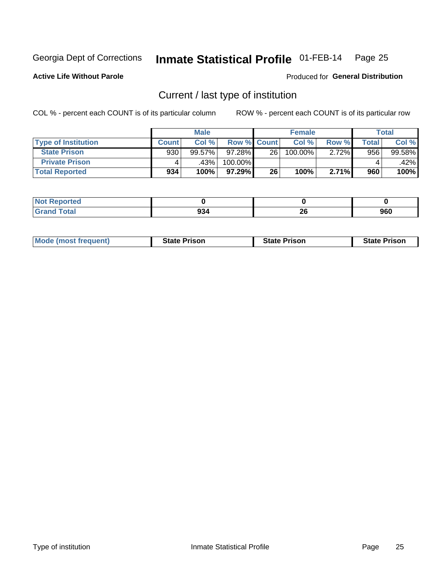### Inmate Statistical Profile 01-FEB-14 Page 25

**Active Life Without Parole** 

**Produced for General Distribution** 

## Current / last type of institution

COL % - percent each COUNT is of its particular column

|                            |              | <b>Male</b> |                    |    | <b>Female</b> |       |       | <b>Total</b> |
|----------------------------|--------------|-------------|--------------------|----|---------------|-------|-------|--------------|
| <b>Type of Institution</b> | <b>Count</b> | Col %       | <b>Row % Count</b> |    | Col %         | Row % | Total | Col %        |
| <b>State Prison</b>        | 930          | $99.57\%$   | 97.28%             | 26 | 100.00%       | 2.72% | 956   | 99.58%       |
| <b>Private Prison</b>      |              | .43%        | 100.00%            |    |               |       |       | .42%         |
| <b>Total Reported</b>      | 934          | 100%        | 97.29%             | 26 | 100%          | 2.71% | 960   | 100%         |

| rtea                        |           |          |     |
|-----------------------------|-----------|----------|-----|
| $\sim$ $\sim$ $\sim$ $\sim$ | ΩΩ<br>YJ4 | റമ<br>ZΟ | 960 |

| <b>Mode (most frequent)</b> | <b>State Prison</b> | <b>State Prison</b> | <b>State Prison</b> |
|-----------------------------|---------------------|---------------------|---------------------|
|                             |                     |                     |                     |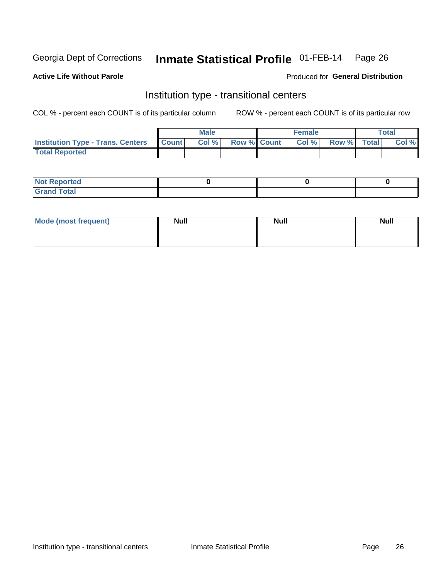### Inmate Statistical Profile 01-FEB-14 Page 26

### **Active Life Without Parole**

## Produced for General Distribution

## Institution type - transitional centers

COL % - percent each COUNT is of its particular column

|                                                | Male  |                    | <b>Female</b> |                   | Total |
|------------------------------------------------|-------|--------------------|---------------|-------------------|-------|
| <b>Institution Type - Trans. Centers Count</b> | Col % | <b>Row % Count</b> |               | Col % Row % Total | Col % |
| <b>Total Reported</b>                          |       |                    |               |                   |       |

| <b>Reported</b><br><b>NOT</b><br>$\sim$            |  |  |
|----------------------------------------------------|--|--|
| $f$ $f \circ f \circ f$<br>$C = 1$<br><b>TULAI</b> |  |  |

| Mode (most frequent) | <b>Null</b> | <b>Null</b> | <b>Null</b> |
|----------------------|-------------|-------------|-------------|
|                      |             |             |             |
|                      |             |             |             |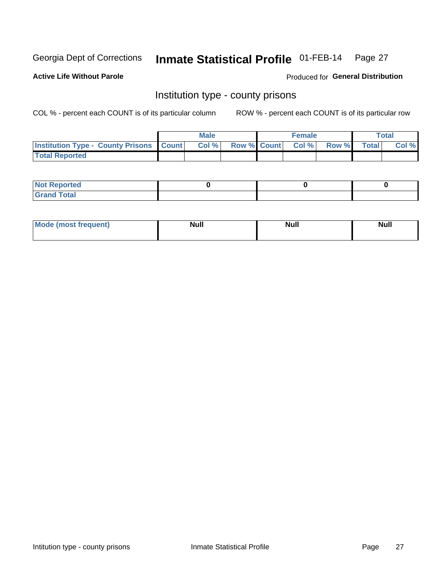### Inmate Statistical Profile 01-FEB-14 Page 27

**Active Life Without Parole** 

**Produced for General Distribution** 

## Institution type - county prisons

COL % - percent each COUNT is of its particular column

|                                                    | <b>Male</b> |                          | <b>Female</b> |             | <b>Total</b> |
|----------------------------------------------------|-------------|--------------------------|---------------|-------------|--------------|
| <b>Institution Type - County Prisons   Count  </b> | Col %       | <b>Row % Count Col %</b> |               | Row % Total | Col %        |
| <b>Total Reported</b>                              |             |                          |               |             |              |

| <b>Not Reported</b>         |  |  |
|-----------------------------|--|--|
| <b>Total</b><br>-<br>______ |  |  |

| <b>Mode</b>      | <b>Null</b> | <b>Null</b> | <b>Null</b> |
|------------------|-------------|-------------|-------------|
| (most freauent). |             |             |             |
|                  |             |             |             |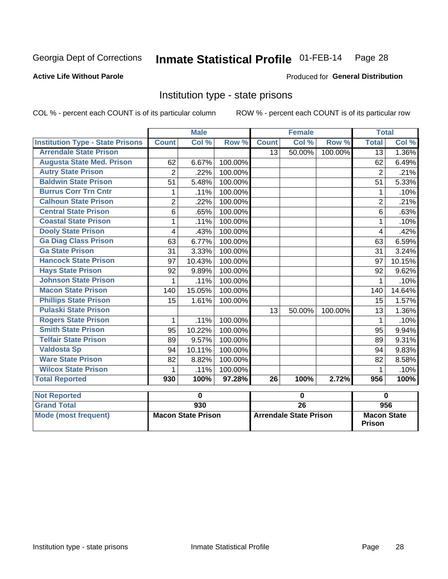### Inmate Statistical Profile 01-FEB-14 Page 28

## **Active Life Without Parole**

## **Produced for General Distribution**

## Institution type - state prisons

COL % - percent each COUNT is of its particular column

|                                         |                | <b>Male</b> |         |                 | <b>Female</b> |         | <b>Total</b>   |        |
|-----------------------------------------|----------------|-------------|---------|-----------------|---------------|---------|----------------|--------|
| <b>Institution Type - State Prisons</b> | <b>Count</b>   | Col %       | Row %   | <b>Count</b>    | Col %         | Row %   | <b>Total</b>   | Col %  |
| <b>Arrendale State Prison</b>           |                |             |         | 13              | 50.00%        | 100.00% | 13             | 1.36%  |
| <b>Augusta State Med. Prison</b>        | 62             | 6.67%       | 100.00% |                 |               |         | 62             | 6.49%  |
| <b>Autry State Prison</b>               | $\overline{2}$ | .22%        | 100.00% |                 |               |         | $\overline{2}$ | .21%   |
| <b>Baldwin State Prison</b>             | 51             | 5.48%       | 100.00% |                 |               |         | 51             | 5.33%  |
| <b>Burrus Corr Trn Cntr</b>             | 1              | .11%        | 100.00% |                 |               |         | 1              | .10%   |
| <b>Calhoun State Prison</b>             | $\overline{2}$ | .22%        | 100.00% |                 |               |         | $\overline{2}$ | .21%   |
| <b>Central State Prison</b>             | $6\phantom{1}$ | .65%        | 100.00% |                 |               |         | 6              | .63%   |
| <b>Coastal State Prison</b>             | 1              | .11%        | 100.00% |                 |               |         | 1              | .10%   |
| <b>Dooly State Prison</b>               | 4              | .43%        | 100.00% |                 |               |         | 4              | .42%   |
| <b>Ga Diag Class Prison</b>             | 63             | 6.77%       | 100.00% |                 |               |         | 63             | 6.59%  |
| <b>Ga State Prison</b>                  | 31             | 3.33%       | 100.00% |                 |               |         | 31             | 3.24%  |
| <b>Hancock State Prison</b>             | 97             | 10.43%      | 100.00% |                 |               |         | 97             | 10.15% |
| <b>Hays State Prison</b>                | 92             | 9.89%       | 100.00% |                 |               |         | 92             | 9.62%  |
| <b>Johnson State Prison</b>             | 1              | .11%        | 100.00% |                 |               |         | 1              | .10%   |
| <b>Macon State Prison</b>               | 140            | 15.05%      | 100.00% |                 |               |         | 140            | 14.64% |
| <b>Phillips State Prison</b>            | 15             | 1.61%       | 100.00% |                 |               |         | 15             | 1.57%  |
| <b>Pulaski State Prison</b>             |                |             |         | 13              | 50.00%        | 100.00% | 13             | 1.36%  |
| <b>Rogers State Prison</b>              | 1              | .11%        | 100.00% |                 |               |         | 1              | .10%   |
| <b>Smith State Prison</b>               | 95             | 10.22%      | 100.00% |                 |               |         | 95             | 9.94%  |
| <b>Telfair State Prison</b>             | 89             | 9.57%       | 100.00% |                 |               |         | 89             | 9.31%  |
| <b>Valdosta Sp</b>                      | 94             | 10.11%      | 100.00% |                 |               |         | 94             | 9.83%  |
| <b>Ware State Prison</b>                | 82             | 8.82%       | 100.00% |                 |               |         | 82             | 8.58%  |
| <b>Wilcox State Prison</b>              | 1              | .11%        | 100.00% |                 |               |         | 1              | .10%   |
| <b>Total Reported</b>                   | 930            | 100%        | 97.28%  | $\overline{26}$ | 100%          | 2.72%   | 956            | 100%   |
| <b>Not Reported</b>                     |                | 0           |         |                 | 0             |         | $\bf{0}$       |        |

| <b>INOT REDOFTED</b> |                           |                               |                                     |
|----------------------|---------------------------|-------------------------------|-------------------------------------|
| <b>Grand Total</b>   | 930                       | 26                            | 956                                 |
| Mode (most frequent) | <b>Macon State Prison</b> | <b>Arrendale State Prison</b> | <b>Macon State</b><br><b>Prison</b> |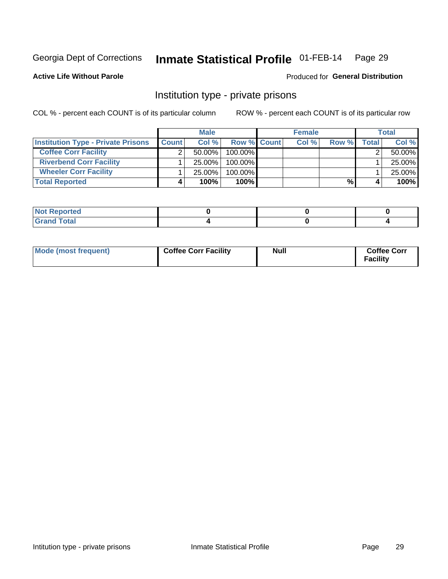### Inmate Statistical Profile 01-FEB-14 Page 29

**Produced for General Distribution** 

## **Active Life Without Parole**

## Institution type - private prisons

COL % - percent each COUNT is of its particular column

|                                           |              | <b>Male</b> |                    | <b>Female</b> |       |              | <b>Total</b> |
|-------------------------------------------|--------------|-------------|--------------------|---------------|-------|--------------|--------------|
| <b>Institution Type - Private Prisons</b> | <b>Count</b> | Col%        | <b>Row % Count</b> | Col %         | Row % | <b>Total</b> | Col %        |
| <b>Coffee Corr Facility</b>               |              | $50.00\%$   | $100.00\%$         |               |       |              | 50.00%       |
| <b>Riverbend Corr Facility</b>            |              | $25.00\%$   | $100.00\%$         |               |       |              | 25.00%       |
| <b>Wheeler Corr Facility</b>              |              | $25.00\%$   | $100.00\%$         |               |       |              | 25.00%       |
| <b>Total Reported</b>                     |              | 100%        | 100%               |               | %     |              | 100%         |

| Not Reported |  |  |
|--------------|--|--|
| <b>otal</b>  |  |  |

| Mode (most frequent) | <b>Coffee Corr Facility</b> | Null | <b>Coffee Corr</b><br>Facility |
|----------------------|-----------------------------|------|--------------------------------|
|----------------------|-----------------------------|------|--------------------------------|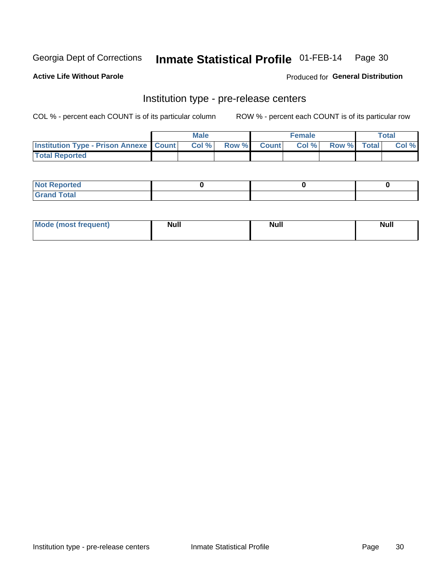## Inmate Statistical Profile 01-FEB-14 Page 30

**Active Life Without Parole** 

Produced for General Distribution

## Institution type - pre-release centers

COL % - percent each COUNT is of its particular column

|                                                   | <b>Male</b> |              |       | <b>Female</b> |                    | <b>Total</b> |
|---------------------------------------------------|-------------|--------------|-------|---------------|--------------------|--------------|
| <b>Institution Type - Prison Annexe   Count  </b> | Col %       | <b>Row %</b> | Count | Col %         | <b>Row %</b> Total | Col %        |
| <b>Total Reported</b>                             |             |              |       |               |                    |              |

| <b>Reported</b><br>I NOT |  |  |
|--------------------------|--|--|
| <b>Total</b><br>$C$ ren  |  |  |

| <b>Mo</b><br>frequent)<br>(most | <b>Null</b> | <b>Null</b> | <b>Null</b> |
|---------------------------------|-------------|-------------|-------------|
|                                 |             |             |             |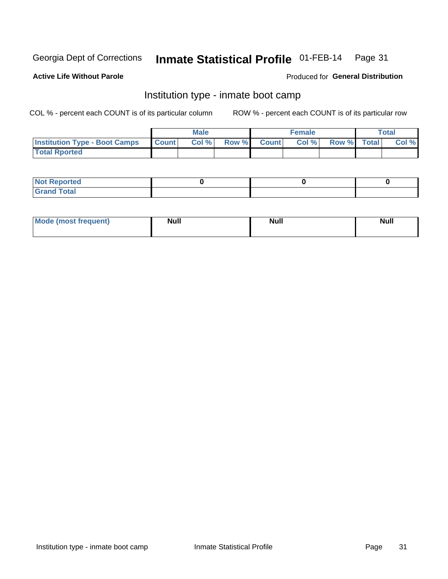### Inmate Statistical Profile 01-FEB-14 Page 31

### **Active Life Without Parole**

## Produced for General Distribution

## Institution type - inmate boot camp

COL % - percent each COUNT is of its particular column

|                                      |                  | <b>Male</b> |              |              | <b>Female</b> |             | <b>Total</b> |
|--------------------------------------|------------------|-------------|--------------|--------------|---------------|-------------|--------------|
| <b>Institution Type - Boot Camps</b> | <b>I</b> Count I | Col %       | <b>Row %</b> | <b>Count</b> | Col %         | Row % Total | Col %        |
| <b>Total Rported</b>                 |                  |             |              |              |               |             |              |

| <b>Not Reported</b> |  |  |
|---------------------|--|--|
| <b>Total</b><br>Cro |  |  |

| <b>I Mode (most frequent)</b> | <b>Null</b> | <b>Null</b> | <b>Null</b> |
|-------------------------------|-------------|-------------|-------------|
|                               |             |             |             |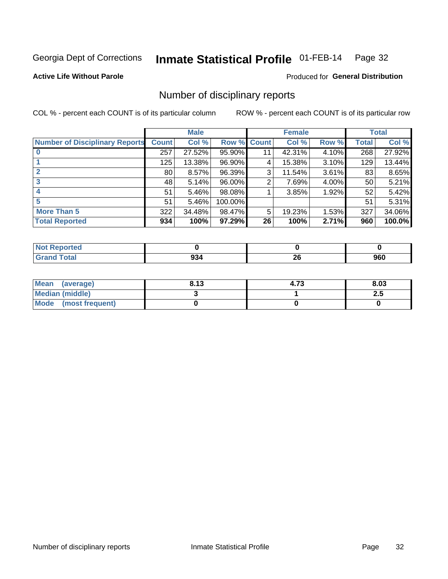### Inmate Statistical Profile 01-FEB-14 Page 32

**Active Life Without Parole** 

**Produced for General Distribution** 

## Number of disciplinary reports

COL % - percent each COUNT is of its particular column

|                                       |                 | <b>Male</b> |             |    | <b>Female</b> |          |              | <b>Total</b> |
|---------------------------------------|-----------------|-------------|-------------|----|---------------|----------|--------------|--------------|
| <b>Number of Disciplinary Reports</b> | <b>Count</b>    | Col %       | Row % Count |    | Col %         | Row %    | <b>Total</b> | Col %        |
|                                       | 257             | 27.52%      | 95.90%      | 11 | 42.31%        | 4.10%    | 268          | 27.92%       |
|                                       | 125             | 13.38%      | 96.90%      | 4  | 15.38%        | 3.10%    | 129          | 13.44%       |
|                                       | 80 <sub>1</sub> | 8.57%       | 96.39%      | 3  | 11.54%        | $3.61\%$ | 83           | 8.65%        |
| 3                                     | 48              | 5.14%       | 96.00%      | 2  | 7.69%         | $4.00\%$ | 50           | 5.21%        |
|                                       | 51              | 5.46%       | 98.08%      |    | 3.85%         | 1.92%    | 52           | 5.42%        |
| 5                                     | 51              | 5.46%       | 100.00%     |    |               |          | 51           | 5.31%        |
| <b>More Than 5</b>                    | 322             | 34.48%      | 98.47%      | 5  | 19.23%        | $1.53\%$ | 327          | 34.06%       |
| <b>Total Reported</b>                 | 934             | 100%        | 97.29%      | 26 | 100%          | 2.71%    | 960          | 100.0%       |

| <b>orted</b><br>NOT |     |           |     |
|---------------------|-----|-----------|-----|
| <b>Total</b>        | 994 | ne.<br>ZU | 960 |

| Mean (average)         | 8.13 | 4.73 | 8.03 |
|------------------------|------|------|------|
| <b>Median (middle)</b> |      |      | د.ء  |
| Mode (most frequent)   |      |      |      |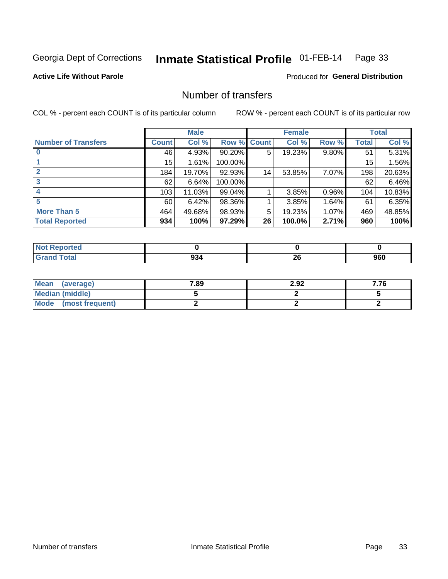### Inmate Statistical Profile 01-FEB-14 Page 33

**Active Life Without Parole** 

**Produced for General Distribution** 

## Number of transfers

COL % - percent each COUNT is of its particular column

|                            |       | <b>Male</b> |                    |    | <b>Female</b> |          |              | <b>Total</b> |
|----------------------------|-------|-------------|--------------------|----|---------------|----------|--------------|--------------|
| <b>Number of Transfers</b> | Count | Col %       | <b>Row % Count</b> |    | Col %         | Row %    | <b>Total</b> | Col %        |
|                            | 46    | 4.93%       | 90.20%             | 5  | 19.23%        | 9.80%    | 51           | 5.31%        |
|                            | 15    | 1.61%       | 100.00%            |    |               |          | 15           | 1.56%        |
| $\mathbf{2}$               | 184   | 19.70%      | 92.93%             | 14 | 53.85%        | 7.07%    | 198          | 20.63%       |
| 3                          | 62    | 6.64%       | 100.00%            |    |               |          | 62           | 6.46%        |
|                            | 103   | 11.03%      | 99.04%             |    | 3.85%         | $0.96\%$ | 104          | 10.83%       |
| 5                          | 60    | 6.42%       | 98.36%             |    | 3.85%         | 1.64%    | 61           | 6.35%        |
| <b>More Than 5</b>         | 464   | 49.68%      | 98.93%             | 5  | 19.23%        | 1.07%    | 469          | 48.85%       |
| <b>Total Reported</b>      | 934   | 100%        | 97.29%             | 26 | 100.0%        | 2.71%    | 960          | 100%         |

| <b>prted</b><br>NO |           |               |     |
|--------------------|-----------|---------------|-----|
| <b>otal</b>        | nn<br>יטכ | ጣ<br>∠∪<br>__ | 960 |

| Mean (average)       | 7.89 | 2.92 | 7.76 |
|----------------------|------|------|------|
| Median (middle)      |      |      |      |
| Mode (most frequent) |      |      |      |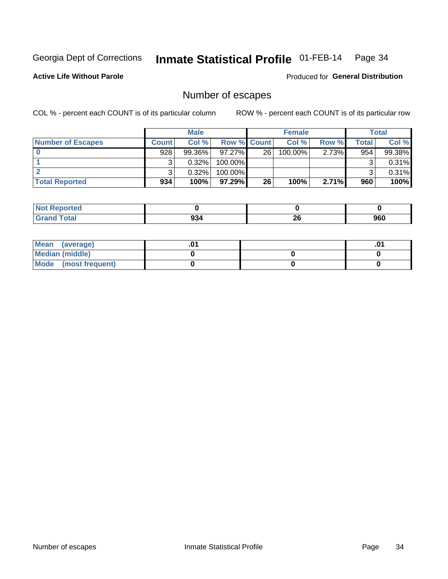### Inmate Statistical Profile 01-FEB-14 Page 34

**Active Life Without Parole** 

**Produced for General Distribution** 

## Number of escapes

COL % - percent each COUNT is of its particular column

|                          |         | <b>Male</b> |                    |    | <b>Female</b> |       |       | <b>Total</b> |
|--------------------------|---------|-------------|--------------------|----|---------------|-------|-------|--------------|
| <b>Number of Escapes</b> | Count l | Col %       | <b>Row % Count</b> |    | Col %         | Row % | Total | Col %        |
|                          | 928     | $99.36\%$   | $97.27\%$          | 26 | $100.00\%$    | 2.73% | 954   | 99.38%       |
|                          |         | 0.32%       | 100.00%            |    |               |       |       | 0.31%        |
|                          |         | 0.32%       | $100.00\%$         |    |               |       |       | 0.31%        |
| <b>Total Reported</b>    | 934     | 100%        | 97.29%             | 26 | 100%          | 2.71% | 960   | 100%         |

| <b>Not Reported</b> |     |           |     |
|---------------------|-----|-----------|-----|
| <b>Grand Total</b>  | 934 | oc.<br>ZU | 960 |

| Mean (average)       |  | .01 |
|----------------------|--|-----|
| Median (middle)      |  |     |
| Mode (most frequent) |  |     |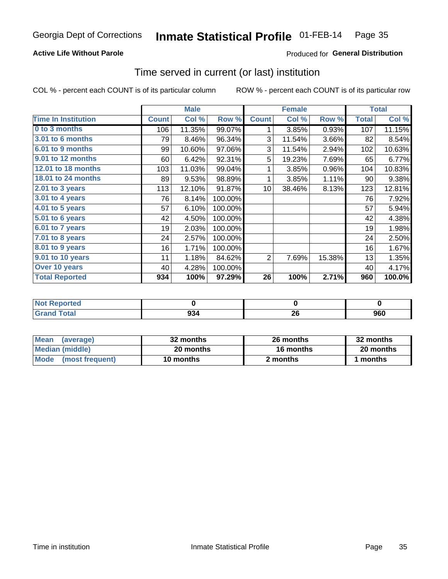#### Inmate Statistical Profile 01-FEB-14 Page 35

## **Active Life Without Parole**

## Produced for General Distribution

## Time served in current (or last) institution

COL % - percent each COUNT is of its particular column

|                            | <b>Male</b>  |        | <b>Female</b> |                 |        | <b>Total</b> |              |           |
|----------------------------|--------------|--------|---------------|-----------------|--------|--------------|--------------|-----------|
| <b>Time In Institution</b> | <b>Count</b> | Col %  | Row %         | <b>Count</b>    | Col %  | Row %        | <b>Total</b> | Col %     |
| 0 to 3 months              | 106          | 11.35% | 99.07%        | 1               | 3.85%  | 0.93%        | 107          | 11.15%    |
| 3.01 to 6 months           | 79           | 8.46%  | 96.34%        | 3               | 11.54% | 3.66%        | 82           | 8.54%     |
| 6.01 to 9 months           | 99           | 10.60% | 97.06%        | 3               | 11.54% | 2.94%        | 102          | 10.63%    |
| 9.01 to 12 months          | 60           | 6.42%  | 92.31%        | 5               | 19.23% | 7.69%        | 65           | 6.77%     |
| 12.01 to 18 months         | 103          | 11.03% | 99.04%        | 1               | 3.85%  | 0.96%        | 104          | 10.83%    |
| 18.01 to 24 months         | 89           | 9.53%  | 98.89%        | 1               | 3.85%  | 1.11%        | 90           | 9.38%     |
| $2.01$ to 3 years          | 113          | 12.10% | 91.87%        | 10 <sup>1</sup> | 38.46% | 8.13%        | 123          | 12.81%    |
| 3.01 to 4 years            | 76           | 8.14%  | 100.00%       |                 |        |              | 76           | 7.92%     |
| 4.01 to 5 years            | 57           | 6.10%  | 100.00%       |                 |        |              | 57           | 5.94%     |
| 5.01 to 6 years            | 42           | 4.50%  | 100.00%       |                 |        |              | 42           | 4.38%     |
| 6.01 to 7 years            | 19           | 2.03%  | 100.00%       |                 |        |              | 19           | 1.98%     |
| 7.01 to 8 years            | 24           | 2.57%  | 100.00%       |                 |        |              | 24           | 2.50%     |
| 8.01 to 9 years            | 16           | 1.71%  | 100.00%       |                 |        |              | 16           | 1.67%     |
| 9.01 to 10 years           | 11           | 1.18%  | 84.62%        | 2               | 7.69%  | 15.38%       | 13           | 1.35%     |
| Over 10 years              | 40           | 4.28%  | 100.00%       |                 |        |              | 40           | 4.17%     |
| <b>Total Reported</b>      | 934          | 100%   | 97.29%        | 26              | 100%   | 2.71%        | 960          | $100.0\%$ |

| Reported<br><b>NOT F</b> |     |              |     |
|--------------------------|-----|--------------|-----|
| $f \wedge f \wedge f'$   | 934 | ∠∪<br>$\sim$ | 960 |

| <b>Mean</b><br>(average) | 32 months | 26 months | 32 months |
|--------------------------|-----------|-----------|-----------|
| Median (middle)          | 20 months | 16 months | 20 months |
| Mode (most frequent)     | 10 months | 2 months  | l months  |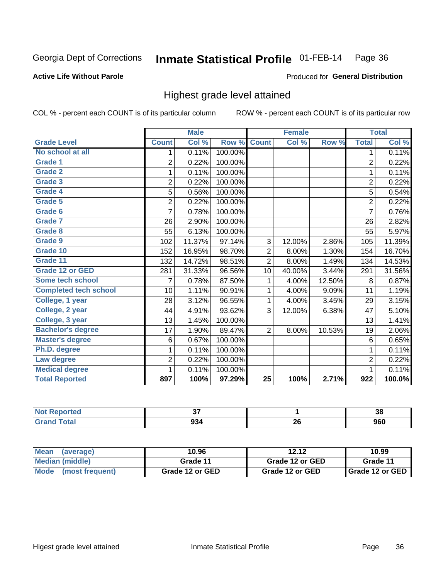### Inmate Statistical Profile 01-FEB-14 Page 36

### **Active Life Without Parole**

## Produced for General Distribution

## Highest grade level attained

COL % - percent each COUNT is of its particular column

|                              |                | <b>Male</b> |         |                 | <b>Female</b> |        |                  | <b>Total</b> |
|------------------------------|----------------|-------------|---------|-----------------|---------------|--------|------------------|--------------|
| <b>Grade Level</b>           | <b>Count</b>   | Col %       | Row %   | <b>Count</b>    | Col %         | Row %  | <b>Total</b>     | Col %        |
| No school at all             | 1              | 0.11%       | 100.00% |                 |               |        | 1                | 0.11%        |
| Grade 1                      | $\overline{2}$ | 0.22%       | 100.00% |                 |               |        | $\overline{2}$   | 0.22%        |
| <b>Grade 2</b>               | 1              | 0.11%       | 100.00% |                 |               |        | $\mathbf{1}$     | 0.11%        |
| Grade 3                      | $\overline{2}$ | 0.22%       | 100.00% |                 |               |        | $\overline{c}$   | 0.22%        |
| Grade 4                      | 5              | 0.56%       | 100.00% |                 |               |        | 5                | 0.54%        |
| Grade 5                      | $\overline{2}$ | 0.22%       | 100.00% |                 |               |        | $\overline{2}$   | 0.22%        |
| Grade 6                      | 7              | 0.78%       | 100.00% |                 |               |        | $\overline{7}$   | 0.76%        |
| Grade 7                      | 26             | 2.90%       | 100.00% |                 |               |        | 26               | 2.82%        |
| Grade 8                      | 55             | 6.13%       | 100.00% |                 |               |        | 55               | 5.97%        |
| Grade 9                      | 102            | 11.37%      | 97.14%  | 3               | 12.00%        | 2.86%  | 105              | 11.39%       |
| Grade 10                     | 152            | 16.95%      | 98.70%  | 2               | 8.00%         | 1.30%  | 154              | 16.70%       |
| Grade 11                     | 132            | 14.72%      | 98.51%  | $\overline{2}$  | 8.00%         | 1.49%  | 134              | 14.53%       |
| <b>Grade 12 or GED</b>       | 281            | 31.33%      | 96.56%  | 10              | 40.00%        | 3.44%  | 291              | 31.56%       |
| Some tech school             | 7              | 0.78%       | 87.50%  | 1               | 4.00%         | 12.50% | 8                | 0.87%        |
| <b>Completed tech school</b> | 10             | 1.11%       | 90.91%  | 1               | 4.00%         | 9.09%  | 11               | 1.19%        |
| College, 1 year              | 28             | 3.12%       | 96.55%  | 1               | 4.00%         | 3.45%  | 29               | 3.15%        |
| College, 2 year              | 44             | 4.91%       | 93.62%  | 3               | 12.00%        | 6.38%  | 47               | 5.10%        |
| College, 3 year              | 13             | 1.45%       | 100.00% |                 |               |        | 13               | 1.41%        |
| <b>Bachelor's degree</b>     | 17             | 1.90%       | 89.47%  | $\overline{2}$  | 8.00%         | 10.53% | 19               | 2.06%        |
| <b>Master's degree</b>       | 6              | 0.67%       | 100.00% |                 |               |        | 6                | 0.65%        |
| Ph.D. degree                 | 1              | 0.11%       | 100.00% |                 |               |        | 1                | 0.11%        |
| Law degree                   | $\overline{2}$ | 0.22%       | 100.00% |                 |               |        | $\overline{2}$   | 0.22%        |
| <b>Medical degree</b>        | 1              | 0.11%       | 100.00% |                 |               |        | 1                | 0.11%        |
| <b>Total Reported</b>        | 897            | 100%        | 97.29%  | $\overline{25}$ | 100%          | 2.71%  | $\overline{922}$ | 100.0%       |

| orted       | --<br>v,    |            | $\sim$<br>-36 |
|-------------|-------------|------------|---------------|
| <b>otal</b> | റാ ⁄<br>ນວະ | - 20<br>ZV | 960           |

| <b>Mean</b><br>(average) | 10.96           | 12.12           | 10.99             |
|--------------------------|-----------------|-----------------|-------------------|
| Median (middle)          | Grade 11        | Grade 12 or GED | Grade 11          |
| Mode<br>(most frequent)  | Grade 12 or GED | Grade 12 or GED | I Grade 12 or GED |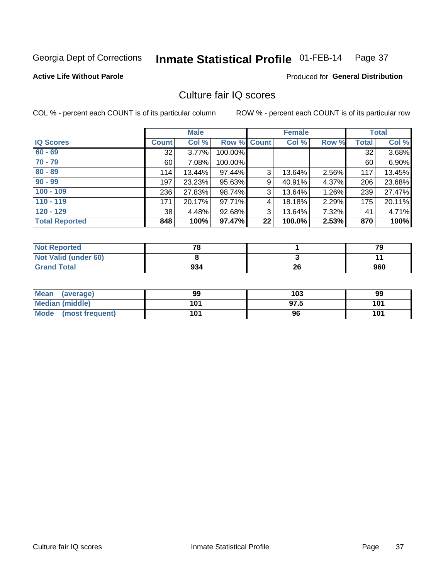### Inmate Statistical Profile 01-FEB-14 Page 37

**Active Life Without Parole** 

**Produced for General Distribution** 

# Culture fair IQ scores

COL % - percent each COUNT is of its particular column

|                       |              | <b>Male</b> |                    |    | <b>Female</b> |       |              | <b>Total</b> |
|-----------------------|--------------|-------------|--------------------|----|---------------|-------|--------------|--------------|
| <b>IQ Scores</b>      | <b>Count</b> | Col %       | <b>Row % Count</b> |    | Col %         | Row % | <b>Total</b> | Col %        |
| $60 - 69$             | 32           | 3.77%       | 100.00%            |    |               |       | 32           | 3.68%        |
| $70 - 79$             | 60           | 7.08%       | 100.00%            |    |               |       | 60           | 6.90%        |
| $80 - 89$             | 114          | 13.44%      | 97.44%             | 3  | 13.64%        | 2.56% | 117          | 13.45%       |
| $90 - 99$             | 197          | 23.23%      | 95.63%             | 9  | 40.91%        | 4.37% | 206          | 23.68%       |
| $100 - 109$           | 236          | 27.83%      | 98.74%             | 3  | 13.64%        | 1.26% | 239          | 27.47%       |
| $110 - 119$           | 171          | 20.17%      | 97.71%             | 4  | 18.18%        | 2.29% | 175          | 20.11%       |
| $120 - 129$           | 38           | 4.48%       | 92.68%             | 3  | 13.64%        | 7.32% | 41           | 4.71%        |
| <b>Total Reported</b> | 848          | 100%        | 97.47%             | 22 | 100.0%        | 2.53% | 870          | 100%         |

| <b>Not Reported</b>         | 70  |    | 79  |
|-----------------------------|-----|----|-----|
| <b>Not Valid (under 60)</b> |     |    |     |
| <b>Grand Total</b>          | 934 | 26 | 960 |

| Mean (average)       | 99  | 103  | 99  |
|----------------------|-----|------|-----|
| Median (middle)      | 101 | 97.5 | 101 |
| Mode (most frequent) | 101 | 96   | 101 |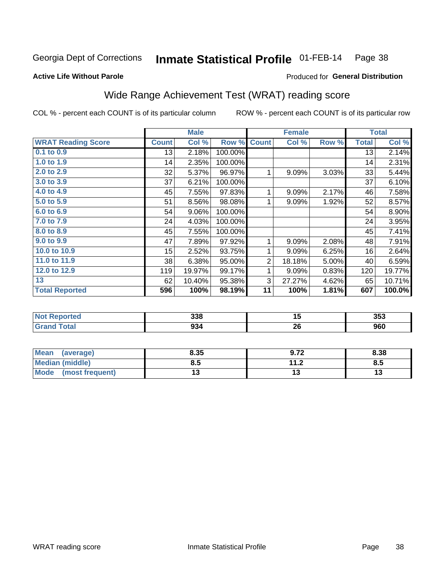### Inmate Statistical Profile 01-FEB-14 Page 38

### **Active Life Without Parole**

## Produced for General Distribution

# Wide Range Achievement Test (WRAT) reading score

COL % - percent each COUNT is of its particular column

|                           |              | <b>Male</b> |         |                | <b>Female</b> |       |              | <b>Total</b> |
|---------------------------|--------------|-------------|---------|----------------|---------------|-------|--------------|--------------|
| <b>WRAT Reading Score</b> | <b>Count</b> | Col %       | Row %   | <b>Count</b>   | Col %         | Row % | <b>Total</b> | Col %        |
| $0.1$ to $0.9$            | 13           | 2.18%       | 100.00% |                |               |       | 13           | 2.14%        |
| 1.0 to 1.9                | 14           | 2.35%       | 100.00% |                |               |       | 14           | 2.31%        |
| 2.0 to 2.9                | 32           | 5.37%       | 96.97%  | 1              | 9.09%         | 3.03% | 33           | 5.44%        |
| 3.0 to 3.9                | 37           | 6.21%       | 100.00% |                |               |       | 37           | 6.10%        |
| 4.0 to 4.9                | 45           | 7.55%       | 97.83%  | 1              | 9.09%         | 2.17% | 46           | 7.58%        |
| 5.0 to 5.9                | 51           | 8.56%       | 98.08%  | 1              | 9.09%         | 1.92% | 52           | 8.57%        |
| 6.0 to 6.9                | 54           | 9.06%       | 100.00% |                |               |       | 54           | 8.90%        |
| 7.0 to 7.9                | 24           | 4.03%       | 100.00% |                |               |       | 24           | 3.95%        |
| 8.0 to 8.9                | 45           | 7.55%       | 100.00% |                |               |       | 45           | 7.41%        |
| 9.0 to 9.9                | 47           | 7.89%       | 97.92%  | 1              | 9.09%         | 2.08% | 48           | 7.91%        |
| 10.0 to 10.9              | 15           | 2.52%       | 93.75%  | 1              | 9.09%         | 6.25% | 16           | 2.64%        |
| 11.0 to 11.9              | 38           | 6.38%       | 95.00%  | $\overline{2}$ | 18.18%        | 5.00% | 40           | 6.59%        |
| 12.0 to 12.9              | 119          | 19.97%      | 99.17%  | 1              | 9.09%         | 0.83% | 120          | 19.77%       |
| 13                        | 62           | 10.40%      | 95.38%  | 3              | 27.27%        | 4.62% | 65           | 10.71%       |
| <b>Total Reported</b>     | 596          | 100%        | 98.19%  | 11             | 100%          | 1.81% | 607          | 100.0%       |
|                           |              |             |         |                |               |       |              |              |
|                           |              |             |         |                |               |       |              |              |

| <b>Not Reported</b> | 338 | יי        | 353 |
|---------------------|-----|-----------|-----|
| ſotal               | 934 | nc.<br>ZQ | 960 |

| <b>Mean</b><br>(average)       | 8.35 | 0. 72<br>9.IL       | 8.38 |
|--------------------------------|------|---------------------|------|
| <b>Median (middle)</b>         | 8.5  | 112<br>. . <u>.</u> | o.ວ  |
| <b>Mode</b><br>(most frequent) |      |                     | יי   |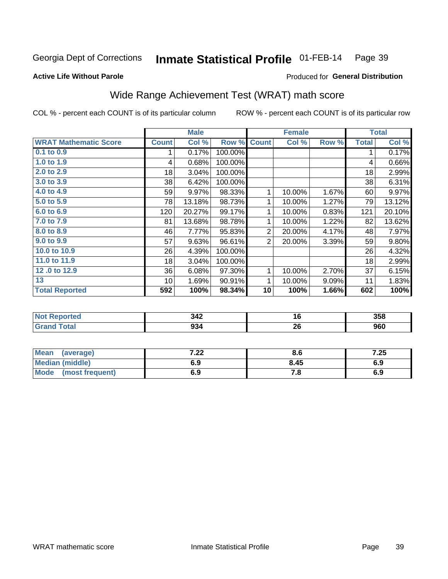#### Inmate Statistical Profile 01-FEB-14 Page 39

## **Active Life Without Parole**

## Produced for General Distribution

# Wide Range Achievement Test (WRAT) math score

COL % - percent each COUNT is of its particular column

|                              |              | <b>Male</b> |         |                | <b>Female</b> |       |              | <b>Total</b> |
|------------------------------|--------------|-------------|---------|----------------|---------------|-------|--------------|--------------|
| <b>WRAT Mathematic Score</b> | <b>Count</b> | Col %       | Row %   | <b>Count</b>   | Col %         | Row % | <b>Total</b> | Col %        |
| 0.1 to 0.9                   |              | 0.17%       | 100.00% |                |               |       | 1            | 0.17%        |
| 1.0 to 1.9                   | 4            | 0.68%       | 100.00% |                |               |       | 4            | 0.66%        |
| 2.0 to 2.9                   | 18           | 3.04%       | 100.00% |                |               |       | 18           | 2.99%        |
| 3.0 to 3.9                   | 38           | 6.42%       | 100.00% |                |               |       | 38           | 6.31%        |
| 4.0 to 4.9                   | 59           | 9.97%       | 98.33%  | 1              | 10.00%        | 1.67% | 60           | 9.97%        |
| 5.0 to 5.9                   | 78           | 13.18%      | 98.73%  | 1              | 10.00%        | 1.27% | 79           | 13.12%       |
| 6.0 to 6.9                   | 120          | 20.27%      | 99.17%  | 1              | 10.00%        | 0.83% | 121          | 20.10%       |
| 7.0 to 7.9                   | 81           | 13.68%      | 98.78%  | 1              | 10.00%        | 1.22% | 82           | 13.62%       |
| 8.0 to 8.9                   | 46           | 7.77%       | 95.83%  | $\overline{2}$ | 20.00%        | 4.17% | 48           | 7.97%        |
| 9.0 to 9.9                   | 57           | 9.63%       | 96.61%  | $\overline{2}$ | 20.00%        | 3.39% | 59           | 9.80%        |
| 10.0 to 10.9                 | 26           | 4.39%       | 100.00% |                |               |       | 26           | 4.32%        |
| 11.0 to $11.9$               | 18           | 3.04%       | 100.00% |                |               |       | 18           | 2.99%        |
| 12.0 to 12.9                 | 36           | 6.08%       | 97.30%  | 1              | 10.00%        | 2.70% | 37           | 6.15%        |
| 13                           | 10           | 1.69%       | 90.91%  | 1              | 10.00%        | 9.09% | 11           | 1.83%        |
| <b>Total Reported</b>        | 592          | 100%        | 98.34%  | 10             | 100%          | 1.66% | 602          | 100%         |
|                              |              |             |         |                |               |       |              |              |
| <b>Not Reported</b>          |              | 342         |         | 16             |               |       |              | 358          |
| <b>Grand Total</b>           |              | 934         |         |                | 26            |       |              | 960          |

| <b>Mean</b><br>(average) | ר ה<br>.44 | o.o  | 7.25 |
|--------------------------|------------|------|------|
| Median (middle)          | 6.9        | 8.45 | 6.9  |
| Mode<br>(most frequent)  | 6.9        | 7. a | 6.9  |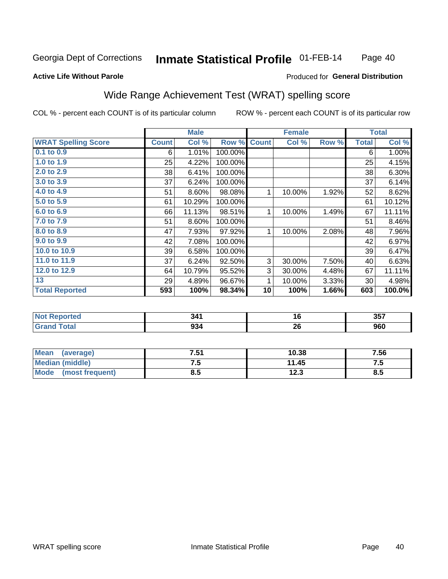### Inmate Statistical Profile 01-FEB-14 Page 40

### **Active Life Without Parole**

## Produced for General Distribution

# Wide Range Achievement Test (WRAT) spelling score

COL % - percent each COUNT is of its particular column

|                            |              | <b>Male</b> |         |              | <b>Female</b> |       |              | <b>Total</b> |
|----------------------------|--------------|-------------|---------|--------------|---------------|-------|--------------|--------------|
| <b>WRAT Spelling Score</b> | <b>Count</b> | Col %       | Row %   | <b>Count</b> | Col %         | Row % | <b>Total</b> | Col %        |
| $0.1$ to $0.9$             | 6            | 1.01%       | 100.00% |              |               |       | 6            | 1.00%        |
| 1.0 to 1.9                 | 25           | 4.22%       | 100.00% |              |               |       | 25           | 4.15%        |
| 2.0 to 2.9                 | 38           | 6.41%       | 100.00% |              |               |       | 38           | 6.30%        |
| 3.0 to 3.9                 | 37           | 6.24%       | 100.00% |              |               |       | 37           | 6.14%        |
| 4.0 to 4.9                 | 51           | 8.60%       | 98.08%  | 1            | 10.00%        | 1.92% | 52           | 8.62%        |
| 5.0 to 5.9                 | 61           | 10.29%      | 100.00% |              |               |       | 61           | 10.12%       |
| 6.0 to 6.9                 | 66           | 11.13%      | 98.51%  | 1            | 10.00%        | 1.49% | 67           | 11.11%       |
| 7.0 to 7.9                 | 51           | 8.60%       | 100.00% |              |               |       | 51           | 8.46%        |
| 8.0 to 8.9                 | 47           | 7.93%       | 97.92%  | 1            | 10.00%        | 2.08% | 48           | 7.96%        |
| 9.0 to 9.9                 | 42           | 7.08%       | 100.00% |              |               |       | 42           | 6.97%        |
| 10.0 to 10.9               | 39           | 6.58%       | 100.00% |              |               |       | 39           | 6.47%        |
| 11.0 to $11.9$             | 37           | 6.24%       | 92.50%  | 3            | 30.00%        | 7.50% | 40           | 6.63%        |
| 12.0 to 12.9               | 64           | 10.79%      | 95.52%  | 3            | 30.00%        | 4.48% | 67           | 11.11%       |
| 13                         | 29           | 4.89%       | 96.67%  | 1            | 10.00%        | 3.33% | 30           | 4.98%        |
| <b>Total Reported</b>      | 593          | 100%        | 98.34%  | 10           | 100%          | 1.66% | 603          | 100.0%       |
|                            |              |             |         |              |               |       |              |              |
| <b>Not Reported</b>        |              | 341         |         |              | 16            |       |              | 357          |
| <b>Grand Total</b>         |              | 934         |         |              | 26            |       |              | 960          |
|                            |              |             |         |              |               |       |              |              |

| <b>Mean</b><br>(average)       | 7.51 | 10.38 | 7.56 |
|--------------------------------|------|-------|------|
| <b>Median (middle)</b>         | ن. ا | 11.45 | ن. ا |
| <b>Mode</b><br>(most frequent) | ช.ว  | 12.3  | გ.უ  |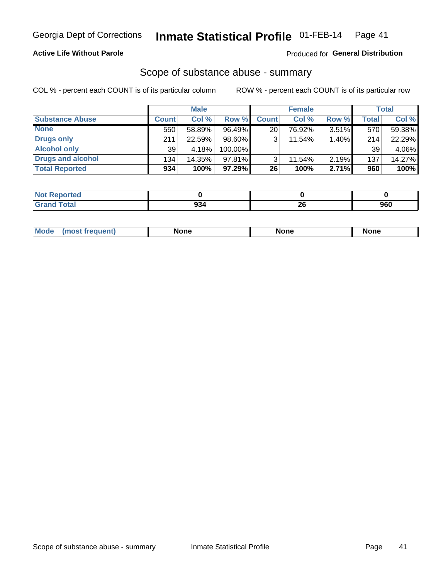## **Active Life Without Parole**

## Produced for General Distribution

## Scope of substance abuse - summary

COL % - percent each COUNT is of its particular column

|                        |              | <b>Male</b> |           |              | <b>Female</b> |       |              | Total  |
|------------------------|--------------|-------------|-----------|--------------|---------------|-------|--------------|--------|
| <b>Substance Abuse</b> | <b>Count</b> | Col %       | Row %     | <b>Count</b> | Col %         | Row % | <b>Total</b> | Col %  |
| <b>None</b>            | 550          | 58.89%      | 96.49%    | 20           | 76.92%        | 3.51% | 570          | 59.38% |
| <b>Drugs only</b>      | 211          | 22.59%      | $98.60\%$ |              | 11.54%        | 1.40% | 214          | 22.29% |
| <b>Alcohol only</b>    | 39           | 4.18%       | 100.00%   |              |               |       | 39           | 4.06%  |
| Drugs and alcohol      | 134          | 14.35%      | $97.81\%$ |              | 11.54%        | 2.19% | 137          | 14.27% |
| <b>Total Reported</b>  | 934          | 100%        | 97.29%    | 26           | 100%          | 2.71% | 960          | 100%   |

| ' Not<br>keportea |           |    |     |
|-------------------|-----------|----|-----|
| <b>Total</b>      | ົ         | ZU | nen |
| <b>Grand</b>      | <u>ூ.</u> |    | งงบ |

| <b>Moc</b><br>None<br><b>None</b><br><b>None</b><br>owenn |
|-----------------------------------------------------------|
|-----------------------------------------------------------|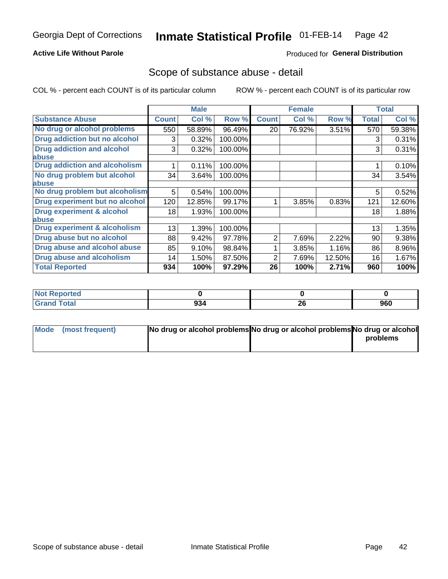## **Active Life Without Parole**

## Produced for General Distribution

## Scope of substance abuse - detail

COL % - percent each COUNT is of its particular column

|                                         |              | <b>Male</b> |         |              | <b>Female</b> |        |              | <b>Total</b> |
|-----------------------------------------|--------------|-------------|---------|--------------|---------------|--------|--------------|--------------|
| <b>Substance Abuse</b>                  | <b>Count</b> | Col %       | Row %   | <b>Count</b> | Col %         | Row %  | <b>Total</b> | Col %        |
| No drug or alcohol problems             | 550          | 58.89%      | 96.49%  | 20           | 76.92%        | 3.51%  | 570          | 59.38%       |
| Drug addiction but no alcohol           | 3            | 0.32%       | 100.00% |              |               |        | 3            | 0.31%        |
| <b>Drug addiction and alcohol</b>       | 3            | 0.32%       | 100.00% |              |               |        | 3            | 0.31%        |
| abuse                                   |              |             |         |              |               |        |              |              |
| <b>Drug addiction and alcoholism</b>    |              | 0.11%       | 100.00% |              |               |        |              | 0.10%        |
| No drug problem but alcohol             | 34           | 3.64%       | 100.00% |              |               |        | 34           | 3.54%        |
| abuse                                   |              |             |         |              |               |        |              |              |
| No drug problem but alcoholism          | 5            | 0.54%       | 100.00% |              |               |        | 5            | 0.52%        |
| Drug experiment but no alcohol          | 120          | 12.85%      | 99.17%  |              | 3.85%         | 0.83%  | 121          | 12.60%       |
| <b>Drug experiment &amp; alcohol</b>    | 18           | 1.93%       | 100.00% |              |               |        | 18           | 1.88%        |
| abuse                                   |              |             |         |              |               |        |              |              |
| <b>Drug experiment &amp; alcoholism</b> | 13           | 1.39%       | 100.00% |              |               |        | 13           | 1.35%        |
| Drug abuse but no alcohol               | 88           | 9.42%       | 97.78%  | 2            | 7.69%         | 2.22%  | 90           | 9.38%        |
| Drug abuse and alcohol abuse            | 85           | 9.10%       | 98.84%  |              | 3.85%         | 1.16%  | 86           | 8.96%        |
| <b>Drug abuse and alcoholism</b>        | 14           | 1.50%       | 87.50%  | 2            | 7.69%         | 12.50% | 16           | 1.67%        |
| <b>Total Reported</b>                   | 934          | 100%        | 97.29%  | 26           | 100%          | 2.71%  | 960          | 100%         |

| ported<br><b>NOT</b> |     |          |     |
|----------------------|-----|----------|-----|
| $\sim$<br>_____      | 934 | ኅር<br>ZO | 960 |

| Mode (most frequent) | No drug or alcohol problems No drug or alcohol problems No drug or alcohol |          |
|----------------------|----------------------------------------------------------------------------|----------|
|                      |                                                                            | problems |
|                      |                                                                            |          |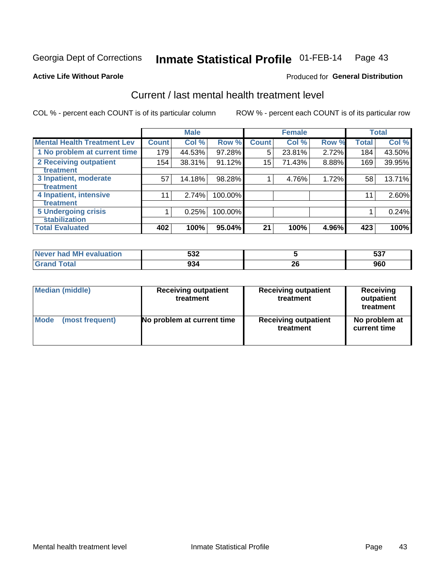### Inmate Statistical Profile 01-FEB-14 Page 43

### **Active Life Without Parole**

## **Produced for General Distribution**

# Current / last mental health treatment level

COL % - percent each COUNT is of its particular column

|                                    |              | <b>Male</b> |         |              | <b>Female</b> |       |              | <b>Total</b> |
|------------------------------------|--------------|-------------|---------|--------------|---------------|-------|--------------|--------------|
| <b>Mental Health Treatment Lev</b> | <b>Count</b> | Col %       | Row %   | <b>Count</b> | Col %         | Row % | <b>Total</b> | Col %        |
| 1 No problem at current time       | 179          | 44.53%      | 97.28%  | 5            | 23.81%        | 2.72% | 184          | 43.50%       |
| 2 Receiving outpatient             | 154          | 38.31%      | 91.12%  | 15           | 71.43%        | 8.88% | 169          | 39.95%       |
| <b>Treatment</b>                   |              |             |         |              |               |       |              |              |
| 3 Inpatient, moderate              | 57           | 14.18%      | 98.28%  |              | 4.76%         | 1.72% | 58           | 13.71%       |
| Treatment                          |              |             |         |              |               |       |              |              |
| 4 Inpatient, intensive             | 11           | 2.74%       | 100.00% |              |               |       | 11           | 2.60%        |
| Treatment                          |              |             |         |              |               |       |              |              |
| <b>5 Undergoing crisis</b>         |              | 0.25%       | 100.00% |              |               |       |              | 0.24%        |
| <b>stabilization</b>               |              |             |         |              |               |       |              |              |
| <b>Total Evaluated</b>             | 402          | 100%        | 95.04%  | 21           | 100%          | 4.96% | 423          | 100%         |

| evaluation<br>'м<br>Never I<br>nan | よつつ<br>ວວ∠ |                     | ヒヘラ<br>JJ. |
|------------------------------------|------------|---------------------|------------|
|                                    | 934        | ne.<br>ZU<br>$\sim$ | 960        |

| Median (middle)<br><b>Receiving outpatient</b><br>treatment |                            | <b>Receiving outpatient</b><br>treatment | <b>Receiving</b><br>outpatient<br>treatment |  |  |
|-------------------------------------------------------------|----------------------------|------------------------------------------|---------------------------------------------|--|--|
| Mode                                                        | No problem at current time | <b>Receiving outpatient</b>              | No problem at                               |  |  |
| (most frequent)                                             |                            | treatment                                | current time                                |  |  |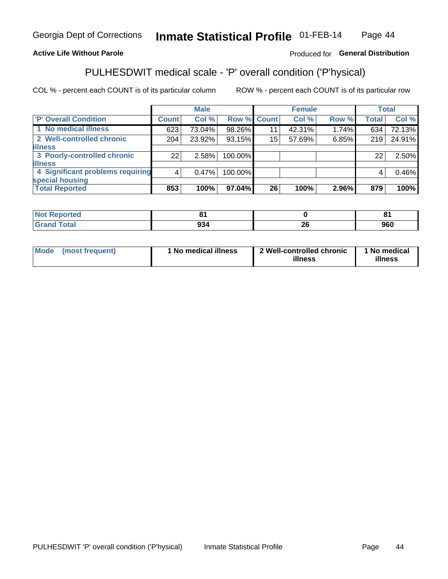#### Inmate Statistical Profile 01-FEB-14 Page 44

## **Active Life Without Parole**

## Produced for General Distribution

# PULHESDWIT medical scale - 'P' overall condition ('P'hysical)

COL % - percent each COUNT is of its particular column

|                                  |              | <b>Male</b> |         |             | <b>Female</b> |       |              | <b>Total</b> |
|----------------------------------|--------------|-------------|---------|-------------|---------------|-------|--------------|--------------|
| 'P' Overall Condition            | <b>Count</b> | Col %       |         | Row % Count | Col %         | Row % | <b>Total</b> | Col %        |
| 1 No medical illness             | 623          | 73.04%      | 98.26%  | 11          | 42.31%        | 1.74% | 634          | 72.13%       |
| 2 Well-controlled chronic        | 204          | 23.92%      | 93.15%  | 15          | 57.69%        | 6.85% | 219          | 24.91%       |
| <b>illness</b>                   |              |             |         |             |               |       |              |              |
| 3 Poorly-controlled chronic      | 22           | 2.58%       | 100.00% |             |               |       | 22           | 2.50%        |
| <b>illness</b>                   |              |             |         |             |               |       |              |              |
| 4 Significant problems requiring | 4            | $0.47\%$    | 100.00% |             |               |       | 4            | 0.46%        |
| special housing                  |              |             |         |             |               |       |              |              |
| <b>Total Reported</b>            | 853          | 100%        | 97.04%  | 26          | 100%          | 2.96% | 879          | 100%         |

|        |                          | о.<br>c |
|--------|--------------------------|---------|
| $\sim$ | - -                      | nen     |
| -994   | $\overline{\phantom{0}}$ | งงบ     |

| <b>Mode</b> | (most frequent) | 1 No medical illness | 2 Well-controlled chronic<br>illness | 1 No medical<br>illness |
|-------------|-----------------|----------------------|--------------------------------------|-------------------------|
|-------------|-----------------|----------------------|--------------------------------------|-------------------------|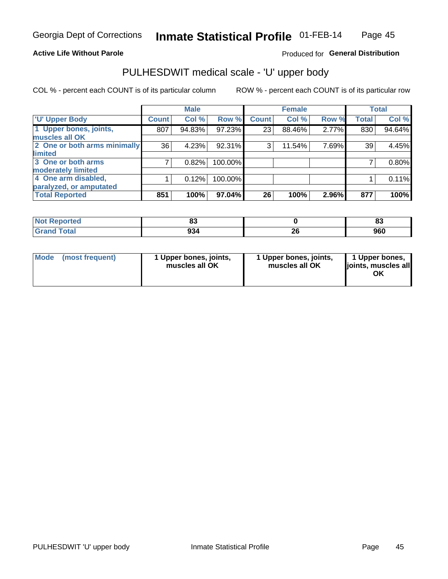## **Active Life Without Parole**

## Produced for General Distribution

# PULHESDWIT medical scale - 'U' upper body

COL % - percent each COUNT is of its particular column

|                              |              | <b>Male</b> |         |              | <b>Female</b> |       |              | <b>Total</b> |
|------------------------------|--------------|-------------|---------|--------------|---------------|-------|--------------|--------------|
| <b>U' Upper Body</b>         | <b>Count</b> | Col %       | Row %   | <b>Count</b> | Col %         | Row % | <b>Total</b> | Col %        |
| 1 Upper bones, joints,       | 807          | 94.83%      | 97.23%  | 23           | 88.46%        | 2.77% | 830          | 94.64%       |
| muscles all OK               |              |             |         |              |               |       |              |              |
| 2 One or both arms minimally | 36           | 4.23%       | 92.31%  | 3            | 11.54%        | 7.69% | 39           | 4.45%        |
| limited                      |              |             |         |              |               |       |              |              |
| 3 One or both arms           |              | 0.82%       | 100.00% |              |               |       |              | 0.80%        |
| moderately limited           |              |             |         |              |               |       |              |              |
| 4 One arm disabled,          |              | 0.12%       | 100.00% |              |               |       |              | 0.11%        |
| paralyzed, or amputated      |              |             |         |              |               |       |              |              |
| <b>Total Reported</b>        | 851          | 100%        | 97.04%  | 26           | 100%          | 2.96% | 877          | 100%         |

| <b>Not Reported</b>   | uu  |         | o.<br>o. |
|-----------------------|-----|---------|----------|
| <b>Total</b><br>Grand | 934 | ^^<br>£ | 960      |

| Mode | (most frequent) | 1 Upper bones, joints,<br>muscles all OK | 1 Upper bones, joints,<br>muscles all OK | 1 Upper bones,<br>ljoints, muscles all<br>OK |
|------|-----------------|------------------------------------------|------------------------------------------|----------------------------------------------|
|------|-----------------|------------------------------------------|------------------------------------------|----------------------------------------------|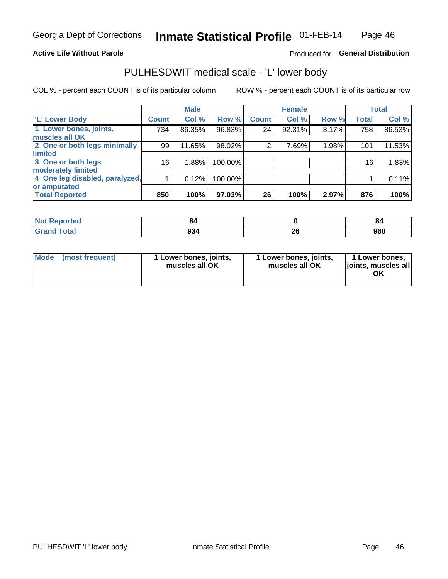## **Active Life Without Parole**

## Produced for General Distribution

# PULHESDWIT medical scale - 'L' lower body

COL % - percent each COUNT is of its particular column

|                                |              | <b>Male</b> |         |              | <b>Female</b> |       |              | <b>Total</b> |
|--------------------------------|--------------|-------------|---------|--------------|---------------|-------|--------------|--------------|
| 'L' Lower Body                 | <b>Count</b> | Col %       | Row %   | <b>Count</b> | Col %         | Row % | <b>Total</b> | Col %        |
| 1 Lower bones, joints,         | 734          | 86.35%      | 96.83%  | 24           | 92.31%        | 3.17% | 758          | 86.53%       |
| muscles all OK                 |              |             |         |              |               |       |              |              |
| 2 One or both legs minimally   | 99           | 11.65%      | 98.02%  | 2            | 7.69%         | 1.98% | 101          | 11.53%       |
| limited                        |              |             |         |              |               |       |              |              |
| 3 One or both legs             | 16           | 1.88%       | 100.00% |              |               |       | 16           | 1.83%        |
| moderately limited             |              |             |         |              |               |       |              |              |
| 4 One leg disabled, paralyzed, |              | 0.12%       | 100.00% |              |               |       |              | 0.11%        |
| or amputated                   |              |             |         |              |               |       |              |              |
| <b>Total Reported</b>          | 850          | 100%        | 97.03%  | 26           | 100%          | 2.97% | 876          | 100%         |

| <b>Not Reported</b>   | о.  |         | oυ  |
|-----------------------|-----|---------|-----|
| <b>Total</b><br>Grand | 934 | ^^<br>£ | 960 |

| Mode | (most frequent) | 1 Lower bones, joints,<br>muscles all OK | 1 Lower bones, joints,<br>muscles all OK | 1 Lower bones,<br>ljoints, muscles all<br>OK |
|------|-----------------|------------------------------------------|------------------------------------------|----------------------------------------------|
|------|-----------------|------------------------------------------|------------------------------------------|----------------------------------------------|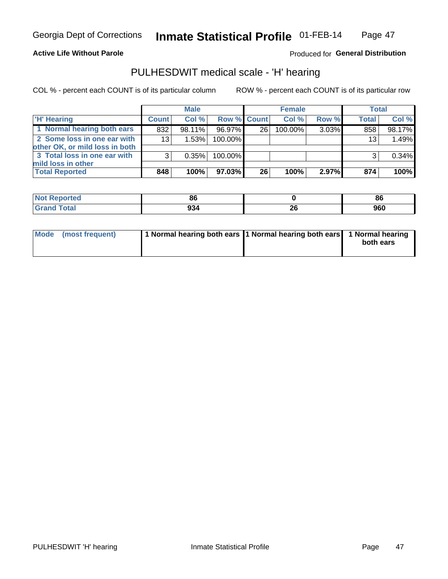## **Active Life Without Parole**

## Produced for General Distribution

## PULHESDWIT medical scale - 'H' hearing

COL % - percent each COUNT is of its particular column

|                                                               |              | <b>Male</b> |             |    | <b>Female</b> |       | <b>Total</b> |        |
|---------------------------------------------------------------|--------------|-------------|-------------|----|---------------|-------|--------------|--------|
| <b>H'</b> Hearing                                             | <b>Count</b> | Col %       | Row % Count |    | Col%          | Row % | <b>Total</b> | Col %  |
| 1 Normal hearing both ears                                    | 832          | 98.11%      | 96.97%      | 26 | 100.00%       | 3.03% | 858          | 98.17% |
| 2 Some loss in one ear with<br>other OK, or mild loss in both | 13           | 1.53%       | 100.00%     |    |               |       | 13           | 1.49%  |
| 3 Total loss in one ear with<br>mild loss in other            | 3            | 0.35%       | 100.00%     |    |               |       | 3            | 0.34%  |
| <b>Total Reported</b>                                         | 848          | 100%        | 97.03%      | 26 | 100%          | 2.97% | 874          | 100%   |

| ported<br><b>NOT</b> | DС          |         | 86  |
|----------------------|-------------|---------|-----|
| <b>c</b> otal        | 00 E<br>594 | …<br>ZЧ | 960 |

| Mode (most frequent) | 1 Normal hearing both ears 1 Normal hearing both ears 1 Normal hearing |           |
|----------------------|------------------------------------------------------------------------|-----------|
|                      |                                                                        | both ears |
|                      |                                                                        |           |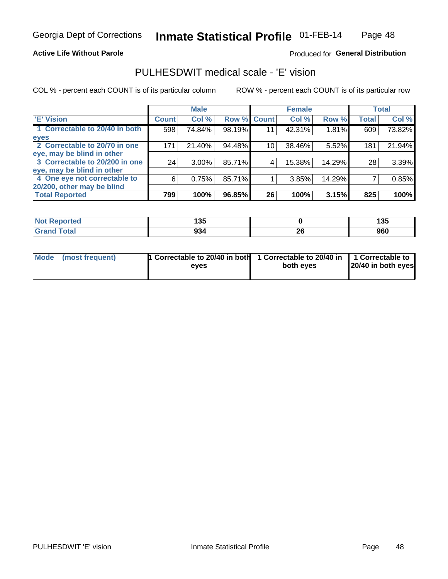### **Active Life Without Parole**

## Produced for General Distribution

## PULHESDWIT medical scale - 'E' vision

COL % - percent each COUNT is of its particular column

|                                |                 | <b>Male</b> |        |                 | <b>Female</b> |        |              | <b>Total</b> |
|--------------------------------|-----------------|-------------|--------|-----------------|---------------|--------|--------------|--------------|
| <b>E' Vision</b>               | <b>Count</b>    | Col %       | Row %  | <b>Count</b>    | Col %         | Row %  | <b>Total</b> | Col %        |
| 1 Correctable to 20/40 in both | 598             | 74.84%      | 98.19% | 11              | 42.31%        | 1.81%  | 609          | 73.82%       |
| eyes                           |                 |             |        |                 |               |        |              |              |
| 2 Correctable to 20/70 in one  | 171             | 21.40%      | 94.48% | 10 <sub>1</sub> | 38.46%        | 5.52%  | 181          | 21.94%       |
| eye, may be blind in other     |                 |             |        |                 |               |        |              |              |
| 3 Correctable to 20/200 in one | 24 <sub>1</sub> | $3.00\%$    | 85.71% |                 | 15.38%        | 14.29% | 28           | 3.39%        |
| eye, may be blind in other     |                 |             |        |                 |               |        |              |              |
| 4 One eye not correctable to   | 6               | 0.75%       | 85.71% |                 | 3.85%         | 14.29% |              | 0.85%        |
| 20/200, other may be blind     |                 |             |        |                 |               |        |              |              |
| <b>Total Reported</b>          | 799             | 100%        | 96.85% | 26              | 100%          | 3.15%  | 825          | 100%         |

| <b>Not Reported</b> | ィった<br>טטו |                                             | .<br>טטו |
|---------------------|------------|---------------------------------------------|----------|
| Total               | 934        | ኅሮ<br>ZV<br>the contract of the contract of | 960      |

| Mode (most frequent) | 1 Correctable to 20/40 in both<br>eves | 1 Correctable to 20/40 in   1 Correctable to<br>both eyes | 20/40 in both eyes |
|----------------------|----------------------------------------|-----------------------------------------------------------|--------------------|
|                      |                                        |                                                           |                    |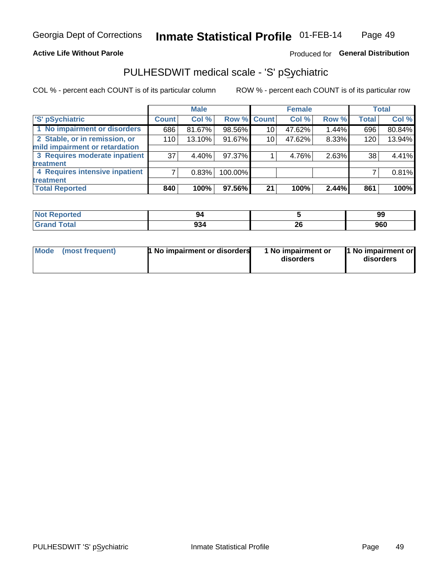## **Active Life Without Parole**

## Produced for General Distribution

# PULHESDWIT medical scale - 'S' pSychiatric

COL % - percent each COUNT is of its particular column

|                                |              | <b>Male</b> |             |    | <b>Female</b> |       |              | <b>Total</b> |
|--------------------------------|--------------|-------------|-------------|----|---------------|-------|--------------|--------------|
| 'S' pSychiatric                | <b>Count</b> | Col %       | Row % Count |    | Col %         | Row % | <b>Total</b> | Col %        |
| 1 No impairment or disorders   | 686          | 81.67%      | 98.56%      | 10 | 47.62%        | 1.44% | 696          | 80.84%       |
| 2 Stable, or in remission, or  | 110          | 13.10%      | 91.67%      | 10 | 47.62%        | 8.33% | 120          | 13.94%       |
| mild impairment or retardation |              |             |             |    |               |       |              |              |
| 3 Requires moderate inpatient  | 37           | 4.40%       | 97.37%      |    | 4.76%         | 2.63% | 38           | 4.41%        |
| <b>treatment</b>               |              |             |             |    |               |       |              |              |
| 4 Requires intensive inpatient |              | 0.83%       | 100.00%     |    |               |       |              | 0.81%        |
| <b>treatment</b>               |              |             |             |    |               |       |              |              |
| <b>Total Reported</b>          | 840          | 100%        | 97.56%      | 21 | 100%          | 2.44% | 861          | 100%         |

| тес | <br>- 34    |         | 99  |
|-----|-------------|---------|-----|
|     | ΩΩ.<br>J30. | n,<br>Ψ | 960 |

| Mode | (most frequent) | <b>1 No impairment or disorders</b> | 1 No impairment or<br>disorders | 11 No impairment or<br>disorders |
|------|-----------------|-------------------------------------|---------------------------------|----------------------------------|
|------|-----------------|-------------------------------------|---------------------------------|----------------------------------|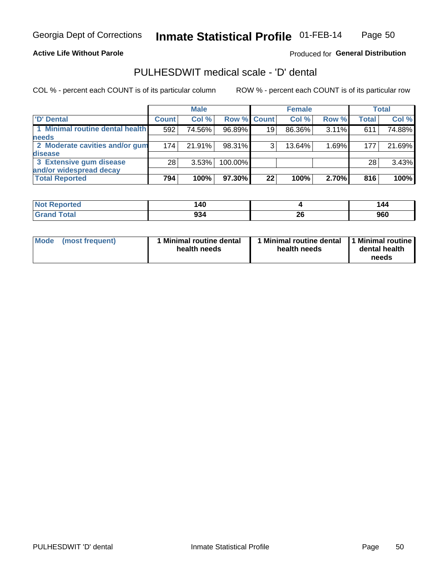## **Active Life Without Parole**

Produced for General Distribution

# PULHESDWIT medical scale - 'D' dental

COL % - percent each COUNT is of its particular column

|                                 |              | <b>Male</b> |           |                 | <b>Female</b> |          |              | <b>Total</b> |
|---------------------------------|--------------|-------------|-----------|-----------------|---------------|----------|--------------|--------------|
| 'D' Dental                      | <b>Count</b> | Col %       |           | Row % Count     | Col %         | Row %    | <b>Total</b> | Col %        |
| 1 Minimal routine dental health | 592          | 74.56%      | 96.89%    | 19 <sup>1</sup> | 86.36%        | $3.11\%$ | 611          | 74.88%       |
| <b>needs</b>                    |              |             |           |                 |               |          |              |              |
| 2 Moderate cavities and/or gum  | 174          | 21.91%      | 98.31%    | 3               | 13.64%        | 1.69%    | 177          | 21.69%       |
| disease                         |              |             |           |                 |               |          |              |              |
| 3 Extensive gum disease         | 28           | 3.53%       | 100.00%   |                 |               |          | 28           | 3.43%        |
| and/or widespread decay         |              |             |           |                 |               |          |              |              |
| <b>Total Reported</b>           | 794          | 100%        | $97.30\%$ | 22              | 100%          | 2.70%    | 816          | 100%         |

| <b>NOT REPORTED</b> | 140 |          | 144 |
|---------------------|-----|----------|-----|
| Tota                | 934 | ኅረ<br>ZQ | 960 |

| <b>Mode</b>     | Minimal routine dental | 1 Minimal routine dental 1 Minimal routine | dental health |
|-----------------|------------------------|--------------------------------------------|---------------|
| (most frequent) | health needs           | health needs                               | needs         |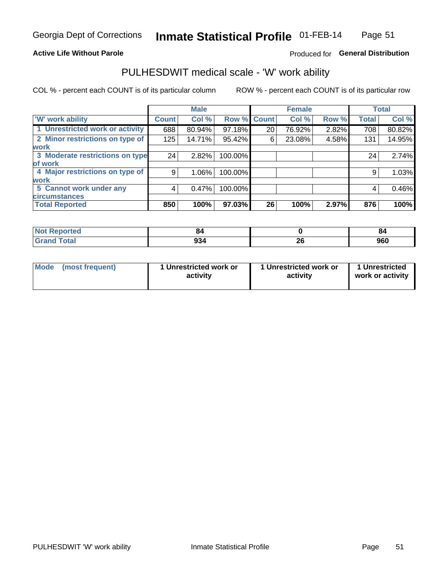## **Active Life Without Parole**

## Produced for General Distribution

# PULHESDWIT medical scale - 'W' work ability

COL % - percent each COUNT is of its particular column

|                                 |              | <b>Male</b> |         |             | <b>Female</b> |       |              | <b>Total</b> |
|---------------------------------|--------------|-------------|---------|-------------|---------------|-------|--------------|--------------|
| <b>W' work ability</b>          | <b>Count</b> | Col %       |         | Row % Count | Col %         | Row % | <b>Total</b> | Col %        |
| 1 Unrestricted work or activity | 688          | 80.94%      | 97.18%  | 20          | 76.92%        | 2.82% | 708          | 80.82%       |
| 2 Minor restrictions on type of | 125          | 14.71%      | 95.42%  | 6           | 23.08%        | 4.58% | 131          | 14.95%       |
| <b>work</b>                     |              |             |         |             |               |       |              |              |
| 3 Moderate restrictions on type | 24           | 2.82%       | 100.00% |             |               |       | 24           | 2.74%        |
| lof work                        |              |             |         |             |               |       |              |              |
| 4 Major restrictions on type of | 9            | $1.06\%$    | 100.00% |             |               |       | 9            | 1.03%        |
| <b>work</b>                     |              |             |         |             |               |       |              |              |
| 5 Cannot work under any         | 4            | 0.47%       | 100.00% |             |               |       | 4            | 0.46%        |
| <b>circumstances</b>            |              |             |         |             |               |       |              |              |
| <b>Total Reported</b>           | 850          | 100%        | 97.03%  | 26          | 100%          | 2.97% | 876          | 100%         |

| <b>Not Reported</b>  | οŕ<br>$\sim$ . |           | 04  |
|----------------------|----------------|-----------|-----|
| <b>Total</b><br>Cron | 934            | ne.<br>ZU | 960 |

| Mode            | 1 Unrestricted work or | 1 Unrestricted work or | 1 Unrestricted   |
|-----------------|------------------------|------------------------|------------------|
| (most frequent) | activity               | activity               | work or activity |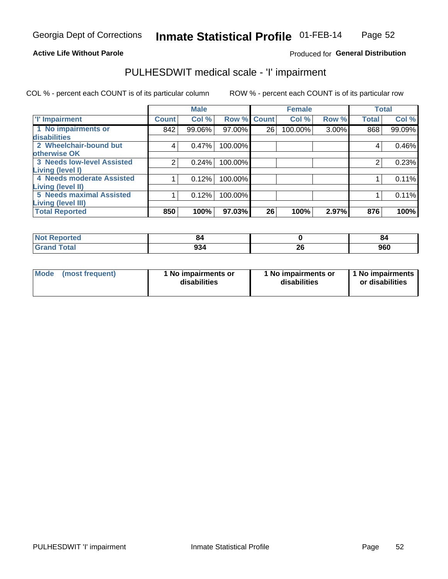## **Active Life Without Parole**

## Produced for General Distribution

# PULHESDWIT medical scale - 'I' impairment

|                                   |                | <b>Male</b> |             |    | <b>Female</b> |       |              | <b>Total</b> |
|-----------------------------------|----------------|-------------|-------------|----|---------------|-------|--------------|--------------|
| <b>T' Impairment</b>              | <b>Count</b>   | Col %       | Row % Count |    | Col %         | Row % | <b>Total</b> | Col %        |
| 1 No impairments or               | 842            | 99.06%      | 97.00%      | 26 | 100.00%       | 3.00% | 868          | 99.09%       |
| <b>disabilities</b>               |                |             |             |    |               |       |              |              |
| 2 Wheelchair-bound but            | 4              | 0.47%       | 100.00%     |    |               |       | 4            | 0.46%        |
| otherwise OK                      |                |             |             |    |               |       |              |              |
| <b>3 Needs low-level Assisted</b> | $\overline{2}$ | 0.24%       | 100.00%     |    |               |       | 2            | 0.23%        |
| Living (level I)                  |                |             |             |    |               |       |              |              |
| 4 Needs moderate Assisted         |                | 0.12%       | 100.00%     |    |               |       |              | 0.11%        |
| Living (level II)                 |                |             |             |    |               |       |              |              |
| <b>5 Needs maximal Assisted</b>   |                | 0.12%       | 100.00%     |    |               |       |              | 0.11%        |
| <b>Living (level III)</b>         |                |             |             |    |               |       |              |              |
| <b>Total Reported</b>             | 850            | 100%        | 97.03%      | 26 | 100%          | 2.97% | 876          | 100%         |

| Reported            | 84                    |          | 84  |
|---------------------|-----------------------|----------|-----|
| <b>ota</b><br>_____ | $\sim$<br>934<br>-- - | n,<br>ΔU | 960 |

| Mode | (most frequent) | 1 No impairments or<br>disabilities | 1 No impairments or<br>disabilities | 1 No impairments<br>or disabilities |
|------|-----------------|-------------------------------------|-------------------------------------|-------------------------------------|
|------|-----------------|-------------------------------------|-------------------------------------|-------------------------------------|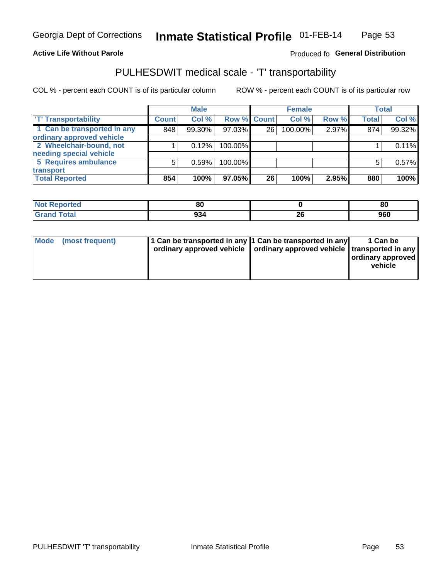## **Active Life Without Parole**

## Produced fo General Distribution

# PULHESDWIT medical scale - 'T' transportability

COL % - percent each COUNT is of its particular column

|                             |              | <b>Male</b> |             |    | <b>Female</b> |       |              | <b>Total</b> |
|-----------------------------|--------------|-------------|-------------|----|---------------|-------|--------------|--------------|
| <b>T' Transportability</b>  | <b>Count</b> | Col%        | Row % Count |    | Col %         | Row % | <b>Total</b> | Col %        |
| 1 Can be transported in any | 848          | 99.30%      | 97.03%      | 26 | 100.00%       | 2.97% | 874          | 99.32%       |
| ordinary approved vehicle   |              |             |             |    |               |       |              |              |
| 2 Wheelchair-bound, not     |              | 0.12%       | 100.00%     |    |               |       |              | 0.11%        |
| needing special vehicle     |              |             |             |    |               |       |              |              |
| 5 Requires ambulance        | 5            | 0.59%       | 100.00%     |    |               |       |              | 0.57%        |
| transport                   |              |             |             |    |               |       |              |              |
| <b>Total Reported</b>       | 854          | 100%        | 97.05%      | 26 | 100%          | 2.95% | 880          | 100%         |

| Reported | or<br>οι |           | 80  |
|----------|----------|-----------|-----|
| Total    | 934      | ZV<br>___ | 960 |

| Mode (most frequent) | 1 Can be transported in any 1 Can be transported in any | ordinary approved vehicle   ordinary approved vehicle   transported in any | 1 Can be<br>ordinary approved<br>vehicle |
|----------------------|---------------------------------------------------------|----------------------------------------------------------------------------|------------------------------------------|
|                      |                                                         |                                                                            |                                          |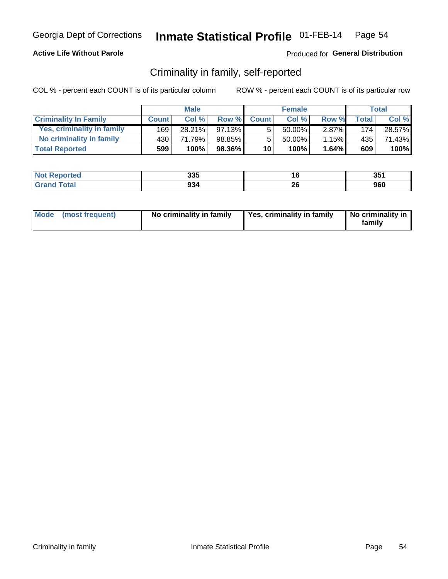## **Active Life Without Parole**

## Produced for General Distribution

## Criminality in family, self-reported

COL % - percent each COUNT is of its particular column

|                              |              | <b>Male</b> |           |                 | <b>Female</b> |          |       | Total  |
|------------------------------|--------------|-------------|-----------|-----------------|---------------|----------|-------|--------|
| <b>Criminality In Family</b> | <b>Count</b> | Col%        | Row %     | <b>Count</b>    | Col %         | Row %    | Total | Col %  |
| Yes, criminality in family   | 169          | 28.21%      | $97.13\%$ | 5               | 50.00%        | $2.87\%$ | 174   | 28.57% |
| No criminality in family     | 430'         | 71.79%      | 98.85%    | 5               | 50.00%        | 1.15%    | 435   | 71.43% |
| <b>Total Reported</b>        | 599          | 100%        | 98.36%    | 10 <sup>1</sup> | 100%          | $1.64\%$ | 609   | 100%   |

| <b>Not Reported</b> | 335 |          | 351 |
|---------------------|-----|----------|-----|
| <b>Total</b>        | 934 | ኅር<br>zu | 960 |

|  | Mode (most frequent) | No criminality in family | Yes, criminality in family | No criminality in<br>family |
|--|----------------------|--------------------------|----------------------------|-----------------------------|
|--|----------------------|--------------------------|----------------------------|-----------------------------|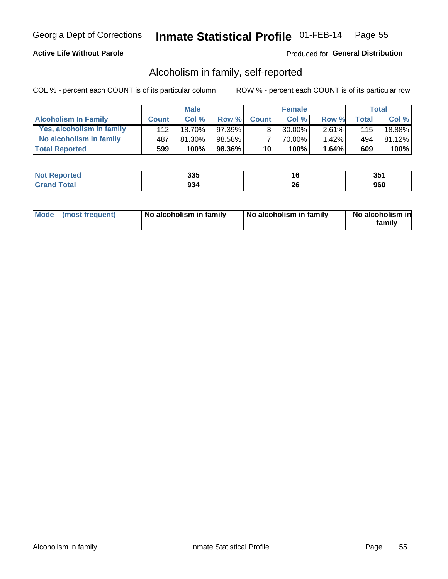## **Active Life Without Parole**

## Produced for General Distribution

## Alcoholism in family, self-reported

COL % - percent each COUNT is of its particular column

|                             |              | <b>Male</b> |           |                 | <b>Female</b> |          |              | Total   |
|-----------------------------|--------------|-------------|-----------|-----------------|---------------|----------|--------------|---------|
| <b>Alcoholism In Family</b> | <b>Count</b> | Col %       | Row %     | <b>Count</b>    | Col %         | Row %    | <b>Total</b> | Col %   |
| Yes, alcoholism in family   | 112          | 18.70%      | $97.39\%$ | 3 <sub>1</sub>  | $30.00\%$     | $2.61\%$ | 115          | 18.88%  |
| No alcoholism in family     | 487          | 81.30%      | 98.58%    |                 | 70.00%        | 1.42%    | 494          | 81.12%  |
| <b>Total Reported</b>       | 599          | 100%        | 98.36%    | 10 <sup>1</sup> | 100%          | 1.64%    | 609          | $100\%$ |

| <b>Reported</b><br>NO | 335 | . v             | つに・<br>v.  |
|-----------------------|-----|-----------------|------------|
| <b>otal</b>           | 934 | ^^<br>20<br>___ | ner<br>JUU |

|  | Mode (most frequent) | No alcoholism in family | No alcoholism in family | No alcoholism in<br>family |
|--|----------------------|-------------------------|-------------------------|----------------------------|
|--|----------------------|-------------------------|-------------------------|----------------------------|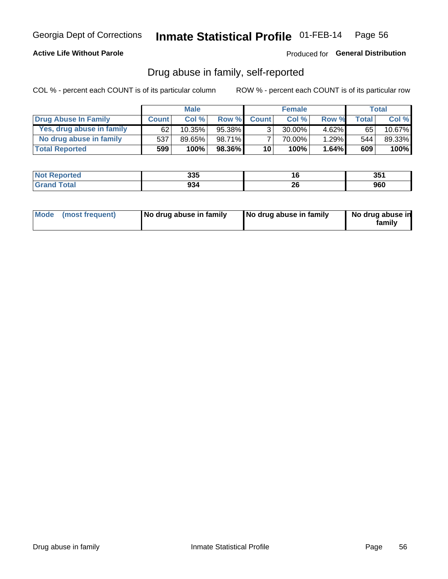## **Active Life Without Parole**

## Produced for General Distribution

## Drug abuse in family, self-reported

COL % - percent each COUNT is of its particular column

|                           |              | <b>Male</b> |           |                 | <b>Female</b> |          |        | <b>Total</b> |
|---------------------------|--------------|-------------|-----------|-----------------|---------------|----------|--------|--------------|
| Drug Abuse In Family      | <b>Count</b> | Col%        | Row %     | <b>Count</b>    | Col%          | Row %    | Total. | Col %        |
| Yes, drug abuse in family | 62           | 10.35%      | 95.38%    | 3 <sub>1</sub>  | $30.00\%$     | $4.62\%$ | 65     | 10.67%       |
| No drug abuse in family   | 537          | 89.65%      | 98.71%    |                 | 70.00%        | 1.29%    | 544    | 89.33%       |
| <b>Total Reported</b>     | 599          | 100%        | $98.36\%$ | 10 <sup>1</sup> | 100%          | 1.64%    | 609    | 100%         |

| <b>Not Reported</b> | 22E<br>ააა | w  | つにっ<br>ື   |
|---------------------|------------|----|------------|
| <b>Grand Total</b>  | 934        | ZV | محد<br>ฮบบ |

|  | Mode (most frequent) | No drug abuse in family | No drug abuse in family | No drug abuse in<br>family |
|--|----------------------|-------------------------|-------------------------|----------------------------|
|--|----------------------|-------------------------|-------------------------|----------------------------|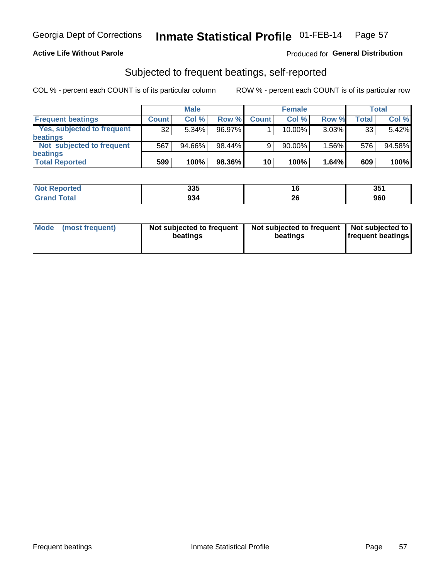## **Active Life Without Parole**

## Produced for General Distribution

## Subjected to frequent beatings, self-reported

COL % - percent each COUNT is of its particular column

|                                   |              | <b>Male</b> |        |              | <b>Female</b> |          |       | Total  |
|-----------------------------------|--------------|-------------|--------|--------------|---------------|----------|-------|--------|
| <b>Frequent beatings</b>          | <b>Count</b> | Col %       | Row %  | <b>Count</b> | Col %         | Row %    | Total | Col %  |
| <b>Yes, subjected to frequent</b> | 32           | 5.34%       | 96.97% |              | 10.00%        | $3.03\%$ | 33    | 5.42%  |
| <b>beatings</b>                   |              |             |        |              |               |          |       |        |
| Not subjected to frequent         | 567          | 94.66%      | 98.44% | 9            | 90.00%        | 1.56%    | 576   | 94.58% |
| <b>beatings</b>                   |              |             |        |              |               |          |       |        |
| <b>Total Reported</b>             | 599          | 100%        | 98.36% | 10           | 100%          | 1.64%    | 609   | 100%   |

| <b>Not Reported</b> | 335 | ιu       | 351 |
|---------------------|-----|----------|-----|
| <b>Total</b>        | 934 | ^^<br>26 | 960 |

| Mode | (most frequent) | Not subjected to frequent<br>beatings | Not subjected to frequent<br>beatings | Not subjected to<br><b>frequent beatings</b> |
|------|-----------------|---------------------------------------|---------------------------------------|----------------------------------------------|
|      |                 |                                       |                                       |                                              |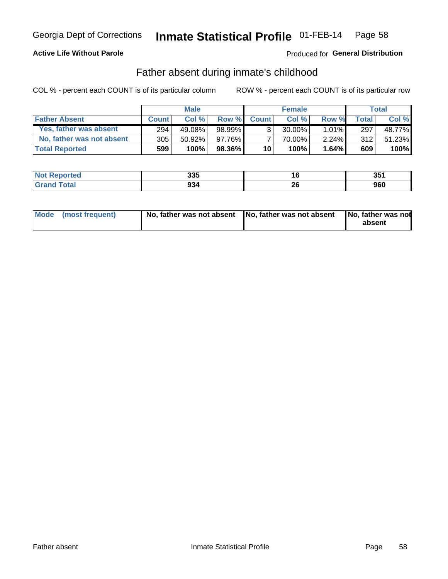## **Active Life Without Parole**

## **Produced for General Distribution**

## Father absent during inmate's childhood

COL % - percent each COUNT is of its particular column

|                           |                  | <b>Male</b> |         |                 | <b>Female</b> |          |              | Total  |
|---------------------------|------------------|-------------|---------|-----------------|---------------|----------|--------------|--------|
| <b>Father Absent</b>      | <b>Count</b>     | Col%        | Row %   | <b>Count</b>    | Col %         | Row %    | <b>Total</b> | Col %  |
| Yes, father was absent    | 294 <sub>1</sub> | 49.08%      | 98.99%  | 3 <sub>1</sub>  | $30.00\%$     | $1.01\%$ | 297          | 48.77% |
| No, father was not absent | 305              | $50.92\%$   | 97.76%  |                 | 70.00%        | 2.24%    | 312          | 51.23% |
| <b>Total Reported</b>     | 599              | 100%        | 98.36%I | 10 <sup>1</sup> | 100%          | 1.64%    | 609          | 100%   |

| <b>Not Reported</b>          | 335 | . .             | 351 |
|------------------------------|-----|-----------------|-----|
| <b>Total</b><br><b>Grand</b> | 934 | <b>DO</b><br>ZÇ | 960 |

|  | Mode (most frequent) | No, father was not absent No, father was not absent |  | No, father was not<br>absent |
|--|----------------------|-----------------------------------------------------|--|------------------------------|
|--|----------------------|-----------------------------------------------------|--|------------------------------|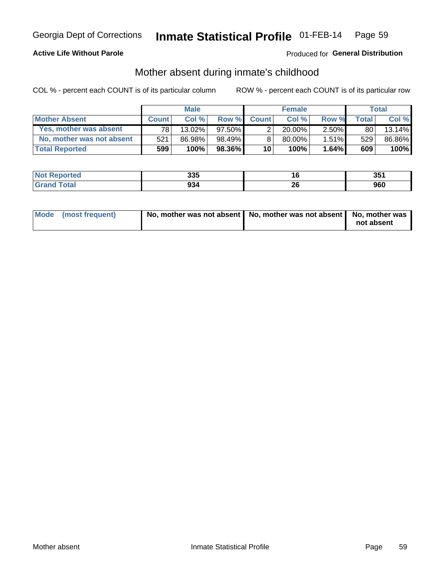## **Active Life Without Parole**

## **Produced for General Distribution**

## Mother absent during inmate's childhood

COL % - percent each COUNT is of its particular column

|                           |              | <b>Male</b> |           |              | <b>Female</b> |          |                | <b>Total</b> |
|---------------------------|--------------|-------------|-----------|--------------|---------------|----------|----------------|--------------|
| <b>Mother Absent</b>      | <b>Count</b> | Col%        | Row %     | <b>Count</b> | Col%          | Row %    | <b>Total</b> I | Col %        |
| Yes, mother was absent    | 781          | 13.02%      | $97.50\%$ | ⌒            | $20.00\%$     | $2.50\%$ | 80             | 13.14%       |
| No, mother was not absent | 521          | 86.98%      | 98.49%    |              | 80.00%        | $1.51\%$ | 529            | 86.86%       |
| <b>Total Reported</b>     | 599          | 100%        | $98.36\%$ | 10           | 100%          | 1.64%    | 609            | 100%         |

| <b>Not Reported</b> | 335 |          | 351 |
|---------------------|-----|----------|-----|
| <b>Total</b>        | 934 | ኅር<br>zu | 960 |

| Mode (most frequent) | No, mother was not absent   No, mother was not absent   No, mother was | not absent |
|----------------------|------------------------------------------------------------------------|------------|
|                      |                                                                        |            |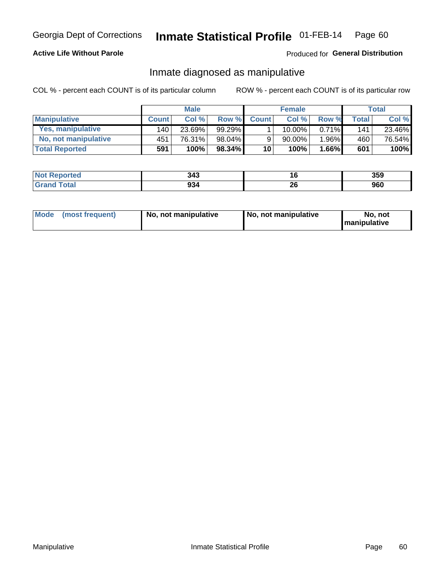## **Active Life Without Parole**

## Produced for General Distribution

## Inmate diagnosed as manipulative

COL % - percent each COUNT is of its particular column

|                          |              | <b>Male</b> |           |              | <b>Female</b> |          |       | Total  |
|--------------------------|--------------|-------------|-----------|--------------|---------------|----------|-------|--------|
| <b>Manipulative</b>      | <b>Count</b> | Col %       | Row %     | <b>Count</b> | Col %         | Row %    | Total | Col %  |
| <b>Yes, manipulative</b> | 140          | 23.69%      | $99.29\%$ |              | $10.00\%$ .   | $0.71\%$ | 141   | 23.46% |
| No, not manipulative     | 451          | 76.31%      | 98.04%    | 9            | 90.00%        | 1.96%    | 460   | 76.54% |
| <b>Total Reported</b>    | 591          | 100%        | $98.34\%$ | 10           | 100%          | 1.66%    | 601   | 100%   |

| <b>Not Reported</b>    | 343 | ۱o       | 359 |
|------------------------|-----|----------|-----|
| <b>Total</b><br>'Grand | 934 | ኅረ<br>__ | 960 |

|  | Mode (most frequent) | No, not manipulative | No, not manipulative | No. not<br><b>I</b> manipulative |
|--|----------------------|----------------------|----------------------|----------------------------------|
|--|----------------------|----------------------|----------------------|----------------------------------|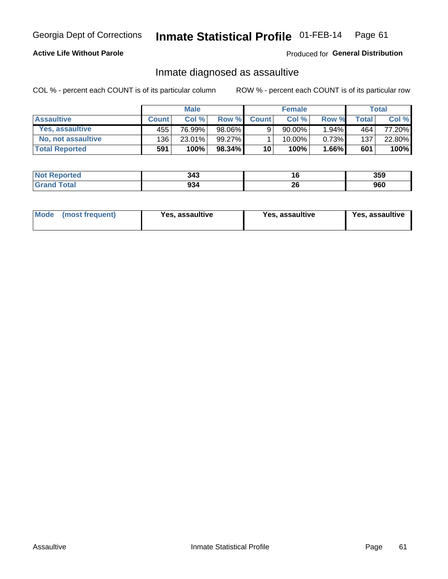### Inmate Statistical Profile 01-FEB-14 Page 61

## **Active Life Without Parole**

Produced for General Distribution

## Inmate diagnosed as assaultive

COL % - percent each COUNT is of its particular column

|                       |              | <b>Male</b> |           |              | <b>Female</b> |          |              | Total  |
|-----------------------|--------------|-------------|-----------|--------------|---------------|----------|--------------|--------|
| <b>Assaultive</b>     | <b>Count</b> | Col%        | Row %     | <b>Count</b> | Col %         | Row %    | <b>Total</b> | Col %  |
| Yes, assaultive       | 455          | 76.99%      | 98.06%    | 9            | $90.00\%$     | $1.94\%$ | 464          | 77.20% |
| No, not assaultive    | 1361         | 23.01%      | 99.27%    |              | $10.00\%$ ,   | 0.73%    | 137          | 22.80% |
| <b>Total Reported</b> | 591          | 100%        | $98.34\%$ | 10           | $100\%$ .     | 1.66%    | 601          | 100%   |

| <b>Not Reported</b> | 343 | I.O      | 359        |
|---------------------|-----|----------|------------|
| <b>Total</b>        | 934 | ^^<br>ZV | ner<br>ฮบบ |

| <b>Mode</b><br>(most frequent) | <b>Yes, assaultive</b> | Yes, assaultive | <b>Yes, assaultive</b> |
|--------------------------------|------------------------|-----------------|------------------------|
|--------------------------------|------------------------|-----------------|------------------------|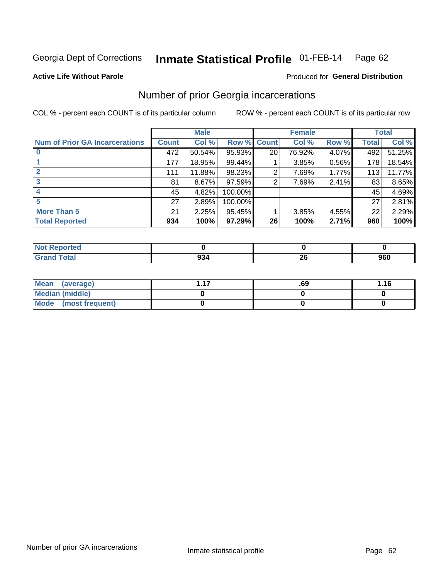### Inmate Statistical Profile 01-FEB-14 Page 62

### **Active Life Without Parole**

### Produced for General Distribution

## Number of prior Georgia incarcerations

COL % - percent each COUNT is of its particular column

|                                       | <b>Male</b>  |        |           |                 | <b>Female</b> | <b>Total</b> |       |        |
|---------------------------------------|--------------|--------|-----------|-----------------|---------------|--------------|-------|--------|
| <b>Num of Prior GA Incarcerations</b> | <b>Count</b> | Col %  | Row %     | <b>Count</b>    | Col %         | Row %        | Total | Col %  |
|                                       | 472          | 50.54% | 95.93%    | 20 <sub>1</sub> | 76.92%        | 4.07%        | 492   | 51.25% |
|                                       | 177          | 18.95% | 99.44%    |                 | 3.85%         | 0.56%        | 178   | 18.54% |
|                                       | 111          | 11.88% | 98.23%    | 2               | 7.69%         | 1.77%        | 113   | 11.77% |
| 3                                     | 81           | 8.67%  | $97.59\%$ | 2               | 7.69%         | 2.41%        | 83    | 8.65%  |
|                                       | 45           | 4.82%  | 100.00%   |                 |               |              | 45    | 4.69%  |
| 5                                     | 27           | 2.89%  | 100.00%   |                 |               |              | 27    | 2.81%  |
| <b>More Than 5</b>                    | 21           | 2.25%  | 95.45%    |                 | 3.85%         | 4.55%        | 22    | 2.29%  |
| <b>Total Reported</b>                 | 934          | 100%   | 97.29%    | 26              | 100%          | 2.71%        | 960   | 100%   |

| <b>orteo</b>                    |        |          |     |
|---------------------------------|--------|----------|-----|
| <b>otal</b><br>$\mathbf{v}$ and | . JJ 1 | ^^<br>-- | 960 |

| Mean (average)       | .69 | 1.16 |
|----------------------|-----|------|
| Median (middle)      |     |      |
| Mode (most frequent) |     |      |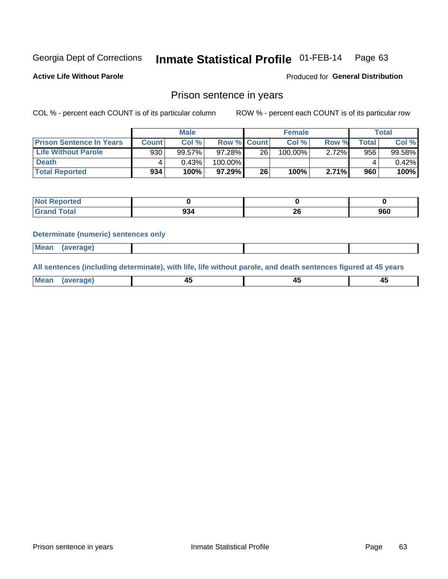### Inmate Statistical Profile 01-FEB-14 Page 63

**Active Life Without Parole** 

Produced for General Distribution

## Prison sentence in years

COL % - percent each COUNT is of its particular column

ROW % - percent each COUNT is of its particular row

|                                 | <b>Male</b> |        |                    | <b>Female</b> |         |       | Total       |        |
|---------------------------------|-------------|--------|--------------------|---------------|---------|-------|-------------|--------|
| <b>Prison Sentence In Years</b> | Count l     | Col %  | <b>Row % Count</b> |               | Col %   | Row % | $\tau$ otal | Col %  |
| <b>Life Without Parole</b>      | 930         | 99.57% | $97.28\%$          | 26            | 100.00% | 2.72% | 956         | 99.58% |
| <b>Death</b>                    | 4           | 0.43%  | 100.00%            |               |         |       |             | 0.42%  |
| <b>Total Reported</b>           | 934         | 100%   | $97.29\%$          | 26            | 100%    | 2.71% | 960         | 100%   |

| Reported<br>NOT |               |    |     |
|-----------------|---------------|----|-----|
| <b>Total</b>    | $\sim$<br>YJ4 | -- | 960 |

### **Determinate (numeric) sentences only**

| ' Mea<br><b>Service</b> A<br>ЯМА. |  |  |  |
|-----------------------------------|--|--|--|
|                                   |  |  |  |

All sentences (including determinate), with life, life without parole, and death sentences figured at 45 years

| Mear<br>erane.<br> | . .<br>$\sim$ | $\sim$ | −~<br>$\sim$ |
|--------------------|---------------|--------|--------------|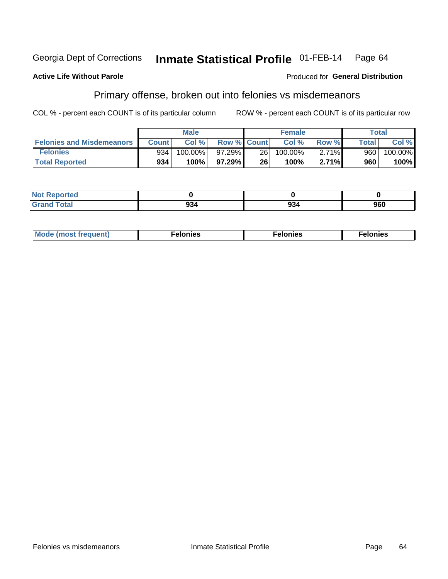#### Inmate Statistical Profile 01-FEB-14 Georgia Dept of Corrections Page 64

### **Active Life Without Parole**

## **Produced for General Distribution**

# Primary offense, broken out into felonies vs misdemeanors

COL % - percent each COUNT is of its particular column

|                                  | <b>Male</b>  |         |                    | <b>Female</b> |            |       | Total              |         |
|----------------------------------|--------------|---------|--------------------|---------------|------------|-------|--------------------|---------|
| <b>Felonies and Misdemeanors</b> | <b>Count</b> | Col%    | <b>Row % Count</b> |               | Col%       | Row % | Total <sub>1</sub> | Col %   |
| <b>Felonies</b>                  | 934          | 100.00% | 97.29%             | 26 l          | $100.00\%$ | 2.71% | 960                | 100.00% |
| <b>Total Reported</b>            | 934          | 100%    | 97.29%             | 26            | 100%       | 2.71% | 960                | 100%    |

| <b>Not Reported</b>          |     |     |
|------------------------------|-----|-----|
| <b>Total</b><br>Grand<br>uuu | 994 | 960 |

| $Mc$<br>equent)<br>нез<br>$\sim$<br>. | onies<br>. | <b>onies</b><br>. |
|---------------------------------------|------------|-------------------|
|---------------------------------------|------------|-------------------|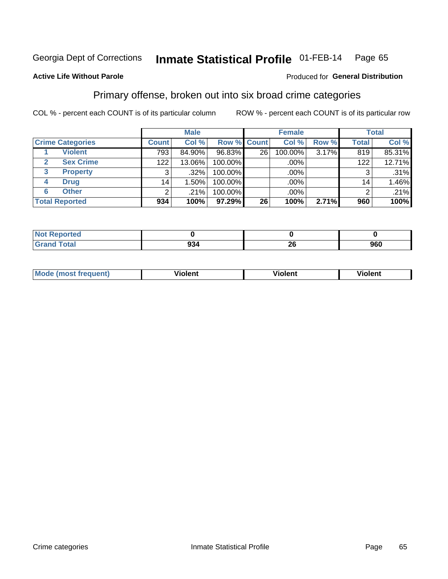#### Inmate Statistical Profile 01-FEB-14 Page 65

## **Active Life Without Parole**

### Produced for General Distribution

## Primary offense, broken out into six broad crime categories

COL % - percent each COUNT is of its particular column

|                         |              | <b>Male</b> |           |                 | <b>Female</b> |          |              | <b>Total</b> |
|-------------------------|--------------|-------------|-----------|-----------------|---------------|----------|--------------|--------------|
| <b>Crime Categories</b> | <b>Count</b> | Col %       |           | Row % Count     | Col %         | Row %    | <b>Total</b> | Col %        |
| <b>Violent</b>          | 793          | 84.90%      | 96.83%    | 26 <sub>1</sub> | 100.00%       | $3.17\%$ | 819          | 85.31%       |
| <b>Sex Crime</b>        | 122          | 13.06%      | 100.00%   |                 | .00%          |          | 122          | 12.71%       |
| 3<br><b>Property</b>    | 3            | $.32\%$     | 100.00%   |                 | .00%          |          | 3            | .31%         |
| <b>Drug</b><br>4        | 14           | $.50\%$     | 100.00%   |                 | .00%          |          | 14           | 1.46%        |
| <b>Other</b><br>6       | 2            | $.21\%$     | 100.00%   |                 | $.00\%$       |          | ົ            | .21%         |
| <b>Total Reported</b>   | 934          | 100%        | $97.29\%$ | 26              | 100%          | 2.71%    | 960          | 100%         |

| <b>Not Reported</b> |     |         |     |
|---------------------|-----|---------|-----|
| <b>Total</b>        | 934 | o<br>∠∪ | 960 |

| M | . | 40 O |
|---|---|------|
|   |   |      |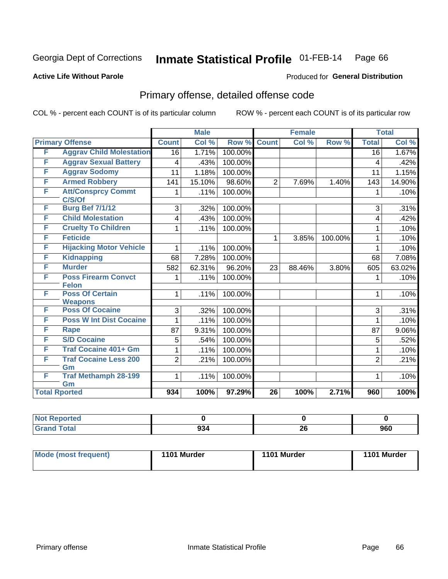### Inmate Statistical Profile 01-FEB-14 Page 66

## **Active Life Without Parole**

### Produced for General Distribution

# Primary offense, detailed offense code

COL % - percent each COUNT is of its particular column

|                      |                                            |                 | <b>Male</b> |         |                 | <b>Female</b> |         |                 | <b>Total</b> |
|----------------------|--------------------------------------------|-----------------|-------------|---------|-----------------|---------------|---------|-----------------|--------------|
|                      | <b>Primary Offense</b>                     | <b>Count</b>    | Col %       | Row %   | <b>Count</b>    | Col %         | Row %   | <b>Total</b>    | Col %        |
| F                    | <b>Aggrav Child Molestation</b>            | 16              | 1.71%       | 100.00% |                 |               |         | $\overline{16}$ | 1.67%        |
| F                    | <b>Aggrav Sexual Battery</b>               | 4               | .43%        | 100.00% |                 |               |         | 4               | .42%         |
| F                    | <b>Aggrav Sodomy</b>                       | 11              | 1.18%       | 100.00% |                 |               |         | 11              | 1.15%        |
| F                    | <b>Armed Robbery</b>                       | 141             | 15.10%      | 98.60%  | $\overline{2}$  | 7.69%         | 1.40%   | 143             | 14.90%       |
| F                    | <b>Att/Consprcy Commt</b><br>C/S/Of        | 1               | .11%        | 100.00% |                 |               |         | 1               | .10%         |
| F                    | <b>Burg Bef 7/1/12</b>                     | 3               | .32%        | 100.00% |                 |               |         | 3               | .31%         |
| F                    | <b>Child Molestation</b>                   | 4               | .43%        | 100.00% |                 |               |         | 4               | .42%         |
| F                    | <b>Cruelty To Children</b>                 | 1               | .11%        | 100.00% |                 |               |         | 1               | .10%         |
| F                    | <b>Feticide</b>                            |                 |             |         | 1               | 3.85%         | 100.00% | 1               | .10%         |
| F                    | <b>Hijacking Motor Vehicle</b>             | 1               | .11%        | 100.00% |                 |               |         | 1               | .10%         |
| F                    | <b>Kidnapping</b>                          | 68              | 7.28%       | 100.00% |                 |               |         | 68              | 7.08%        |
| F                    | <b>Murder</b>                              | 582             | 62.31%      | 96.20%  | 23              | 88.46%        | 3.80%   | 605             | 63.02%       |
| F                    | <b>Poss Firearm Convct</b><br><b>Felon</b> | 1               | .11%        | 100.00% |                 |               |         | 1               | .10%         |
| F                    | <b>Poss Of Certain</b><br><b>Weapons</b>   | 1               | .11%        | 100.00% |                 |               |         | 1               | .10%         |
| F                    | <b>Poss Of Cocaine</b>                     | 3               | .32%        | 100.00% |                 |               |         | 3               | .31%         |
| F                    | <b>Poss W Int Dist Cocaine</b>             | 1               | .11%        | 100.00% |                 |               |         | 1               | .10%         |
| F                    | <b>Rape</b>                                | $\overline{87}$ | 9.31%       | 100.00% |                 |               |         | 87              | 9.06%        |
| F                    | <b>S/D Cocaine</b>                         | 5               | .54%        | 100.00% |                 |               |         | 5               | .52%         |
| F                    | <b>Traf Cocaine 401+ Gm</b>                | 1               | .11%        | 100.00% |                 |               |         | 1               | .10%         |
| F                    | <b>Traf Cocaine Less 200</b><br>Gm         | $\overline{2}$  | .21%        | 100.00% |                 |               |         | $\overline{2}$  | .21%         |
| F                    | <b>Traf Methamph 28-199</b><br>Gm          | 1               | .11%        | 100.00% |                 |               |         | 1               | .10%         |
| <b>Total Rported</b> |                                            | 934             | 100%        | 97.29%  | $\overline{26}$ | 100%          | 2.71%   | 960             | 100%         |

| oorted<br>N   |     |    |     |
|---------------|-----|----|-----|
| <b>c</b> otal | 934 | 26 | 960 |

| <b>Mode (most frequent)</b> | 1101 Murder | 1101 Murder | 1101 Murder |
|-----------------------------|-------------|-------------|-------------|
|                             |             |             |             |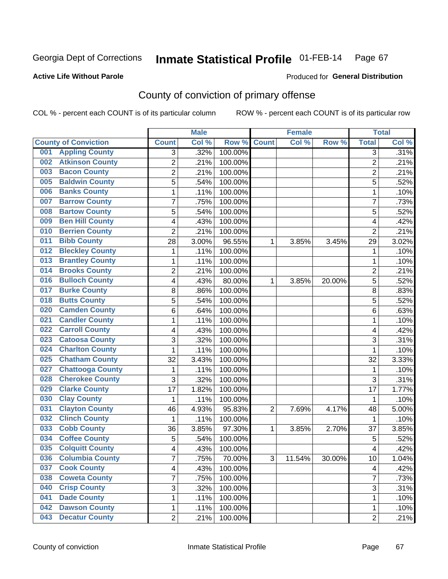## **Active Life Without Parole**

### Produced for **General Distribution**

# County of conviction of primary offense

|                                |                | <b>Male</b> |                  |                | <b>Female</b> |        |                | <b>Total</b> |
|--------------------------------|----------------|-------------|------------------|----------------|---------------|--------|----------------|--------------|
| <b>County of Conviction</b>    | <b>Count</b>   | Col %       | Row <sup>%</sup> | <b>Count</b>   | Col %         | Row %  | <b>Total</b>   | Col%         |
| <b>Appling County</b><br>001   | 3              | .32%        | 100.00%          |                |               |        | 3              | .31%         |
| <b>Atkinson County</b><br>002  | $\overline{2}$ | .21%        | 100.00%          |                |               |        | $\overline{2}$ | .21%         |
| <b>Bacon County</b><br>003     | 2              | .21%        | 100.00%          |                |               |        | 2              | .21%         |
| <b>Baldwin County</b><br>005   | $\overline{5}$ | .54%        | 100.00%          |                |               |        | $\overline{5}$ | .52%         |
| <b>Banks County</b><br>006     | 1              | .11%        | 100.00%          |                |               |        | $\mathbf{1}$   | .10%         |
| <b>Barrow County</b><br>007    | 7              | .75%        | 100.00%          |                |               |        | $\overline{7}$ | .73%         |
| <b>Bartow County</b><br>008    | 5              | .54%        | 100.00%          |                |               |        | 5              | .52%         |
| <b>Ben Hill County</b><br>009  | 4              | .43%        | 100.00%          |                |               |        | 4              | .42%         |
| <b>Berrien County</b><br>010   | $\overline{2}$ | .21%        | 100.00%          |                |               |        | $\overline{2}$ | .21%         |
| <b>Bibb County</b><br>011      | 28             | 3.00%       | 96.55%           | 1              | 3.85%         | 3.45%  | 29             | 3.02%        |
| <b>Bleckley County</b><br>012  | 1              | .11%        | 100.00%          |                |               |        | 1              | .10%         |
| <b>Brantley County</b><br>013  | 1              | .11%        | 100.00%          |                |               |        | 1              | .10%         |
| <b>Brooks County</b><br>014    | $\overline{2}$ | .21%        | 100.00%          |                |               |        | $\overline{2}$ | .21%         |
| <b>Bulloch County</b><br>016   | 4              | .43%        | 80.00%           | 1              | 3.85%         | 20.00% | 5              | .52%         |
| <b>Burke County</b><br>017     | 8              | .86%        | 100.00%          |                |               |        | 8              | .83%         |
| <b>Butts County</b><br>018     | 5              | .54%        | 100.00%          |                |               |        | $\overline{5}$ | .52%         |
| <b>Camden County</b><br>020    | 6              | .64%        | 100.00%          |                |               |        | 6              | .63%         |
| <b>Candler County</b><br>021   | 1              | .11%        | 100.00%          |                |               |        | 1              | .10%         |
| <b>Carroll County</b><br>022   | 4              | .43%        | 100.00%          |                |               |        | 4              | .42%         |
| <b>Catoosa County</b><br>023   | 3              | .32%        | 100.00%          |                |               |        | 3              | .31%         |
| <b>Charlton County</b><br>024  | 1              | .11%        | 100.00%          |                |               |        | 1              | .10%         |
| <b>Chatham County</b><br>025   | 32             | 3.43%       | 100.00%          |                |               |        | 32             | 3.33%        |
| <b>Chattooga County</b><br>027 | 1              | .11%        | 100.00%          |                |               |        | 1              | .10%         |
| <b>Cherokee County</b><br>028  | 3              | .32%        | 100.00%          |                |               |        | 3              | .31%         |
| <b>Clarke County</b><br>029    | 17             | 1.82%       | 100.00%          |                |               |        | 17             | 1.77%        |
| <b>Clay County</b><br>030      | 1              | .11%        | 100.00%          |                |               |        | 1              | .10%         |
| <b>Clayton County</b><br>031   | 46             | 4.93%       | 95.83%           | $\overline{2}$ | 7.69%         | 4.17%  | 48             | 5.00%        |
| <b>Clinch County</b><br>032    | 1              | .11%        | 100.00%          |                |               |        | 1              | .10%         |
| <b>Cobb County</b><br>033      | 36             | 3.85%       | 97.30%           | 1              | 3.85%         | 2.70%  | 37             | 3.85%        |
| <b>Coffee County</b><br>034    | 5              | .54%        | 100.00%          |                |               |        | 5              | .52%         |
| <b>Colquitt County</b><br>035  | 4              | .43%        | 100.00%          |                |               |        | 4              | .42%         |
| 036 Columbia County            | 7              | .75%        | 70.00%           | З              | 11.54%        | 30.00% | 10             | 1.04%        |
| <b>Cook County</b><br>037      | 4              | .43%        | 100.00%          |                |               |        | 4              | .42%         |
| 038<br><b>Coweta County</b>    | 7              | .75%        | 100.00%          |                |               |        | $\overline{7}$ | .73%         |
| <b>Crisp County</b><br>040     | 3              | .32%        | 100.00%          |                |               |        | 3              | .31%         |
| <b>Dade County</b><br>041      | 1              | .11%        | 100.00%          |                |               |        | $\mathbf{1}$   | .10%         |
| <b>Dawson County</b><br>042    | 1              | .11%        | 100.00%          |                |               |        | 1              | .10%         |
| <b>Decatur County</b><br>043   | $\overline{2}$ | .21%        | 100.00%          |                |               |        | $\overline{2}$ | .21%         |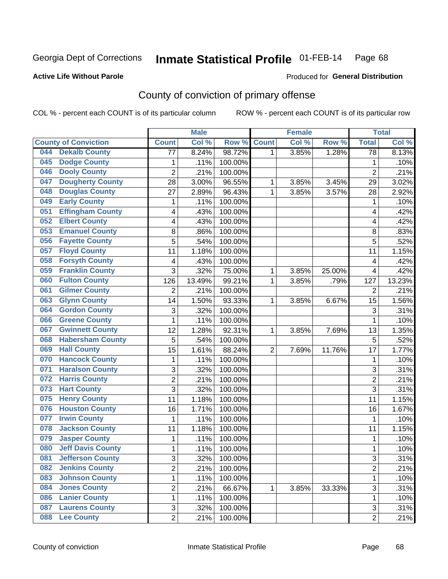## **Active Life Without Parole**

### Produced for **General Distribution**

# County of conviction of primary offense

|                             |                          |                 | <b>Male</b> |         |                | <b>Female</b> |        |                         | <b>Total</b> |
|-----------------------------|--------------------------|-----------------|-------------|---------|----------------|---------------|--------|-------------------------|--------------|
| <b>County of Conviction</b> |                          | <b>Count</b>    | Col %       | Row %   | <b>Count</b>   | Col %         | Row %  | <b>Total</b>            | Col %        |
| 044                         | <b>Dekalb County</b>     | $\overline{77}$ | 8.24%       | 98.72%  | 1              | 3.85%         | 1.28%  | $\overline{78}$         | 8.13%        |
| 045                         | <b>Dodge County</b>      | 1               | .11%        | 100.00% |                |               |        | 1                       | .10%         |
| 046                         | <b>Dooly County</b>      | $\overline{c}$  | .21%        | 100.00% |                |               |        | $\overline{2}$          | .21%         |
| 047                         | <b>Dougherty County</b>  | 28              | 3.00%       | 96.55%  | 1              | 3.85%         | 3.45%  | 29                      | 3.02%        |
| 048                         | <b>Douglas County</b>    | 27              | 2.89%       | 96.43%  | $\mathbf{1}$   | 3.85%         | 3.57%  | 28                      | 2.92%        |
| 049                         | <b>Early County</b>      | 1               | .11%        | 100.00% |                |               |        | 1                       | .10%         |
| 051                         | <b>Effingham County</b>  | 4               | .43%        | 100.00% |                |               |        | 4                       | .42%         |
| 052                         | <b>Elbert County</b>     | 4               | .43%        | 100.00% |                |               |        | 4                       | .42%         |
| 053                         | <b>Emanuel County</b>    | 8               | .86%        | 100.00% |                |               |        | $\,8\,$                 | .83%         |
| 056                         | <b>Fayette County</b>    | 5               | .54%        | 100.00% |                |               |        | 5                       | .52%         |
| 057                         | <b>Floyd County</b>      | 11              | 1.18%       | 100.00% |                |               |        | 11                      | 1.15%        |
| 058                         | <b>Forsyth County</b>    | 4               | .43%        | 100.00% |                |               |        | $\overline{\mathbf{4}}$ | .42%         |
| 059                         | <b>Franklin County</b>   | 3               | .32%        | 75.00%  | 1              | 3.85%         | 25.00% | $\overline{\mathbf{4}}$ | .42%         |
| 060                         | <b>Fulton County</b>     | 126             | 13.49%      | 99.21%  | 1              | 3.85%         | .79%   | 127                     | 13.23%       |
| 061                         | <b>Gilmer County</b>     | $\overline{2}$  | .21%        | 100.00% |                |               |        | $\overline{2}$          | .21%         |
| 063                         | <b>Glynn County</b>      | 14              | 1.50%       | 93.33%  | 1              | 3.85%         | 6.67%  | 15                      | 1.56%        |
| 064                         | <b>Gordon County</b>     | 3               | .32%        | 100.00% |                |               |        | 3                       | .31%         |
| 066                         | <b>Greene County</b>     | 1               | .11%        | 100.00% |                |               |        | 1                       | .10%         |
| 067                         | <b>Gwinnett County</b>   | 12              | 1.28%       | 92.31%  | 1              | 3.85%         | 7.69%  | 13                      | 1.35%        |
| 068                         | <b>Habersham County</b>  | 5               | .54%        | 100.00% |                |               |        | $\sqrt{5}$              | .52%         |
| 069                         | <b>Hall County</b>       | 15              | 1.61%       | 88.24%  | $\overline{2}$ | 7.69%         | 11.76% | 17                      | 1.77%        |
| 070                         | <b>Hancock County</b>    | 1               | .11%        | 100.00% |                |               |        | $\mathbf{1}$            | .10%         |
| 071                         | <b>Haralson County</b>   | 3               | .32%        | 100.00% |                |               |        | 3                       | .31%         |
| 072                         | <b>Harris County</b>     | $\overline{2}$  | .21%        | 100.00% |                |               |        | $\overline{2}$          | .21%         |
| 073                         | <b>Hart County</b>       | 3               | .32%        | 100.00% |                |               |        | 3                       | .31%         |
| 075                         | <b>Henry County</b>      | 11              | 1.18%       | 100.00% |                |               |        | 11                      | 1.15%        |
| 076                         | <b>Houston County</b>    | 16              | 1.71%       | 100.00% |                |               |        | 16                      | 1.67%        |
| 077                         | <b>Irwin County</b>      | 1               | .11%        | 100.00% |                |               |        | $\mathbf{1}$            | .10%         |
| 078                         | <b>Jackson County</b>    | 11              | 1.18%       | 100.00% |                |               |        | 11                      | 1.15%        |
| 079                         | <b>Jasper County</b>     | 1               | .11%        | 100.00% |                |               |        | $\mathbf{1}$            | .10%         |
| 080                         | <b>Jeff Davis County</b> | 1               | .11%        | 100.00% |                |               |        | 1                       | .10%         |
| 081                         | <b>Jefferson County</b>  | 3               | .32%        | 100.00% |                |               |        | 3                       | .31%         |
| 082                         | <b>Jenkins County</b>    | $\overline{2}$  | .21%        | 100.00% |                |               |        | $\overline{2}$          | .21%         |
| 083                         | <b>Johnson County</b>    | 1               | .11%        | 100.00% |                |               |        | 1                       | .10%         |
| 084                         | <b>Jones County</b>      | $\overline{c}$  | .21%        | 66.67%  | 1              | 3.85%         | 33.33% | $\overline{3}$          | .31%         |
| 086                         | <b>Lanier County</b>     | 1               | .11%        | 100.00% |                |               |        | 1                       | .10%         |
| 087                         | <b>Laurens County</b>    | 3               | .32%        | 100.00% |                |               |        | 3                       | .31%         |
| 880                         | <b>Lee County</b>        | $\overline{2}$  | .21%        | 100.00% |                |               |        | $\overline{2}$          | .21%         |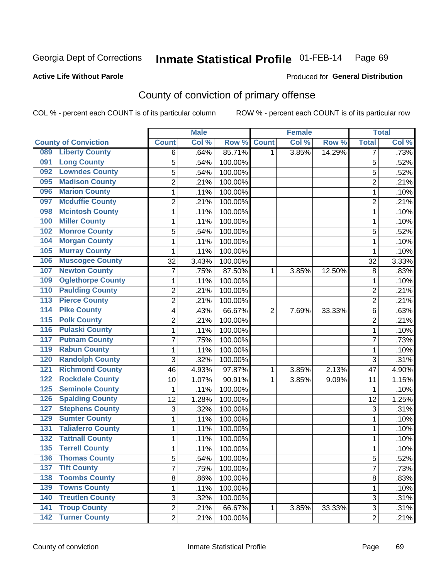## **Active Life Without Parole**

## Produced for **General Distribution**

# County of conviction of primary offense

|                  |                             |                | <b>Male</b> |         |                | <b>Female</b> |        |                | <b>Total</b> |
|------------------|-----------------------------|----------------|-------------|---------|----------------|---------------|--------|----------------|--------------|
|                  | <b>County of Conviction</b> | <b>Count</b>   | Col %       | Row %   | <b>Count</b>   | Col %         | Row %  | <b>Total</b>   | Col %        |
| 089              | <b>Liberty County</b>       | 6              | .64%        | 85.71%  | 1              | 3.85%         | 14.29% | 7              | .73%         |
| 091              | <b>Long County</b>          | 5              | .54%        | 100.00% |                |               |        | 5              | .52%         |
| 092              | <b>Lowndes County</b>       | 5              | .54%        | 100.00% |                |               |        | 5              | .52%         |
| 095              | <b>Madison County</b>       | $\overline{c}$ | .21%        | 100.00% |                |               |        | $\overline{c}$ | .21%         |
| 096              | <b>Marion County</b>        | 1              | .11%        | 100.00% |                |               |        | 1              | .10%         |
| 097              | <b>Mcduffie County</b>      | $\overline{2}$ | .21%        | 100.00% |                |               |        | $\overline{2}$ | .21%         |
| 098              | <b>Mcintosh County</b>      | $\mathbf 1$    | .11%        | 100.00% |                |               |        | 1              | .10%         |
| 100              | <b>Miller County</b>        | $\mathbf{1}$   | .11%        | 100.00% |                |               |        | $\mathbf{1}$   | .10%         |
| 102              | <b>Monroe County</b>        | 5              | .54%        | 100.00% |                |               |        | 5              | .52%         |
| 104              | <b>Morgan County</b>        | $\mathbf{1}$   | .11%        | 100.00% |                |               |        | $\mathbf{1}$   | .10%         |
| 105              | <b>Murray County</b>        | $\mathbf 1$    | .11%        | 100.00% |                |               |        | 1              | .10%         |
| 106              | <b>Muscogee County</b>      | 32             | 3.43%       | 100.00% |                |               |        | 32             | 3.33%        |
| 107              | <b>Newton County</b>        | $\overline{7}$ | .75%        | 87.50%  | 1              | 3.85%         | 12.50% | 8              | .83%         |
| 109              | <b>Oglethorpe County</b>    | $\mathbf{1}$   | .11%        | 100.00% |                |               |        | $\mathbf{1}$   | .10%         |
| 110              | <b>Paulding County</b>      | $\overline{c}$ | .21%        | 100.00% |                |               |        | $\overline{2}$ | .21%         |
| 113              | <b>Pierce County</b>        | $\overline{c}$ | .21%        | 100.00% |                |               |        | $\overline{2}$ | .21%         |
| 114              | <b>Pike County</b>          | 4              | .43%        | 66.67%  | $\overline{2}$ | 7.69%         | 33.33% | 6              | .63%         |
| $\overline{115}$ | <b>Polk County</b>          | $\overline{2}$ | .21%        | 100.00% |                |               |        | $\overline{2}$ | .21%         |
| 116              | <b>Pulaski County</b>       | $\mathbf 1$    | .11%        | 100.00% |                |               |        | $\mathbf{1}$   | .10%         |
| 117              | <b>Putnam County</b>        | $\overline{7}$ | .75%        | 100.00% |                |               |        | $\overline{7}$ | .73%         |
| 119              | <b>Rabun County</b>         | $\mathbf{1}$   | .11%        | 100.00% |                |               |        | $\mathbf{1}$   | .10%         |
| 120              | <b>Randolph County</b>      | 3              | .32%        | 100.00% |                |               |        | 3              | .31%         |
| 121              | <b>Richmond County</b>      | 46             | 4.93%       | 97.87%  | 1              | 3.85%         | 2.13%  | 47             | 4.90%        |
| 122              | <b>Rockdale County</b>      | 10             | 1.07%       | 90.91%  | 1              | 3.85%         | 9.09%  | 11             | 1.15%        |
| 125              | <b>Seminole County</b>      | $\mathbf{1}$   | .11%        | 100.00% |                |               |        | 1              | .10%         |
| 126              | <b>Spalding County</b>      | 12             | 1.28%       | 100.00% |                |               |        | 12             | 1.25%        |
| 127              | <b>Stephens County</b>      | 3              | .32%        | 100.00% |                |               |        | 3              | .31%         |
| 129              | <b>Sumter County</b>        | 1              | .11%        | 100.00% |                |               |        | $\mathbf{1}$   | .10%         |
| 131              | <b>Taliaferro County</b>    | $\mathbf{1}$   | .11%        | 100.00% |                |               |        | 1              | .10%         |
| 132              | <b>Tattnall County</b>      | $\mathbf{1}$   | .11%        | 100.00% |                |               |        | $\mathbf{1}$   | .10%         |
| 135              | <b>Terrell County</b>       | $\mathbf{1}$   | .11%        | 100.00% |                |               |        | 1              | .10%         |
| 136              | <b>Thomas County</b>        | 5              | .54%        | 100.00% |                |               |        | 5              | .52%         |
| 137              | <b>Tift County</b>          | $\overline{7}$ | .75%        | 100.00% |                |               |        | $\overline{7}$ | .73%         |
| 138              | <b>Toombs County</b>        | 8              | .86%        | 100.00% |                |               |        | 8              | .83%         |
| 139              | <b>Towns County</b>         | 1              | .11%        | 100.00% |                |               |        | $\mathbf{1}$   | .10%         |
| 140              | <b>Treutlen County</b>      | 3              | .32%        | 100.00% |                |               |        | 3              | .31%         |
| $\overline{141}$ | <b>Troup County</b>         | $\overline{2}$ | .21%        | 66.67%  | $\mathbf{1}$   | 3.85%         | 33.33% | 3              | .31%         |
|                  | 142 Turner County           | $\overline{2}$ | .21%        | 100.00% |                |               |        | $\overline{2}$ | .21%         |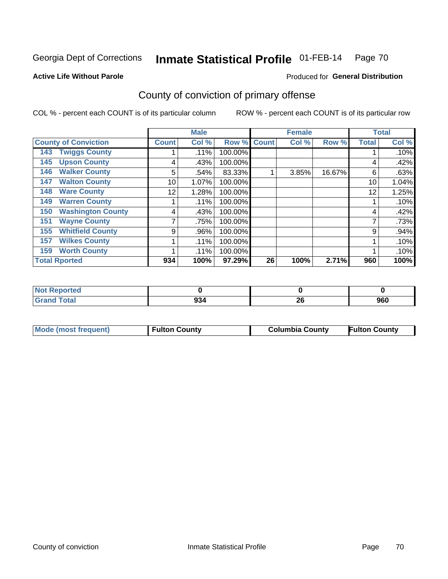Produced for **General Distribution**

## **Active Life Without Parole**

# County of conviction of primary offense

|                                 |              | <b>Male</b> |         |              | <b>Female</b> |        |              | <b>Total</b> |
|---------------------------------|--------------|-------------|---------|--------------|---------------|--------|--------------|--------------|
| <b>County of Conviction</b>     | <b>Count</b> | Col %       | Row %   | <b>Count</b> | Col %         | Row %  | <b>Total</b> | Col %        |
| <b>Twiggs County</b><br>143     |              | .11%        | 100.00% |              |               |        |              | .10%         |
| <b>Upson County</b><br>145      | 4            | .43%        | 100.00% |              |               |        | 4            | .42%         |
| <b>Walker County</b><br>146     | 5            | .54%        | 83.33%  |              | 3.85%         | 16.67% | 6            | .63%         |
| <b>Walton County</b><br>147     | 10           | 1.07%       | 100.00% |              |               |        | 10           | 1.04%        |
| <b>Ware County</b><br>148       | 12           | 1.28%       | 100.00% |              |               |        | 12           | 1.25%        |
| <b>Warren County</b><br>149     |              | .11%        | 100.00% |              |               |        |              | .10%         |
| <b>Washington County</b><br>150 | 4            | .43%        | 100.00% |              |               |        | 4            | .42%         |
| <b>Wayne County</b><br>151      |              | .75%        | 100.00% |              |               |        | 7            | .73%         |
| <b>Whitfield County</b><br>155  | 9            | .96%        | 100.00% |              |               |        | 9            | .94%         |
| <b>Wilkes County</b><br>157     |              | .11%        | 100.00% |              |               |        |              | .10%         |
| <b>Worth County</b><br>159      |              | .11%        | 100.00% |              |               |        |              | .10%         |
| <b>Total Rported</b>            | 934          | 100%        | 97.29%  | 26           | 100%          | 2.71%  | 960          | 100%         |

| <b>eported</b><br>- IN 4 |     |          |     |
|--------------------------|-----|----------|-----|
| <b>Total</b>             | 934 | ^^<br>ZU | 960 |

|  | Mode (most frequent) | ' Fulton Countv | <b>Columbia County</b> | <b>Fulton County</b> |
|--|----------------------|-----------------|------------------------|----------------------|
|--|----------------------|-----------------|------------------------|----------------------|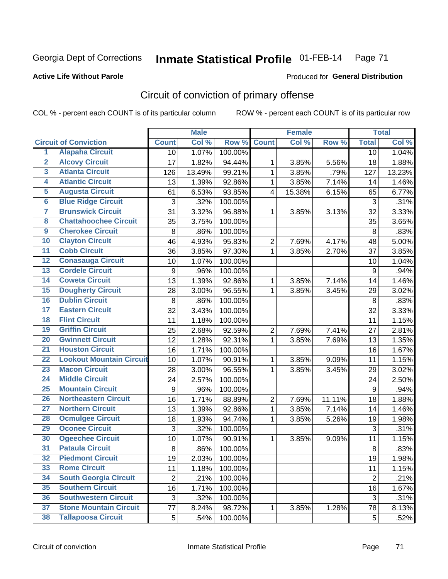## **Active Life Without Parole**

### Produced for **General Distribution**

# Circuit of conviction of primary offense

|                         |                                 |                | <b>Male</b> |         |                  | <b>Female</b> |        |                  | <b>Total</b> |
|-------------------------|---------------------------------|----------------|-------------|---------|------------------|---------------|--------|------------------|--------------|
|                         | <b>Circuit of Conviction</b>    | <b>Count</b>   | Col %       | Row %   | <b>Count</b>     | Col %         | Row %  | <b>Total</b>     | Col%         |
| $\overline{1}$          | <b>Alapaha Circuit</b>          | 10             | 1.07%       | 100.00% |                  |               |        | 10               | 1.04%        |
| $\overline{2}$          | <b>Alcovy Circuit</b>           | 17             | 1.82%       | 94.44%  | 1                | 3.85%         | 5.56%  | 18               | 1.88%        |
| $\overline{\mathbf{3}}$ | <b>Atlanta Circuit</b>          | 126            | 13.49%      | 99.21%  | $\mathbf{1}$     | 3.85%         | .79%   | 127              | 13.23%       |
| 4                       | <b>Atlantic Circuit</b>         | 13             | 1.39%       | 92.86%  | 1                | 3.85%         | 7.14%  | 14               | 1.46%        |
| 5                       | <b>Augusta Circuit</b>          | 61             | 6.53%       | 93.85%  | $\overline{4}$   | 15.38%        | 6.15%  | 65               | 6.77%        |
| $6\phantom{a}$          | <b>Blue Ridge Circuit</b>       | 3              | .32%        | 100.00% |                  |               |        | 3                | .31%         |
| 7                       | <b>Brunswick Circuit</b>        | 31             | 3.32%       | 96.88%  | 1                | 3.85%         | 3.13%  | 32               | 3.33%        |
| 8                       | <b>Chattahoochee Circuit</b>    | 35             | 3.75%       | 100.00% |                  |               |        | 35               | 3.65%        |
| $\overline{9}$          | <b>Cherokee Circuit</b>         | 8              | .86%        | 100.00% |                  |               |        | 8                | .83%         |
| 10                      | <b>Clayton Circuit</b>          | 46             | 4.93%       | 95.83%  | $\overline{2}$   | 7.69%         | 4.17%  | 48               | 5.00%        |
| $\overline{11}$         | <b>Cobb Circuit</b>             | 36             | 3.85%       | 97.30%  | $\mathbf{1}$     | 3.85%         | 2.70%  | 37               | 3.85%        |
| $\overline{12}$         | <b>Conasauga Circuit</b>        | 10             | 1.07%       | 100.00% |                  |               |        | 10               | 1.04%        |
| $\overline{13}$         | <b>Cordele Circuit</b>          | 9              | .96%        | 100.00% |                  |               |        | $9\,$            | .94%         |
| 14                      | <b>Coweta Circuit</b>           | 13             | 1.39%       | 92.86%  | $\mathbf{1}$     | 3.85%         | 7.14%  | 14               | 1.46%        |
| 15                      | <b>Dougherty Circuit</b>        | 28             | 3.00%       | 96.55%  | 1                | 3.85%         | 3.45%  | 29               | 3.02%        |
| 16                      | <b>Dublin Circuit</b>           | 8              | .86%        | 100.00% |                  |               |        | 8                | .83%         |
| 17                      | <b>Eastern Circuit</b>          | 32             | 3.43%       | 100.00% |                  |               |        | 32               | 3.33%        |
| 18                      | <b>Flint Circuit</b>            | 11             | 1.18%       | 100.00% |                  |               |        | 11               | 1.15%        |
| 19                      | <b>Griffin Circuit</b>          | 25             | 2.68%       | 92.59%  | $\overline{2}$   | 7.69%         | 7.41%  | 27               | 2.81%        |
| 20                      | <b>Gwinnett Circuit</b>         | 12             | 1.28%       | 92.31%  | $\mathbf{1}$     | 3.85%         | 7.69%  | 13               | 1.35%        |
| $\overline{21}$         | <b>Houston Circuit</b>          | 16             | 1.71%       | 100.00% |                  |               |        | 16               | 1.67%        |
| $\overline{22}$         | <b>Lookout Mountain Circuit</b> | 10             | 1.07%       | 90.91%  | $\mathbf{1}$     | 3.85%         | 9.09%  | 11               | 1.15%        |
| 23                      | <b>Macon Circuit</b>            | 28             | 3.00%       | 96.55%  | 1                | 3.85%         | 3.45%  | 29               | 3.02%        |
| $\overline{24}$         | <b>Middle Circuit</b>           | 24             | 2.57%       | 100.00% |                  |               |        | 24               | 2.50%        |
| $\overline{25}$         | <b>Mountain Circuit</b>         | 9              | .96%        | 100.00% |                  |               |        | $\boldsymbol{9}$ | .94%         |
| 26                      | <b>Northeastern Circuit</b>     | 16             | 1.71%       | 88.89%  | $\boldsymbol{2}$ | 7.69%         | 11.11% | 18               | 1.88%        |
| $\overline{27}$         | <b>Northern Circuit</b>         | 13             | 1.39%       | 92.86%  | $\mathbf{1}$     | 3.85%         | 7.14%  | 14               | 1.46%        |
| 28                      | <b>Ocmulgee Circuit</b>         | 18             | 1.93%       | 94.74%  | $\mathbf 1$      | 3.85%         | 5.26%  | 19               | 1.98%        |
| 29                      | <b>Oconee Circuit</b>           | 3              | .32%        | 100.00% |                  |               |        | 3                | .31%         |
| 30                      | <b>Ogeechee Circuit</b>         | 10             | 1.07%       | 90.91%  | $\mathbf 1$      | 3.85%         | 9.09%  | 11               | 1.15%        |
| $\overline{31}$         | <b>Pataula Circuit</b>          | 8              | .86%        | 100.00% |                  |               |        | 8                | .83%         |
| 32                      | <b>Piedmont Circuit</b>         | 19             | 2.03%       | 100.00% |                  |               |        | 19               | 1.98%        |
| 33                      | <b>Rome Circuit</b>             | 11             | 1.18%       | 100.00% |                  |               |        | 11               | 1.15%        |
| 34                      | <b>South Georgia Circuit</b>    | $\overline{2}$ | .21%        | 100.00% |                  |               |        | $\overline{2}$   | .21%         |
| 35                      | <b>Southern Circuit</b>         | 16             | 1.71%       | 100.00% |                  |               |        | 16               | 1.67%        |
| 36                      | <b>Southwestern Circuit</b>     | 3              | .32%        | 100.00% |                  |               |        | 3                | .31%         |
| 37                      | <b>Stone Mountain Circuit</b>   | 77             | 8.24%       | 98.72%  | 1                | 3.85%         | 1.28%  | 78               | 8.13%        |
| 38                      | <b>Tallapoosa Circuit</b>       | 5              | .54%        | 100.00% |                  |               |        | 5                | .52%         |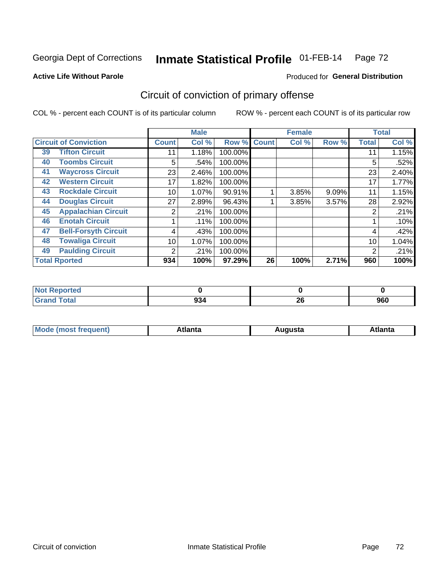**Active Life Without Parole** 

## Produced for **General Distribution**

# Circuit of conviction of primary offense

|    |                              |              | <b>Male</b> |         |              | <b>Female</b> |       |              | <b>Total</b> |
|----|------------------------------|--------------|-------------|---------|--------------|---------------|-------|--------------|--------------|
|    | <b>Circuit of Conviction</b> | <b>Count</b> | Col %       | Row %   | <b>Count</b> | Col %         | Row % | <b>Total</b> | Col %        |
| 39 | <b>Tifton Circuit</b>        | 11           | 1.18%       | 100.00% |              |               |       | 11           | 1.15%        |
| 40 | <b>Toombs Circuit</b>        | 5            | .54%        | 100.00% |              |               |       | 5            | .52%         |
| 41 | <b>Waycross Circuit</b>      | 23           | 2.46%       | 100.00% |              |               |       | 23           | 2.40%        |
| 42 | <b>Western Circuit</b>       | 17           | 1.82%       | 100.00% |              |               |       | 17           | 1.77%        |
| 43 | <b>Rockdale Circuit</b>      | 10           | 1.07%       | 90.91%  |              | 3.85%         | 9.09% | 11           | 1.15%        |
| 44 | <b>Douglas Circuit</b>       | 27           | 2.89%       | 96.43%  |              | 3.85%         | 3.57% | 28           | 2.92%        |
| 45 | <b>Appalachian Circuit</b>   | 2            | .21%        | 100.00% |              |               |       | 2            | .21%         |
| 46 | <b>Enotah Circuit</b>        |              | .11%        | 100.00% |              |               |       |              | .10%         |
| 47 | <b>Bell-Forsyth Circuit</b>  | 4            | .43%        | 100.00% |              |               |       | 4            | .42%         |
| 48 | <b>Towaliga Circuit</b>      | 10           | 1.07%       | 100.00% |              |               |       | 10           | 1.04%        |
| 49 | <b>Paulding Circuit</b>      | 2            | .21%        | 100.00% |              |               |       | 2            | .21%         |
|    | <b>Total Rported</b>         | 934          | 100%        | 97.29%  | 26           | 100%          | 2.71% | 960          | 100%         |

| eported               |     |          |     |
|-----------------------|-----|----------|-----|
| <b>otal</b><br>$\sim$ | 934 | ሳሪ<br>ZU | 960 |

| М<br>. Innás<br>.<br>.<br>wanta<br>Πū<br>31.<br>$\sim$ $\sim$ $\sim$ |
|----------------------------------------------------------------------|
|----------------------------------------------------------------------|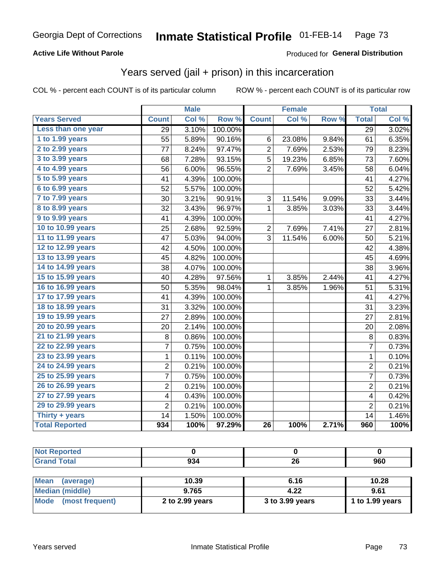### **Active Life Without Parole**

### Produced for **General Distribution**

## Years served (jail + prison) in this incarceration

|                       | <b>Male</b>    |       | <b>Female</b>    |                 |        | <b>Total</b> |                 |       |
|-----------------------|----------------|-------|------------------|-----------------|--------|--------------|-----------------|-------|
| <b>Years Served</b>   | <b>Count</b>   | Col % | Row <sup>%</sup> | <b>Count</b>    | Col %  | Row %        | <b>Total</b>    | Col % |
| Less than one year    | 29             | 3.10% | 100.00%          |                 |        |              | $\overline{29}$ | 3.02% |
| 1 to 1.99 years       | 55             | 5.89% | 90.16%           | 6               | 23.08% | 9.84%        | 61              | 6.35% |
| 2 to 2.99 years       | 77             | 8.24% | 97.47%           | $\overline{c}$  | 7.69%  | 2.53%        | 79              | 8.23% |
| 3 to 3.99 years       | 68             | 7.28% | 93.15%           | 5               | 19.23% | 6.85%        | 73              | 7.60% |
| 4 to 4.99 years       | 56             | 6.00% | 96.55%           | $\overline{2}$  | 7.69%  | 3.45%        | 58              | 6.04% |
| 5 to 5.99 years       | 41             | 4.39% | 100.00%          |                 |        |              | 41              | 4.27% |
| 6 to 6.99 years       | 52             | 5.57% | 100.00%          |                 |        |              | 52              | 5.42% |
| 7 to 7.99 years       | 30             | 3.21% | 90.91%           | 3               | 11.54% | 9.09%        | 33              | 3.44% |
| 8 to 8.99 years       | 32             | 3.43% | 96.97%           | 1               | 3.85%  | 3.03%        | 33              | 3.44% |
| 9 to 9.99 years       | 41             | 4.39% | 100.00%          |                 |        |              | 41              | 4.27% |
| 10 to 10.99 years     | 25             | 2.68% | 92.59%           | $\overline{c}$  | 7.69%  | 7.41%        | 27              | 2.81% |
| 11 to 11.99 years     | 47             | 5.03% | 94.00%           | 3               | 11.54% | 6.00%        | 50              | 5.21% |
| 12 to 12.99 years     | 42             | 4.50% | 100.00%          |                 |        |              | 42              | 4.38% |
| 13 to 13.99 years     | 45             | 4.82% | 100.00%          |                 |        |              | 45              | 4.69% |
| 14 to 14.99 years     | 38             | 4.07% | 100.00%          |                 |        |              | 38              | 3.96% |
| 15 to 15.99 years     | 40             | 4.28% | 97.56%           | 1               | 3.85%  | 2.44%        | 41              | 4.27% |
| 16 to 16.99 years     | 50             | 5.35% | 98.04%           | 1               | 3.85%  | 1.96%        | 51              | 5.31% |
| 17 to 17.99 years     | 41             | 4.39% | 100.00%          |                 |        |              | 41              | 4.27% |
| 18 to 18.99 years     | 31             | 3.32% | 100.00%          |                 |        |              | 31              | 3.23% |
| 19 to 19.99 years     | 27             | 2.89% | 100.00%          |                 |        |              | 27              | 2.81% |
| 20 to 20.99 years     | 20             | 2.14% | 100.00%          |                 |        |              | 20              | 2.08% |
| 21 to 21.99 years     | 8              | 0.86% | 100.00%          |                 |        |              | 8               | 0.83% |
| 22 to 22.99 years     | 7              | 0.75% | 100.00%          |                 |        |              | $\overline{7}$  | 0.73% |
| 23 to 23.99 years     | $\mathbf 1$    | 0.11% | 100.00%          |                 |        |              | $\mathbf 1$     | 0.10% |
| 24 to 24.99 years     | $\overline{2}$ | 0.21% | 100.00%          |                 |        |              | $\overline{2}$  | 0.21% |
| 25 to 25.99 years     | $\overline{7}$ | 0.75% | 100.00%          |                 |        |              | $\overline{7}$  | 0.73% |
| 26 to 26.99 years     | $\overline{2}$ | 0.21% | 100.00%          |                 |        |              | 2               | 0.21% |
| 27 to 27.99 years     | 4              | 0.43% | 100.00%          |                 |        |              | 4               | 0.42% |
| 29 to 29.99 years     | $\overline{2}$ | 0.21% | 100.00%          |                 |        |              | $\overline{2}$  | 0.21% |
| Thirty + years        | 14             | 1.50% | 100.00%          |                 |        |              | 14              | 1.46% |
| <b>Total Reported</b> | 934            | 100%  | 97.29%           | $\overline{26}$ | 100%   | 2.71%        | 960             | 100%  |

| <b>Not Reported</b>      |                 |                 |                 |
|--------------------------|-----------------|-----------------|-----------------|
| <b>Grand Total</b>       | 934             | 26              | 960             |
|                          |                 |                 |                 |
| <b>Mean</b><br>(average) | 10.39           | 6.16            | 10.28           |
| <b>Median (middle)</b>   | 9.765           | 4.22            | 9.61            |
| Mode<br>(most frequent)  | 2 to 2.99 years | 3 to 3.99 years | 1 to 1.99 years |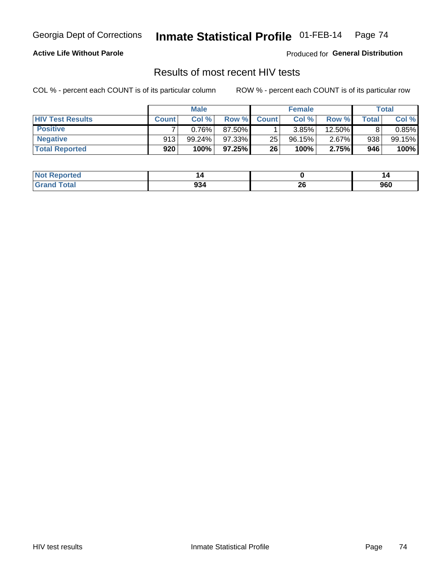### **Active Life Without Parole**

Produced for **General Distribution**

## Results of most recent HIV tests

|                         | <b>Male</b>  |           |        | <b>Female</b> |        |          | Total |        |
|-------------------------|--------------|-----------|--------|---------------|--------|----------|-------|--------|
| <b>HIV Test Results</b> | <b>Count</b> | Col%      | Row %  | <b>Count</b>  | Col %  | Row %I   | Total | Col %  |
| <b>Positive</b>         |              | 0.76%     | 87.50% |               | 3.85%  | 12.50%   |       | 0.85%  |
| <b>Negative</b>         | 913          | $99.24\%$ | 97.33% | 25            | 96.15% | $2.67\%$ | 938   | 99.15% |
| <b>Total Reported</b>   | 920          | 100%      | 97.25% | 26            | 100%   | 2.75%    | 946   | 100%   |

| <b>Not Reported</b> |     |          |     |
|---------------------|-----|----------|-----|
| Total               | 934 | ^^<br>ZU | 960 |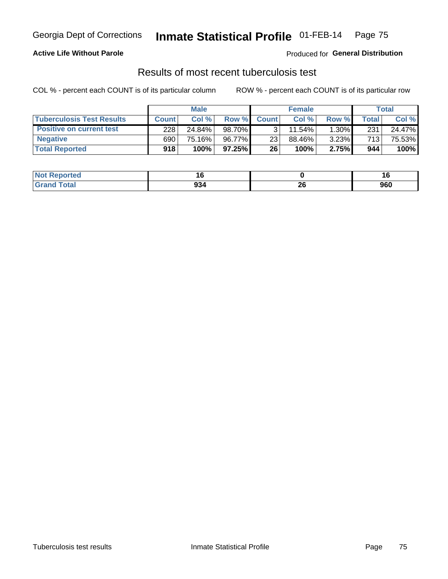### **Active Life Without Parole**

Produced for **General Distribution**

## Results of most recent tuberculosis test

|                                  | <b>Male</b>  |        |           | <b>Female</b> |        |          | Total        |        |
|----------------------------------|--------------|--------|-----------|---------------|--------|----------|--------------|--------|
| <b>Tuberculosis Test Results</b> | <b>Count</b> | Col%   | Row %I    | <b>Count</b>  | Col %  | Row %I   | <b>Total</b> | Col %  |
| <b>Positive on current test</b>  | 228          | 24.84% | 98.70%    |               | 11.54% | $1.30\%$ | 231          | 24.47% |
| <b>Negative</b>                  | 690          | 75.16% | 96.77%    | 23            | 88.46% | 3.23%    | 713          | 75.53% |
| <b>Total Reported</b>            | 918          | 100%   | $97.25\%$ | 26            | 100%   | 2.75%    | 944          | 100%   |

| : Reported<br><b>NOT</b> | יי  |          | 4 C<br>ю |
|--------------------------|-----|----------|----------|
| <b>Total</b>             | 934 | ^^<br>ZU | 960      |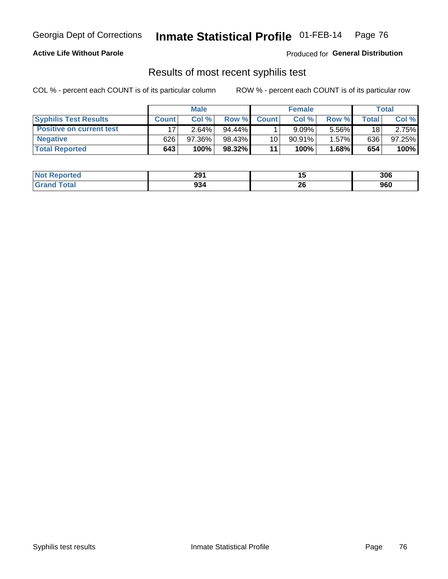#### **Active Life Without Parole**

Produced for **General Distribution**

## Results of most recent syphilis test

|                                 | <b>Male</b>  |          |           | <b>Female</b> |           |         | Total        |        |
|---------------------------------|--------------|----------|-----------|---------------|-----------|---------|--------------|--------|
| <b>Syphilis Test Results</b>    | <b>Count</b> | Col%     | Row %I    | <b>Count</b>  | Col %     | Row %   | <b>Total</b> | Col %  |
| <b>Positive on current test</b> |              | $2.64\%$ | $94.44\%$ |               | 9.09%     | 5.56%   | 18           | 2.75%  |
| <b>Negative</b>                 | 626          | 97.36%   | 98.43%    | 10            | $90.91\%$ | 1.57%   | 636          | 97.25% |
| <b>Total Reported</b>           | 643          | 100%     | 98.32%    | 11            | 100%      | $.68\%$ | 654          | 100%   |

| <b>Not Reported</b>          | 291 |           | 306 |
|------------------------------|-----|-----------|-----|
| <b>Total</b><br><b>Grand</b> | 934 | nr.<br>ZU | 960 |